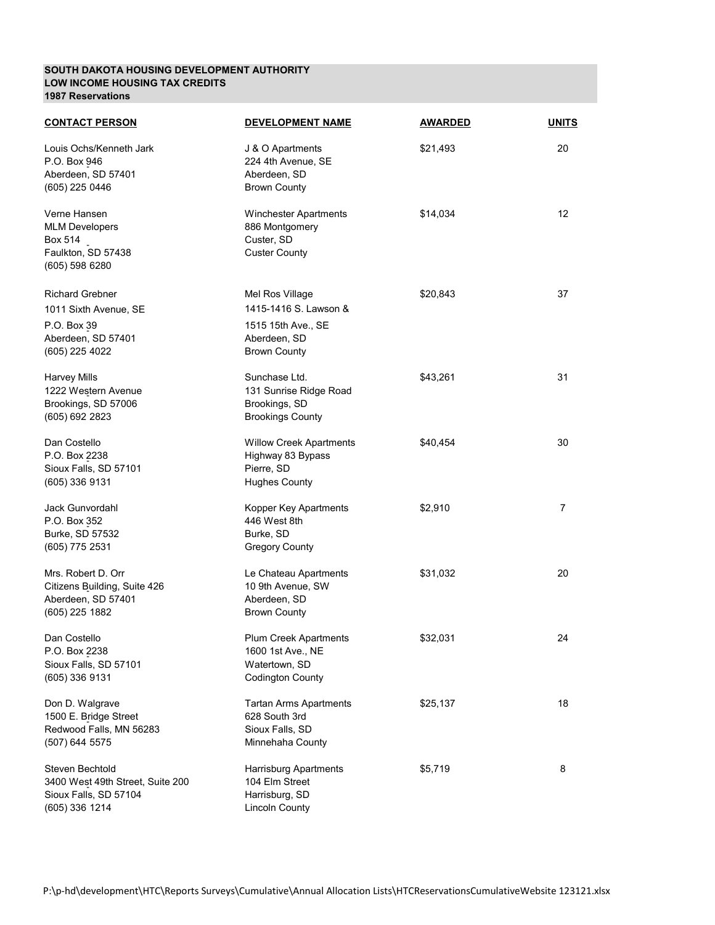#### **SOUTH DAKOTA HOUSING DEVELOPMENT AUTHORITY LOW INCOME HOUSING TAX CREDITS 1987 Reservations**

| <b>CONTACT PERSON</b>                                         | <b>DEVELOPMENT NAME</b>                                | <b>AWARDED</b> | <u>UNITS</u> |
|---------------------------------------------------------------|--------------------------------------------------------|----------------|--------------|
| Louis Ochs/Kenneth Jark<br>P.O. Box 946<br>Aberdeen, SD 57401 | J & O Apartments<br>224 4th Avenue, SE<br>Aberdeen, SD | \$21,493       | 20           |
| (605) 225 0446                                                | <b>Brown County</b>                                    |                |              |
| Verne Hansen                                                  | <b>Winchester Apartments</b>                           | \$14,034       | 12           |
| <b>MLM Developers</b><br>Box 514                              | 886 Montgomery<br>Custer, SD                           |                |              |
| Faulkton, SD 57438<br>(605) 598 6280                          | <b>Custer County</b>                                   |                |              |
| <b>Richard Grebner</b>                                        | Mel Ros Village                                        | \$20,843       | 37           |
| 1011 Sixth Avenue, SE                                         | 1415-1416 S. Lawson &                                  |                |              |
| P.O. Box 39                                                   | 1515 15th Ave., SE                                     |                |              |
| Aberdeen, SD 57401                                            | Aberdeen, SD                                           |                |              |
| (605) 225 4022                                                | <b>Brown County</b>                                    |                |              |
| Harvey Mills                                                  | Sunchase Ltd.                                          | \$43,261       | 31           |
| 1222 Western Avenue                                           | 131 Sunrise Ridge Road                                 |                |              |
| Brookings, SD 57006                                           | Brookings, SD                                          |                |              |
| (605) 692 2823                                                | <b>Brookings County</b>                                |                |              |
| Dan Costello                                                  | <b>Willow Creek Apartments</b>                         | \$40,454       | 30           |
| P.O. Box 2238                                                 | Highway 83 Bypass                                      |                |              |
| Sioux Falls, SD 57101<br>(605) 336 9131                       | Pierre, SD<br><b>Hughes County</b>                     |                |              |
| Jack Gunvordahl                                               |                                                        | \$2,910        | 7            |
| P.O. Box 352                                                  | Kopper Key Apartments<br>446 West 8th                  |                |              |
| Burke, SD 57532                                               | Burke, SD                                              |                |              |
| (605) 775 2531                                                | <b>Gregory County</b>                                  |                |              |
| Mrs. Robert D. Orr                                            | Le Chateau Apartments                                  | \$31,032       | 20           |
| Citizens Building, Suite 426                                  | 10 9th Avenue, SW                                      |                |              |
| Aberdeen, SD 57401                                            | Aberdeen, SD                                           |                |              |
| (605) 225 1882                                                | <b>Brown County</b>                                    |                |              |
| Dan Costello                                                  | Plum Creek Apartments                                  | \$32,031       | 24           |
| P.O. Box 2238                                                 | 1600 1st Ave., NE                                      |                |              |
| Sioux Falls, SD 57101                                         | Watertown, SD                                          |                |              |
| (605) 336 9131                                                | <b>Codington County</b>                                |                |              |
| Don D. Walgrave                                               | <b>Tartan Arms Apartments</b>                          | \$25,137       | 18           |
| 1500 E. Bridge Street                                         | 628 South 3rd<br>Sioux Falls, SD                       |                |              |
| Redwood Falls, MN 56283<br>(507) 644 5575                     | Minnehaha County                                       |                |              |
| Steven Bechtold                                               | <b>Harrisburg Apartments</b>                           | \$5,719        | 8            |
| 3400 West 49th Street, Suite 200                              | 104 Elm Street                                         |                |              |
| Sioux Falls, SD 57104                                         | Harrisburg, SD                                         |                |              |
| (605) 336 1214                                                | <b>Lincoln County</b>                                  |                |              |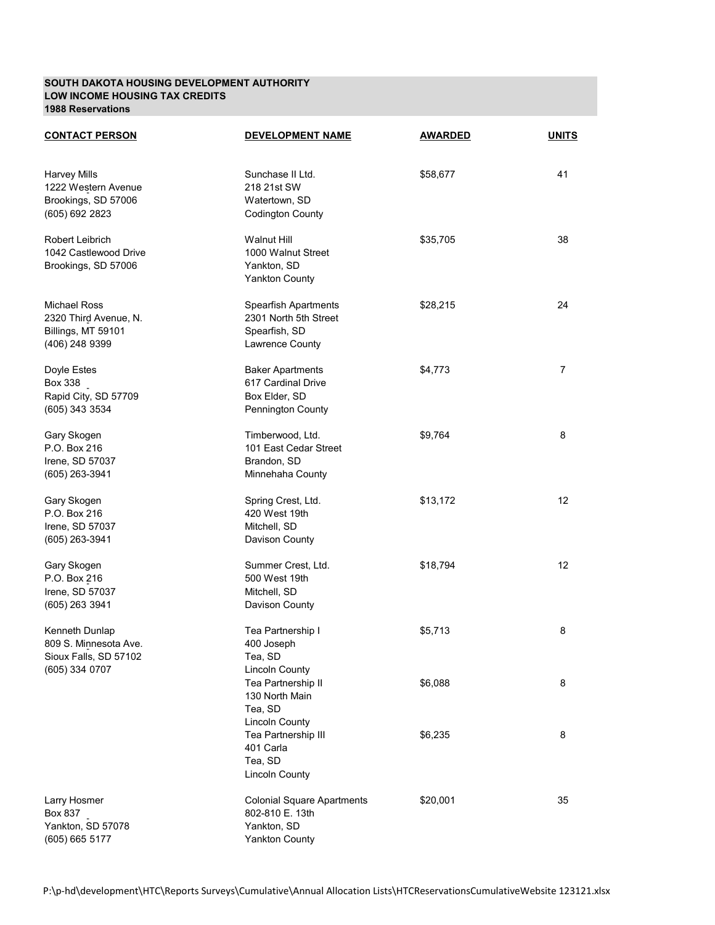#### **SOUTH DAKOTA HOUSING DEVELOPMENT AUTHORITY LOW INCOME HOUSING TAX CREDITS 1988 Reservations**

| <b>CONTACT PERSON</b> | DEVELOPMENT NAME                  | <b>AWARDED</b> | <b>UNITS</b>   |
|-----------------------|-----------------------------------|----------------|----------------|
|                       |                                   |                |                |
| <b>Harvey Mills</b>   | Sunchase II Ltd.                  | \$58,677       | 41             |
| 1222 Western Avenue   | 218 21st SW                       |                |                |
| Brookings, SD 57006   | Watertown, SD                     |                |                |
| (605) 692 2823        | <b>Codington County</b>           |                |                |
| Robert Leibrich       | <b>Walnut Hill</b>                | \$35,705       | 38             |
| 1042 Castlewood Drive | 1000 Walnut Street                |                |                |
| Brookings, SD 57006   | Yankton, SD                       |                |                |
|                       | <b>Yankton County</b>             |                |                |
| Michael Ross          | Spearfish Apartments              | \$28,215       | 24             |
| 2320 Third Avenue, N. | 2301 North 5th Street             |                |                |
| Billings, MT 59101    | Spearfish, SD                     |                |                |
| (406) 248 9399        | Lawrence County                   |                |                |
| Doyle Estes           | <b>Baker Apartments</b>           | \$4,773        | $\overline{7}$ |
| Box 338               | 617 Cardinal Drive                |                |                |
| Rapid City, SD 57709  | Box Elder, SD                     |                |                |
| (605) 343 3534        | Pennington County                 |                |                |
| Gary Skogen           | Timberwood, Ltd.                  | \$9,764        | 8              |
| P.O. Box 216          | 101 East Cedar Street             |                |                |
| Irene, SD 57037       | Brandon, SD                       |                |                |
| (605) 263-3941        | Minnehaha County                  |                |                |
| Gary Skogen           | Spring Crest, Ltd.                | \$13,172       | 12             |
| P.O. Box 216          | 420 West 19th                     |                |                |
| Irene, SD 57037       | Mitchell, SD                      |                |                |
| (605) 263-3941        | Davison County                    |                |                |
| Gary Skogen           | Summer Crest, Ltd.                | \$18,794       | 12             |
| P.O. Box 216          | 500 West 19th                     |                |                |
| Irene, SD 57037       | Mitchell, SD                      |                |                |
| (605) 263 3941        | Davison County                    |                |                |
| Kenneth Dunlap        | Tea Partnership I                 | \$5,713        | 8              |
| 809 S. Minnesota Ave. | 400 Joseph                        |                |                |
| Sioux Falls, SD 57102 | Tea, SD                           |                |                |
| (605) 334 0707        | <b>Lincoln County</b>             |                |                |
|                       | Tea Partnership II                | \$6,088        | 8              |
|                       | 130 North Main                    |                |                |
|                       | Tea, SD                           |                |                |
|                       | <b>Lincoln County</b>             |                |                |
|                       | Tea Partnership III               | \$6,235        | 8              |
|                       | 401 Carla                         |                |                |
|                       | Tea, SD                           |                |                |
|                       | <b>Lincoln County</b>             |                |                |
| Larry Hosmer          | <b>Colonial Square Apartments</b> | \$20,001       | 35             |
| Box 837               | 802-810 E. 13th                   |                |                |
| Yankton, SD 57078     | Yankton, SD                       |                |                |
| (605) 665 5177        | <b>Yankton County</b>             |                |                |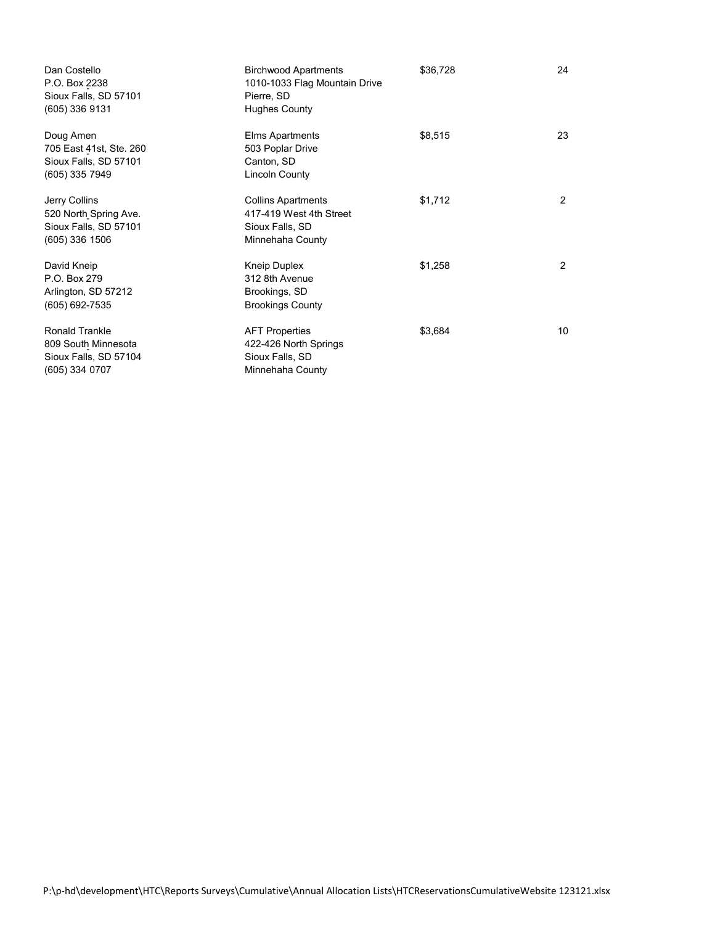| Dan Costello<br>P.O. Box 2238<br>Sioux Falls, SD 57101<br>(605) 336 9131                | <b>Birchwood Apartments</b><br>1010-1033 Flag Mountain Drive<br>Pierre, SD<br><b>Hughes County</b> | \$36,728 | 24 |
|-----------------------------------------------------------------------------------------|----------------------------------------------------------------------------------------------------|----------|----|
| Doug Amen<br>705 East 41st, Ste. 260<br>Sioux Falls, SD 57101<br>(605) 335 7949         | Elms Apartments<br>503 Poplar Drive<br>Canton, SD<br><b>Lincoln County</b>                         | \$8,515  | 23 |
| Jerry Collins<br>520 North Spring Ave.<br>Sioux Falls, SD 57101<br>$(605)$ 336 1506     | <b>Collins Apartments</b><br>417-419 West 4th Street<br>Sioux Falls, SD<br>Minnehaha County        | \$1,712  | 2  |
| David Kneip<br>P.O. Box 279<br>Arlington, SD 57212<br>(605) 692-7535                    | Kneip Duplex<br>312 8th Avenue<br>Brookings, SD<br><b>Brookings County</b>                         | \$1,258  | 2  |
| <b>Ronald Trankle</b><br>809 South Minnesota<br>Sioux Falls, SD 57104<br>(605) 334 0707 | <b>AFT Properties</b><br>422-426 North Springs<br>Sioux Falls, SD<br>Minnehaha County              | \$3,684  | 10 |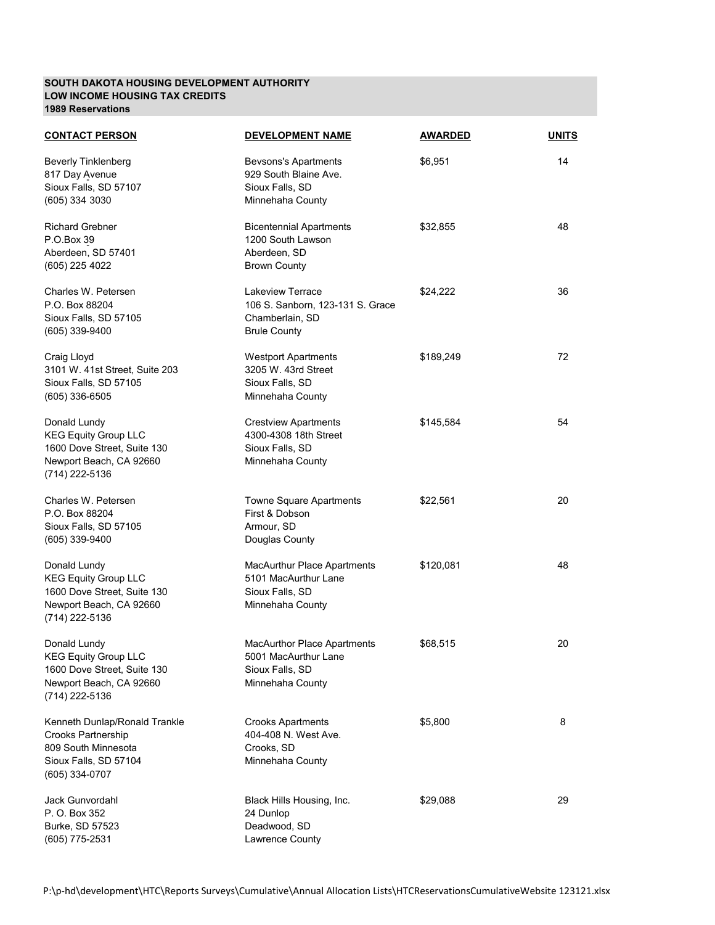#### **SOUTH DAKOTA HOUSING DEVELOPMENT AUTHORITY LOW INCOME HOUSING TAX CREDITS 1989 Reservations**

| <b>CONTACT PERSON</b>                                                                                                        | <b>DEVELOPMENT NAME</b>                                                                               | <u>AWARDED</u> | <u>UNITS</u> |
|------------------------------------------------------------------------------------------------------------------------------|-------------------------------------------------------------------------------------------------------|----------------|--------------|
| <b>Beverly Tinklenberg</b><br>817 Day Avenue<br>Sioux Falls, SD 57107<br>(605) 334 3030                                      | <b>Bevsons's Apartments</b><br>929 South Blaine Ave.<br>Sioux Falls, SD<br>Minnehaha County           | \$6,951        | 14           |
| <b>Richard Grebner</b><br>P.O.Box 39<br>Aberdeen, SD 57401<br>(605) 225 4022                                                 | <b>Bicentennial Apartments</b><br>1200 South Lawson<br>Aberdeen, SD<br><b>Brown County</b>            | \$32,855       | 48           |
| Charles W. Petersen<br>P.O. Box 88204<br>Sioux Falls, SD 57105<br>(605) 339-9400                                             | <b>Lakeview Terrace</b><br>106 S. Sanborn, 123-131 S. Grace<br>Chamberlain, SD<br><b>Brule County</b> | \$24,222       | 36           |
| Craig Lloyd<br>3101 W. 41st Street, Suite 203<br>Sioux Falls, SD 57105<br>$(605)$ 336-6505                                   | <b>Westport Apartments</b><br>3205 W. 43rd Street<br>Sioux Falls, SD<br>Minnehaha County              | \$189,249      | 72           |
| Donald Lundy<br><b>KEG Equity Group LLC</b><br>1600 Dove Street, Suite 130<br>Newport Beach, CA 92660<br>(714) 222-5136      | <b>Crestview Apartments</b><br>4300-4308 18th Street<br>Sioux Falls, SD<br>Minnehaha County           | \$145,584      | 54           |
| Charles W. Petersen<br>P.O. Box 88204<br>Sioux Falls, SD 57105<br>(605) 339-9400                                             | <b>Towne Square Apartments</b><br>First & Dobson<br>Armour, SD<br>Douglas County                      | \$22,561       | 20           |
| Donald Lundy<br><b>KEG Equity Group LLC</b><br>1600 Dove Street, Suite 130<br>Newport Beach, CA 92660<br>(714) 222-5136      | <b>MacAurthur Place Apartments</b><br>5101 MacAurthur Lane<br>Sioux Falls, SD<br>Minnehaha County     | \$120,081      | 48           |
| Donald Lundy<br><b>KEG Equity Group LLC</b><br>1600 Dove Street, Suite 130<br>Newport Beach, CA 92660<br>(714) 222-5136      | <b>MacAurthor Place Apartments</b><br>5001 MacAurthur Lane<br>Sioux Falls, SD<br>Minnehaha County     | \$68,515       | 20           |
| Kenneth Dunlap/Ronald Trankle<br><b>Crooks Partnership</b><br>809 South Minnesota<br>Sioux Falls, SD 57104<br>(605) 334-0707 | <b>Crooks Apartments</b><br>404-408 N. West Ave.<br>Crooks, SD<br>Minnehaha County                    | \$5,800        | 8            |
| Jack Gunvordahl<br>P. O. Box 352<br>Burke, SD 57523<br>(605) 775-2531                                                        | Black Hills Housing, Inc.<br>24 Dunlop<br>Deadwood, SD<br>Lawrence County                             | \$29,088       | 29           |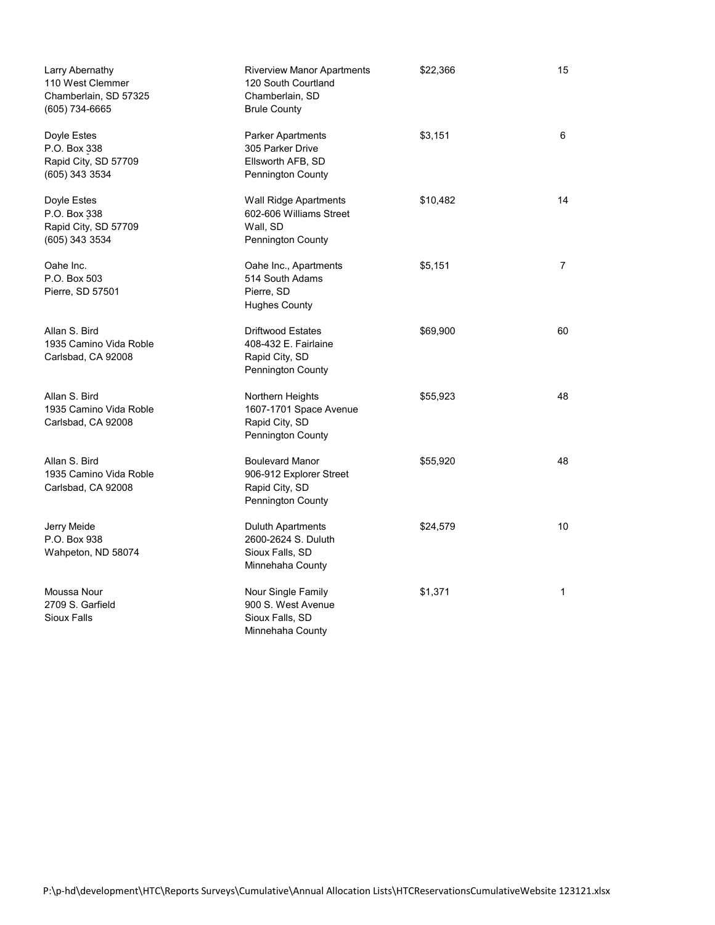| Larry Abernathy<br>110 West Clemmer<br>Chamberlain, SD 57325<br>(605) 734-6665 | <b>Riverview Manor Apartments</b><br>120 South Courtland<br>Chamberlain, SD<br><b>Brule County</b> | \$22,366 | 15             |
|--------------------------------------------------------------------------------|----------------------------------------------------------------------------------------------------|----------|----------------|
| Doyle Estes<br>P.O. Box 338<br>Rapid City, SD 57709<br>(605) 343 3534          | <b>Parker Apartments</b><br>305 Parker Drive<br>Ellsworth AFB, SD<br>Pennington County             | \$3,151  | 6              |
| Doyle Estes<br>P.O. Box 338<br>Rapid City, SD 57709<br>(605) 343 3534          | Wall Ridge Apartments<br>602-606 Williams Street<br>Wall, SD<br><b>Pennington County</b>           | \$10,482 | 14             |
| Oahe Inc.<br>P.O. Box 503<br>Pierre, SD 57501                                  | Oahe Inc., Apartments<br>514 South Adams<br>Pierre, SD<br><b>Hughes County</b>                     | \$5,151  | $\overline{7}$ |
| Allan S. Bird<br>1935 Camino Vida Roble<br>Carlsbad, CA 92008                  | <b>Driftwood Estates</b><br>408-432 E. Fairlaine<br>Rapid City, SD<br>Pennington County            | \$69,900 | 60             |
| Allan S. Bird<br>1935 Camino Vida Roble<br>Carlsbad, CA 92008                  | Northern Heights<br>1607-1701 Space Avenue<br>Rapid City, SD<br>Pennington County                  | \$55,923 | 48             |
| Allan S. Bird<br>1935 Camino Vida Roble<br>Carlsbad, CA 92008                  | <b>Boulevard Manor</b><br>906-912 Explorer Street<br>Rapid City, SD<br>Pennington County           | \$55,920 | 48             |
| Jerry Meide<br>P.O. Box 938<br>Wahpeton, ND 58074                              | <b>Duluth Apartments</b><br>2600-2624 S. Duluth<br>Sioux Falls, SD<br>Minnehaha County             | \$24,579 | 10             |
| Moussa Nour<br>2709 S. Garfield<br>Sioux Falls                                 | Nour Single Family<br>900 S. West Avenue<br>Sioux Falls, SD<br>Minnehaha County                    | \$1,371  | $\mathbf{1}$   |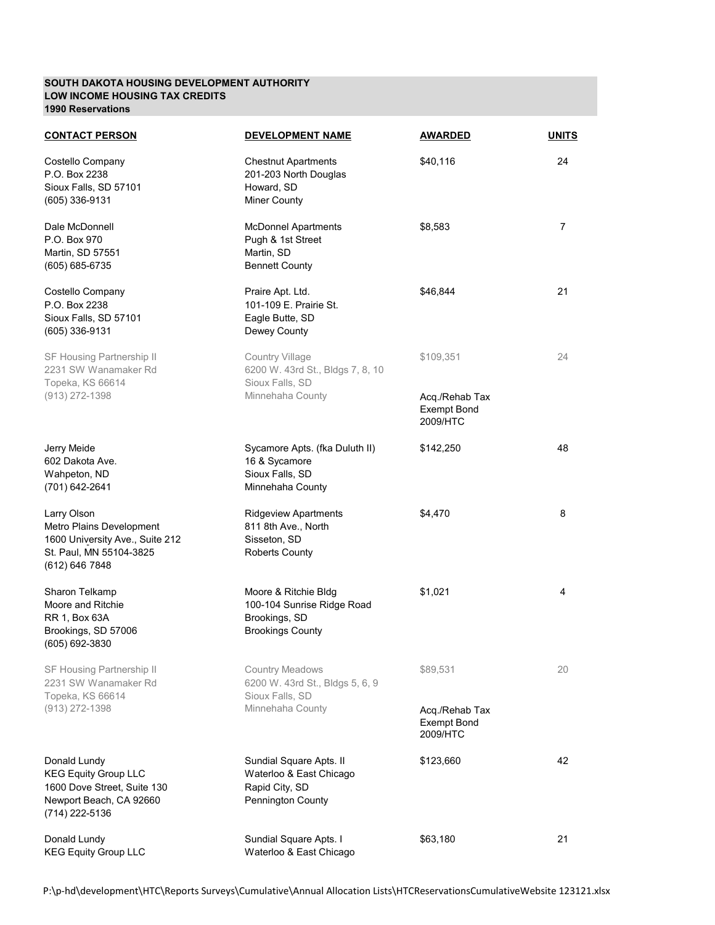## **SOUTH DAKOTA HOUSING DEVELOPMENT AUTHORITY LOW INCOME HOUSING TAX CREDITS 1990 Reservations**

| <b>CONTACT PERSON</b>                                                                                                   | <b>DEVELOPMENT NAME</b>                                                                           | <u>AWARDED</u>                                                | <b>UNITS</b> |
|-------------------------------------------------------------------------------------------------------------------------|---------------------------------------------------------------------------------------------------|---------------------------------------------------------------|--------------|
| Costello Company<br>P.O. Box 2238<br>Sioux Falls, SD 57101<br>$(605)$ 336-9131                                          | <b>Chestnut Apartments</b><br>201-203 North Douglas<br>Howard, SD<br><b>Miner County</b>          | \$40,116                                                      | 24           |
| Dale McDonnell<br>P.O. Box 970<br>Martin, SD 57551<br>(605) 685-6735                                                    | <b>McDonnel Apartments</b><br>Pugh & 1st Street<br>Martin, SD<br><b>Bennett County</b>            | \$8,583                                                       | 7            |
| Costello Company<br>P.O. Box 2238<br>Sioux Falls, SD 57101<br>(605) 336-9131                                            | Praire Apt. Ltd.<br>101-109 E. Prairie St.<br>Eagle Butte, SD<br>Dewey County                     | \$46,844                                                      | 21           |
| SF Housing Partnership II<br>2231 SW Wanamaker Rd<br>Topeka, KS 66614<br>$(913)$ 272-1398                               | <b>Country Village</b><br>6200 W. 43rd St., Bldgs 7, 8, 10<br>Sioux Falls, SD<br>Minnehaha County | \$109,351<br>Acq./Rehab Tax<br><b>Exempt Bond</b><br>2009/HTC | 24           |
| Jerry Meide<br>602 Dakota Ave.<br>Wahpeton, ND<br>(701) 642-2641                                                        | Sycamore Apts. (fka Duluth II)<br>16 & Sycamore<br>Sioux Falls, SD<br>Minnehaha County            | \$142,250                                                     | 48           |
| Larry Olson<br>Metro Plains Development<br>1600 University Ave., Suite 212<br>St. Paul, MN 55104-3825<br>(612) 646 7848 | <b>Ridgeview Apartments</b><br>811 8th Ave., North<br>Sisseton, SD<br><b>Roberts County</b>       | \$4,470                                                       | 8            |
| Sharon Telkamp<br>Moore and Ritchie<br><b>RR 1, Box 63A</b><br>Brookings, SD 57006<br>(605) 692-3830                    | Moore & Ritchie Bldg<br>100-104 Sunrise Ridge Road<br>Brookings, SD<br><b>Brookings County</b>    | \$1,021                                                       | 4            |
| SF Housing Partnership II<br>2231 SW Wanamaker Rd<br>Topeka, KS 66614<br>$(913)$ 272-1398                               | <b>Country Meadows</b><br>6200 W. 43rd St., Bldgs 5, 6, 9<br>Sioux Falls, SD<br>Minnehaha County  | \$89,531<br>Acq./Rehab Tax<br><b>Exempt Bond</b><br>2009/HTC  | 20           |
| Donald Lundy<br><b>KEG Equity Group LLC</b><br>1600 Dove Street, Suite 130<br>Newport Beach, CA 92660<br>(714) 222-5136 | Sundial Square Apts. II<br>Waterloo & East Chicago<br>Rapid City, SD<br>Pennington County         | \$123,660                                                     | 42           |
| Donald Lundy<br><b>KEG Equity Group LLC</b>                                                                             | Sundial Square Apts. I<br>Waterloo & East Chicago                                                 | \$63,180                                                      | 21           |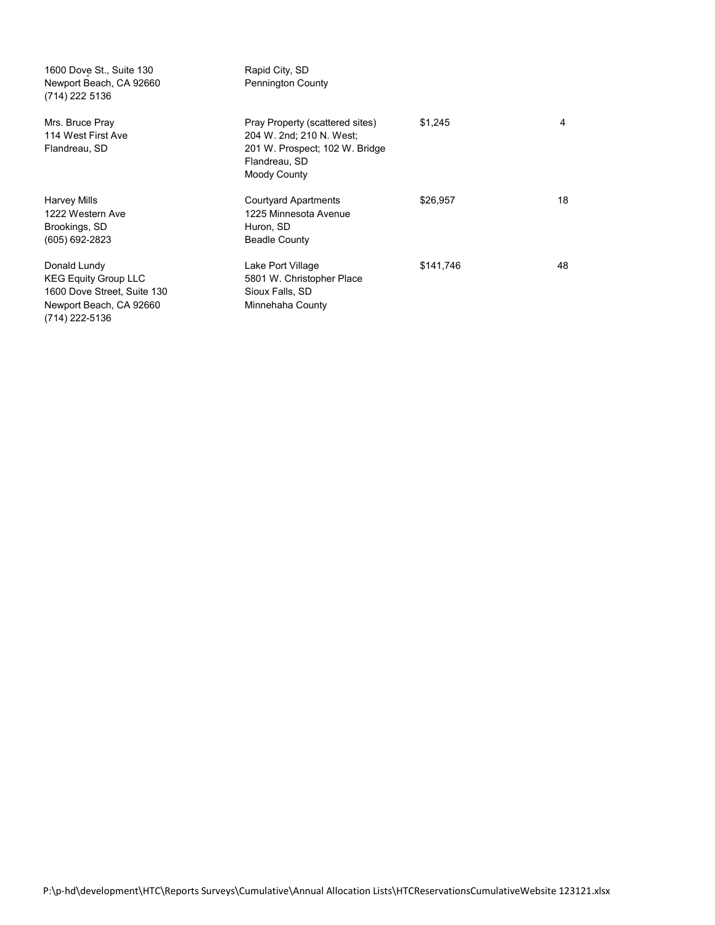| 1600 Dove St., Suite 130<br>Newport Beach, CA 92660<br>(714) 222 5136                                                   | Rapid City, SD<br><b>Pennington County</b>                                                                                            |           |    |
|-------------------------------------------------------------------------------------------------------------------------|---------------------------------------------------------------------------------------------------------------------------------------|-----------|----|
| Mrs. Bruce Pray<br>114 West First Ave<br>Flandreau, SD                                                                  | Pray Property (scattered sites)<br>204 W. 2nd; 210 N. West;<br>201 W. Prospect: 102 W. Bridge<br>Flandreau, SD<br><b>Moody County</b> | \$1,245   | 4  |
| <b>Harvey Mills</b><br>1222 Western Ave<br>Brookings, SD<br>(605) 692-2823                                              | <b>Courtyard Apartments</b><br>1225 Minnesota Avenue<br>Huron, SD<br><b>Beadle County</b>                                             | \$26,957  | 18 |
| Donald Lundy<br><b>KEG Equity Group LLC</b><br>1600 Dove Street, Suite 130<br>Newport Beach, CA 92660<br>(714) 222-5136 | Lake Port Village<br>5801 W. Christopher Place<br>Sioux Falls, SD<br>Minnehaha County                                                 | \$141,746 | 48 |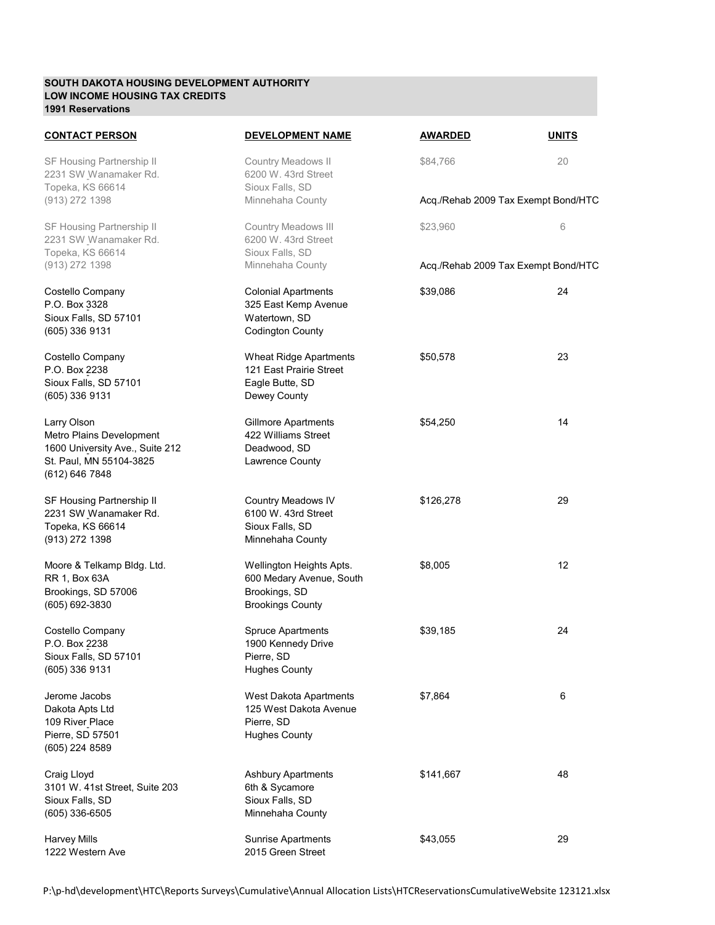## **SOUTH DAKOTA HOUSING DEVELOPMENT AUTHORITY LOW INCOME HOUSING TAX CREDITS 1991 Reservations**

| <u>CONTACT PERSON</u>                                                                                                   | DEVELOPMENT NAME                                                                                 | <u>AWARDED</u>                      | <u>UNITS</u> |
|-------------------------------------------------------------------------------------------------------------------------|--------------------------------------------------------------------------------------------------|-------------------------------------|--------------|
| SF Housing Partnership II<br>2231 SW Wanamaker Rd.<br>Topeka, KS 66614                                                  | <b>Country Meadows II</b><br>6200 W. 43rd Street<br>Sioux Falls, SD                              | \$84,766                            | 20           |
| $(913)$ 272 1398                                                                                                        | Minnehaha County                                                                                 | Acq./Rehab 2009 Tax Exempt Bond/HTC |              |
| SF Housing Partnership II<br>2231 SW Wanamaker Rd.                                                                      | <b>Country Meadows III</b><br>6200 W. 43rd Street                                                | \$23,960                            | 6            |
| Topeka, KS 66614<br>(913) 272 1398                                                                                      | Sioux Falls, SD<br>Minnehaha County                                                              | Acq./Rehab 2009 Tax Exempt Bond/HTC |              |
| Costello Company<br>P.O. Box 3328<br>Sioux Falls, SD 57101<br>(605) 336 9131                                            | <b>Colonial Apartments</b><br>325 East Kemp Avenue<br>Watertown, SD<br><b>Codington County</b>   | \$39,086                            | 24           |
| Costello Company<br>P.O. Box 2238<br>Sioux Falls, SD 57101<br>(605) 336 9131                                            | Wheat Ridge Apartments<br>121 East Prairie Street<br>Eagle Butte, SD<br>Dewey County             | \$50,578                            | 23           |
| Larry Olson<br>Metro Plains Development<br>1600 University Ave., Suite 212<br>St. Paul, MN 55104-3825<br>(612) 646 7848 | <b>Gillmore Apartments</b><br>422 Williams Street<br>Deadwood, SD<br>Lawrence County             | \$54,250                            | 14           |
| SF Housing Partnership II<br>2231 SW Wanamaker Rd.<br>Topeka, KS 66614<br>(913) 272 1398                                | Country Meadows IV<br>6100 W. 43rd Street<br>Sioux Falls, SD<br>Minnehaha County                 | \$126,278                           | 29           |
| Moore & Telkamp Bldg. Ltd.<br>RR 1, Box 63A<br>Brookings, SD 57006<br>(605) 692-3830                                    | Wellington Heights Apts.<br>600 Medary Avenue, South<br>Brookings, SD<br><b>Brookings County</b> | \$8,005                             | 12           |
| Costello Company<br>P.O. Box 2238<br>Sioux Falls, SD 57101<br>(605) 336 9131                                            | Spruce Apartments<br>1900 Kennedy Drive<br>Pierre, SD<br><b>Hughes County</b>                    | \$39,185                            | 24           |
| Jerome Jacobs<br>Dakota Apts Ltd<br>109 River Place<br>Pierre, SD 57501<br>(605) 224 8589                               | West Dakota Apartments<br>125 West Dakota Avenue<br>Pierre, SD<br><b>Hughes County</b>           | \$7,864                             | 6            |
| Craig Lloyd<br>3101 W. 41st Street, Suite 203<br>Sioux Falls, SD<br>$(605)$ 336-6505                                    | <b>Ashbury Apartments</b><br>6th & Sycamore<br>Sioux Falls, SD<br>Minnehaha County               | \$141,667                           | 48           |
| <b>Harvey Mills</b><br>1222 Western Ave                                                                                 | <b>Sunrise Apartments</b><br>2015 Green Street                                                   | \$43,055                            | 29           |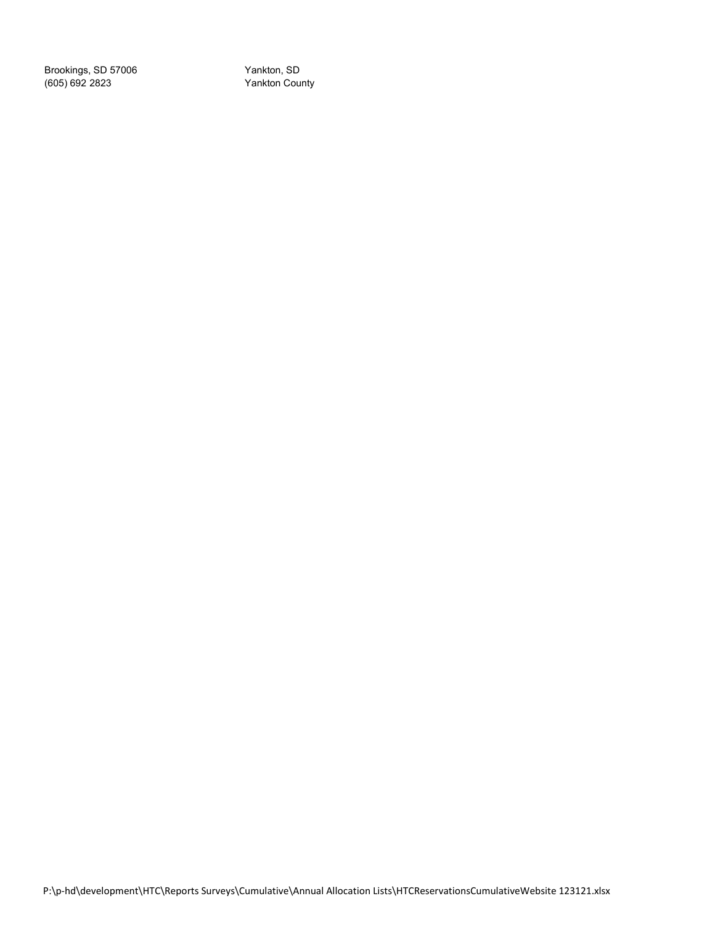Brookings, SD 57006 Yankton, SD<br>(605) 692 2823 Yankton Cou

Yankton County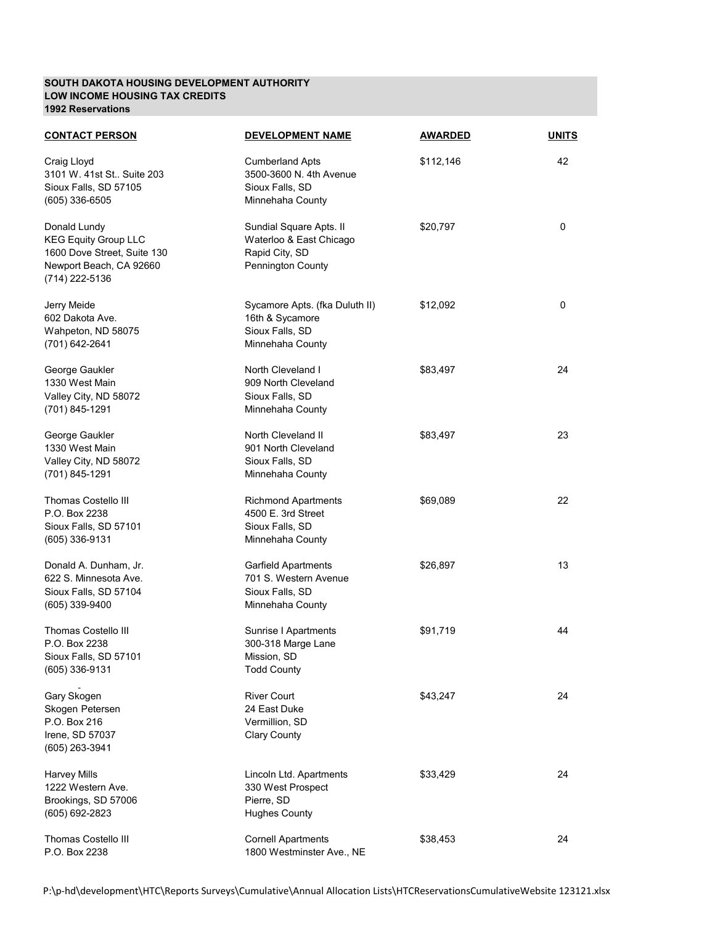## **SOUTH DAKOTA HOUSING DEVELOPMENT AUTHORITY LOW INCOME HOUSING TAX CREDITS 1992 Reservations**

| <b>CONTACT PERSON</b>                                                                                                   | <b>DEVELOPMENT NAME</b>                                                                   | <b>AWARDED</b> | <u>UNITS</u> |
|-------------------------------------------------------------------------------------------------------------------------|-------------------------------------------------------------------------------------------|----------------|--------------|
| Craig Lloyd<br>3101 W. 41st St., Suite 203<br>Sioux Falls, SD 57105<br>$(605)$ 336-6505                                 | <b>Cumberland Apts</b><br>3500-3600 N. 4th Avenue<br>Sioux Falls, SD<br>Minnehaha County  | \$112,146      | 42           |
| Donald Lundy<br><b>KEG Equity Group LLC</b><br>1600 Dove Street, Suite 130<br>Newport Beach, CA 92660<br>(714) 222-5136 | Sundial Square Apts. II<br>Waterloo & East Chicago<br>Rapid City, SD<br>Pennington County | \$20,797       | 0            |
| Jerry Meide<br>602 Dakota Ave.<br>Wahpeton, ND 58075<br>(701) 642-2641                                                  | Sycamore Apts. (fka Duluth II)<br>16th & Sycamore<br>Sioux Falls, SD<br>Minnehaha County  | \$12,092       | 0            |
| George Gaukler<br>1330 West Main<br>Valley City, ND 58072<br>(701) 845-1291                                             | North Cleveland I<br>909 North Cleveland<br>Sioux Falls, SD<br>Minnehaha County           | \$83,497       | 24           |
| George Gaukler<br>1330 West Main<br>Valley City, ND 58072<br>(701) 845-1291                                             | North Cleveland II<br>901 North Cleveland<br>Sioux Falls, SD<br>Minnehaha County          | \$83,497       | 23           |
| <b>Thomas Costello III</b><br>P.O. Box 2238<br>Sioux Falls, SD 57101<br>(605) 336-9131                                  | <b>Richmond Apartments</b><br>4500 E. 3rd Street<br>Sioux Falls, SD<br>Minnehaha County   | \$69,089       | 22           |
| Donald A. Dunham, Jr.<br>622 S. Minnesota Ave.<br>Sioux Falls, SD 57104<br>$(605)$ 339-9400                             | Garfield Apartments<br>701 S. Western Avenue<br>Sioux Falls, SD<br>Minnehaha County       | \$26,897       | 13           |
| Thomas Costello III<br>P.O. Box 2238<br>Sioux Falls, SD 57101<br>(605) 336-9131                                         | Sunrise I Apartments<br>300-318 Marge Lane<br>Mission, SD<br><b>Todd County</b>           | \$91,719       | 44           |
| Gary Skogen<br>Skogen Petersen<br>P.O. Box 216<br>Irene, SD 57037<br>(605) 263-3941                                     | <b>River Court</b><br>24 East Duke<br>Vermillion, SD<br><b>Clary County</b>               | \$43,247       | 24           |
| <b>Harvey Mills</b><br>1222 Western Ave.<br>Brookings, SD 57006<br>(605) 692-2823                                       | Lincoln Ltd. Apartments<br>330 West Prospect<br>Pierre, SD<br><b>Hughes County</b>        | \$33,429       | 24           |
| <b>Thomas Costello III</b><br>P.O. Box 2238                                                                             | <b>Cornell Apartments</b><br>1800 Westminster Ave., NE                                    | \$38,453       | 24           |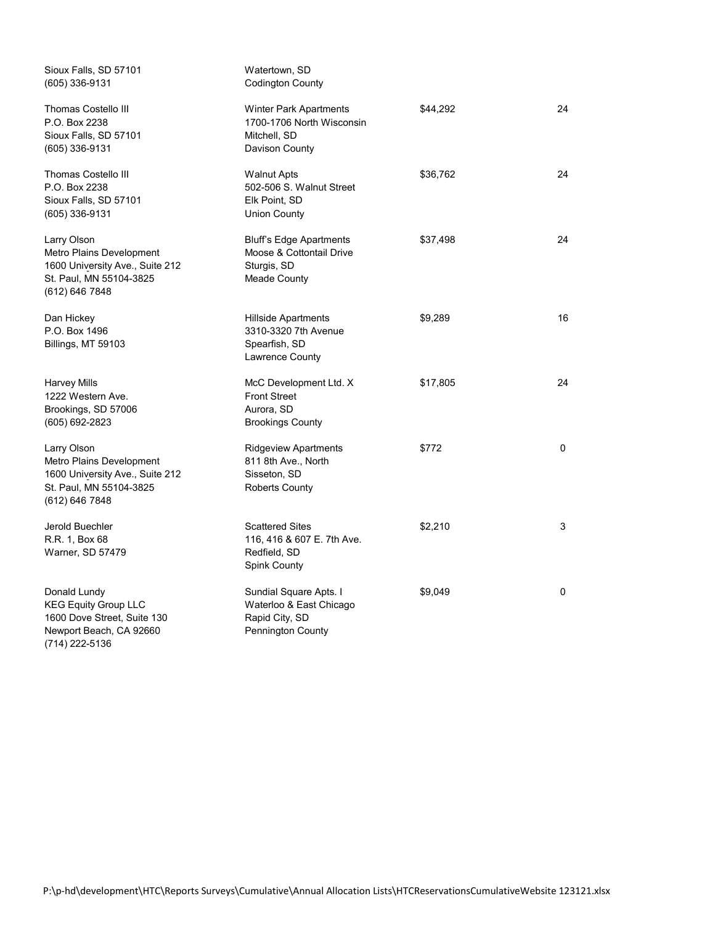| Sioux Falls, SD 57101<br>(605) 336-9131                                                                                 | Watertown, SD<br><b>Codington County</b>                                                        |          |    |
|-------------------------------------------------------------------------------------------------------------------------|-------------------------------------------------------------------------------------------------|----------|----|
| Thomas Costello III<br>P.O. Box 2238<br>Sioux Falls, SD 57101<br>(605) 336-9131                                         | <b>Winter Park Apartments</b><br>1700-1706 North Wisconsin<br>Mitchell, SD<br>Davison County    | \$44,292 | 24 |
| Thomas Costello III<br>P.O. Box 2238<br>Sioux Falls, SD 57101<br>(605) 336-9131                                         | <b>Walnut Apts</b><br>502-506 S. Walnut Street<br>Elk Point, SD<br><b>Union County</b>          | \$36,762 | 24 |
| Larry Olson<br>Metro Plains Development<br>1600 University Ave., Suite 212<br>St. Paul, MN 55104-3825<br>(612) 646 7848 | <b>Bluff's Edge Apartments</b><br>Moose & Cottontail Drive<br>Sturgis, SD<br>Meade County       | \$37,498 | 24 |
| Dan Hickey<br>P.O. Box 1496<br>Billings, MT 59103                                                                       | <b>Hillside Apartments</b><br>3310-3320 7th Avenue<br>Spearfish, SD<br>Lawrence County          | \$9,289  | 16 |
| Harvey Mills<br>1222 Western Ave.<br>Brookings, SD 57006<br>(605) 692-2823                                              | McC Development Ltd. X<br><b>Front Street</b><br>Aurora, SD<br><b>Brookings County</b>          | \$17,805 | 24 |
| Larry Olson<br>Metro Plains Development<br>1600 University Ave., Suite 212<br>St. Paul, MN 55104-3825<br>(612) 646 7848 | <b>Ridgeview Apartments</b><br>811 8th Ave., North<br>Sisseton, SD<br><b>Roberts County</b>     | \$772    | 0  |
| Jerold Buechler<br>R.R. 1, Box 68<br>Warner, SD 57479                                                                   | <b>Scattered Sites</b><br>116, 416 & 607 E. 7th Ave.<br>Redfield, SD<br><b>Spink County</b>     | \$2,210  | 3  |
| Donald Lundy<br><b>KEG Equity Group LLC</b><br>1600 Dove Street, Suite 130<br>Newport Beach, CA 92660<br>(714) 222-5136 | Sundial Square Apts. I<br>Waterloo & East Chicago<br>Rapid City, SD<br><b>Pennington County</b> | \$9,049  | 0  |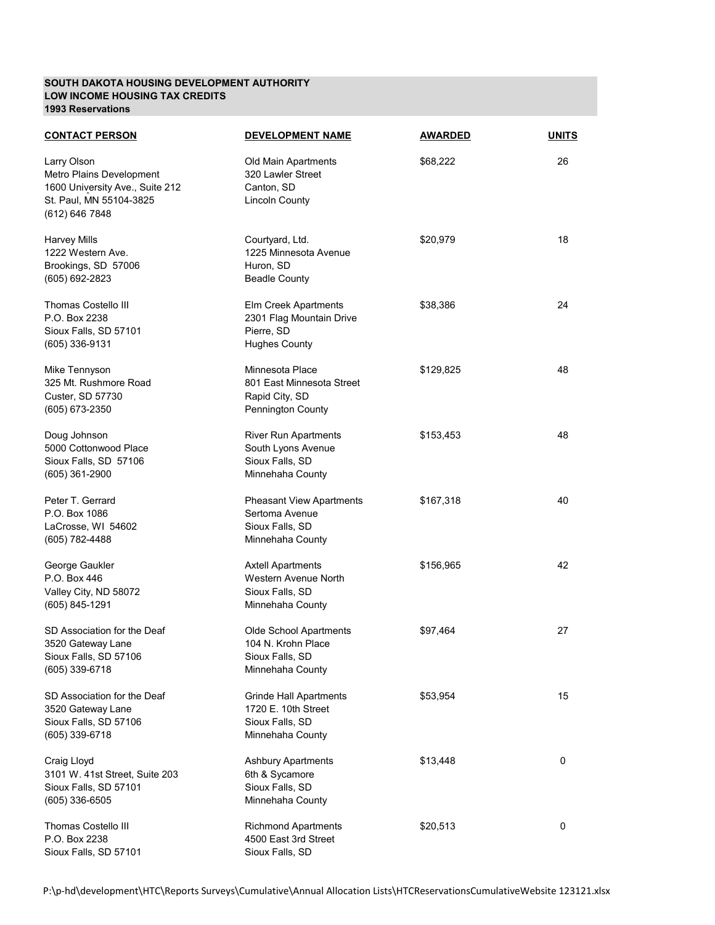## **SOUTH DAKOTA HOUSING DEVELOPMENT AUTHORITY LOW INCOME HOUSING TAX CREDITS 1993 Reservations**

| <b>CONTACT PERSON</b>                                                                                                   | <b>DEVELOPMENT NAME</b>                                                                     | <b>AWARDED</b> | <b>UNITS</b> |
|-------------------------------------------------------------------------------------------------------------------------|---------------------------------------------------------------------------------------------|----------------|--------------|
| Larry Olson<br>Metro Plains Development<br>1600 University Ave., Suite 212<br>St. Paul, MN 55104-3825<br>(612) 646 7848 | Old Main Apartments<br>320 Lawler Street<br>Canton, SD<br><b>Lincoln County</b>             | \$68,222       | 26           |
| <b>Harvey Mills</b><br>1222 Western Ave.<br>Brookings, SD 57006<br>(605) 692-2823                                       | Courtyard, Ltd.<br>1225 Minnesota Avenue<br>Huron, SD<br><b>Beadle County</b>               | \$20,979       | 18           |
| Thomas Costello III<br>P.O. Box 2238<br>Sioux Falls, SD 57101<br>(605) 336-9131                                         | Elm Creek Apartments<br>2301 Flag Mountain Drive<br>Pierre, SD<br><b>Hughes County</b>      | \$38,386       | 24           |
| Mike Tennyson<br>325 Mt. Rushmore Road<br>Custer, SD 57730<br>(605) 673-2350                                            | Minnesota Place<br>801 East Minnesota Street<br>Rapid City, SD<br>Pennington County         | \$129,825      | 48           |
| Doug Johnson<br>5000 Cottonwood Place<br>Sioux Falls, SD 57106<br>$(605)$ 361-2900                                      | <b>River Run Apartments</b><br>South Lyons Avenue<br>Sioux Falls, SD<br>Minnehaha County    | \$153,453      | 48           |
| Peter T. Gerrard<br>P.O. Box 1086<br>LaCrosse, WI 54602<br>(605) 782-4488                                               | <b>Pheasant View Apartments</b><br>Sertoma Avenue<br>Sioux Falls, SD<br>Minnehaha County    | \$167,318      | 40           |
| George Gaukler<br>P.O. Box 446<br>Valley City, ND 58072<br>(605) 845-1291                                               | <b>Axtell Apartments</b><br>Western Avenue North<br>Sioux Falls, SD<br>Minnehaha County     | \$156,965      | 42           |
| SD Association for the Deaf<br>3520 Gateway Lane<br>Sioux Falls, SD 57106<br>(605) 339-6718                             | Olde School Apartments<br>104 N. Krohn Place<br>Sioux Falls, SD<br>Minnehaha County         | \$97,464       | 27           |
| SD Association for the Deaf<br>3520 Gateway Lane<br>Sioux Falls, SD 57106<br>$(605)$ 339-6718                           | <b>Grinde Hall Apartments</b><br>1720 E. 10th Street<br>Sioux Falls, SD<br>Minnehaha County | \$53,954       | 15           |
| Craig Lloyd<br>3101 W. 41st Street, Suite 203<br>Sioux Falls, SD 57101<br>$(605)$ 336-6505                              | <b>Ashbury Apartments</b><br>6th & Sycamore<br>Sioux Falls, SD<br>Minnehaha County          | \$13,448       | 0            |
| Thomas Costello III<br>P.O. Box 2238<br>Sioux Falls, SD 57101                                                           | <b>Richmond Apartments</b><br>4500 East 3rd Street<br>Sioux Falls, SD                       | \$20,513       | 0            |

P:\p-hd\development\HTC\Reports Surveys\Cumulative\Annual Allocation Lists\HTCReservationsCumulativeWebsite 123121.xlsx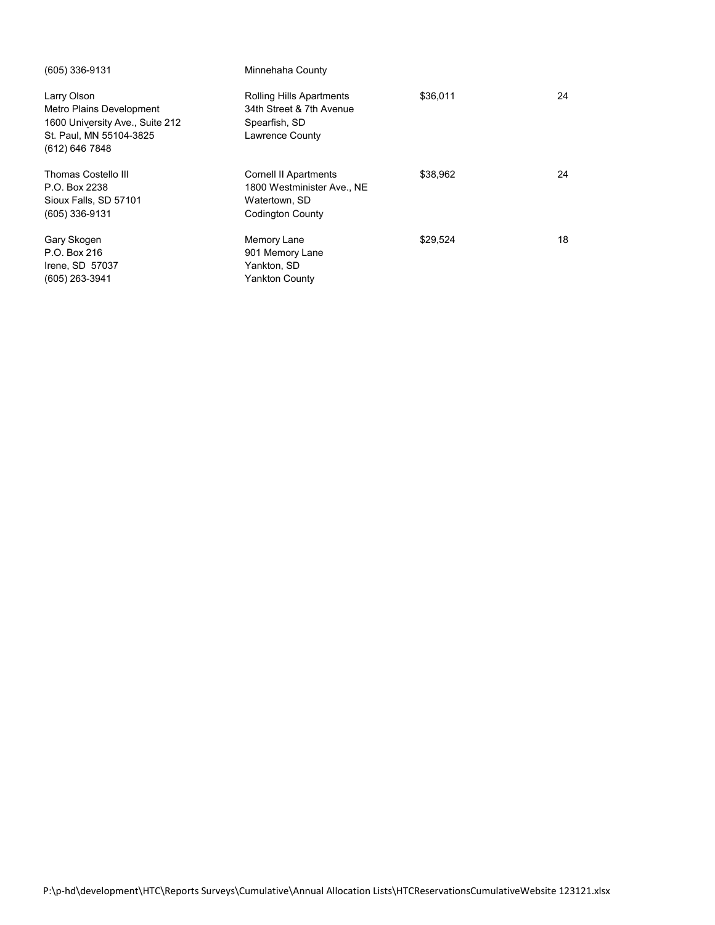| (605) 336-9131                  | Minnehaha County                |          |    |
|---------------------------------|---------------------------------|----------|----|
| Larry Olson                     | <b>Rolling Hills Apartments</b> | \$36,011 | 24 |
| Metro Plains Development        | 34th Street & 7th Avenue        |          |    |
| 1600 University Ave., Suite 212 | Spearfish, SD                   |          |    |
| St. Paul, MN 55104-3825         | Lawrence County                 |          |    |
| (612) 646 7848                  |                                 |          |    |
| Thomas Costello III             | <b>Cornell II Apartments</b>    | \$38,962 | 24 |
| P.O. Box 2238                   | 1800 Westminister Ave., NE      |          |    |
| Sioux Falls, SD 57101           | Watertown, SD                   |          |    |
| $(605)$ 336-9131                | Codington County                |          |    |
| Gary Skogen                     | Memory Lane                     | \$29,524 | 18 |
| P.O. Box 216                    | 901 Memory Lane                 |          |    |
| Irene, SD 57037                 | Yankton, SD                     |          |    |
| (605) 263-3941                  | Yankton County                  |          |    |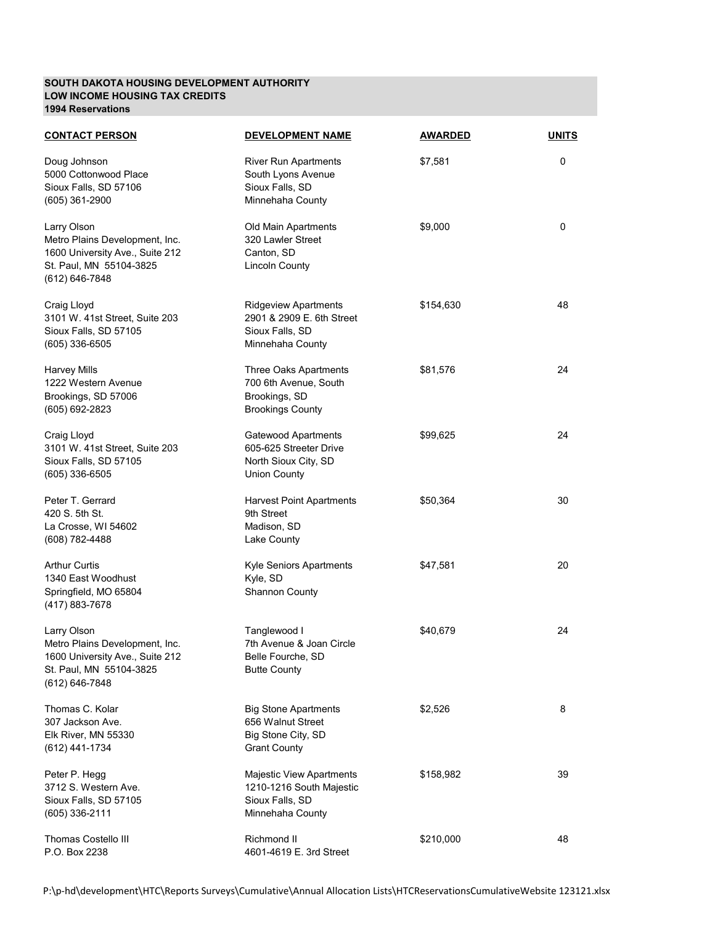## **SOUTH DAKOTA HOUSING DEVELOPMENT AUTHORITY LOW INCOME HOUSING TAX CREDITS 1994 Reservations**

| <b>CONTACT PERSON</b>                                                                                                         | <b>DEVELOPMENT NAME</b>                                                                            | <u>AWARDED</u> | <u>UNITS</u> |
|-------------------------------------------------------------------------------------------------------------------------------|----------------------------------------------------------------------------------------------------|----------------|--------------|
| Doug Johnson<br>5000 Cottonwood Place<br>Sioux Falls, SD 57106<br>$(605)$ 361-2900                                            | <b>River Run Apartments</b><br>South Lyons Avenue<br>Sioux Falls, SD<br>Minnehaha County           | \$7,581        | 0            |
| Larry Olson<br>Metro Plains Development, Inc.<br>1600 University Ave., Suite 212<br>St. Paul, MN 55104-3825<br>(612) 646-7848 | Old Main Apartments<br>320 Lawler Street<br>Canton, SD<br><b>Lincoln County</b>                    | \$9,000        | 0            |
| Craig Lloyd<br>3101 W. 41st Street, Suite 203<br>Sioux Falls, SD 57105<br>$(605)$ 336-6505                                    | <b>Ridgeview Apartments</b><br>2901 & 2909 E. 6th Street<br>Sioux Falls, SD<br>Minnehaha County    | \$154,630      | 48           |
| <b>Harvey Mills</b><br>1222 Western Avenue<br>Brookings, SD 57006<br>(605) 692-2823                                           | Three Oaks Apartments<br>700 6th Avenue, South<br>Brookings, SD<br><b>Brookings County</b>         | \$81,576       | 24           |
| Craig Lloyd<br>3101 W. 41st Street, Suite 203<br>Sioux Falls, SD 57105<br>$(605)$ 336-6505                                    | Gatewood Apartments<br>605-625 Streeter Drive<br>North Sioux City, SD<br><b>Union County</b>       | \$99,625       | 24           |
| Peter T. Gerrard<br>420 S. 5th St.<br>La Crosse, WI 54602<br>(608) 782-4488                                                   | <b>Harvest Point Apartments</b><br>9th Street<br>Madison, SD<br>Lake County                        | \$50,364       | 30           |
| <b>Arthur Curtis</b><br>1340 East Woodhust<br>Springfield, MO 65804<br>(417) 883-7678                                         | Kyle Seniors Apartments<br>Kyle, SD<br><b>Shannon County</b>                                       | \$47,581       | 20           |
| Larry Olson<br>Metro Plains Development, Inc.<br>1600 University Ave., Suite 212<br>St. Paul, MN 55104-3825<br>(612) 646-7848 | Tanglewood I<br>7th Avenue & Joan Circle<br>Belle Fourche, SD<br><b>Butte County</b>               | \$40,679       | 24           |
| Thomas C. Kolar<br>307 Jackson Ave.<br>Elk River, MN 55330<br>(612) 441-1734                                                  | <b>Big Stone Apartments</b><br>656 Walnut Street<br>Big Stone City, SD<br><b>Grant County</b>      | \$2,526        | 8            |
| Peter P. Hegg<br>3712 S. Western Ave.<br>Sioux Falls, SD 57105<br>(605) 336-2111                                              | <b>Majestic View Apartments</b><br>1210-1216 South Majestic<br>Sioux Falls, SD<br>Minnehaha County | \$158,982      | 39           |
| Thomas Costello III<br>P.O. Box 2238                                                                                          | Richmond II<br>4601-4619 E. 3rd Street                                                             | \$210,000      | 48           |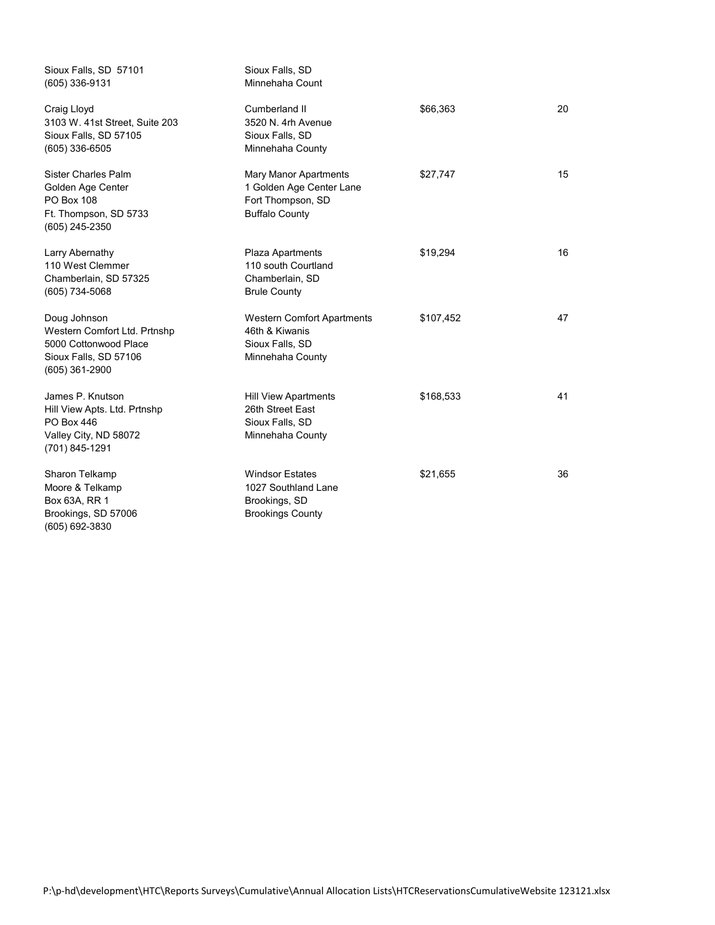| Sioux Falls, SD 57101<br>(605) 336-9131   | Sioux Falls, SD<br>Minnehaha Count  |           |    |
|-------------------------------------------|-------------------------------------|-----------|----|
| Craig Lloyd                               | Cumberland II                       | \$66,363  | 20 |
| 3103 W. 41st Street, Suite 203            | 3520 N. 4rh Avenue                  |           |    |
| Sioux Falls, SD 57105<br>$(605)$ 336-6505 | Sioux Falls, SD<br>Minnehaha County |           |    |
|                                           |                                     |           |    |
| Sister Charles Palm                       | <b>Mary Manor Apartments</b>        | \$27,747  | 15 |
| Golden Age Center                         | 1 Golden Age Center Lane            |           |    |
| <b>PO Box 108</b>                         | Fort Thompson, SD                   |           |    |
| Ft. Thompson, SD 5733                     | <b>Buffalo County</b>               |           |    |
| (605) 245-2350                            |                                     |           |    |
| Larry Abernathy                           | <b>Plaza Apartments</b>             | \$19,294  | 16 |
| 110 West Clemmer                          | 110 south Courtland                 |           |    |
| Chamberlain, SD 57325                     | Chamberlain, SD                     |           |    |
| (605) 734-5068                            | <b>Brule County</b>                 |           |    |
| Doug Johnson                              | <b>Western Comfort Apartments</b>   | \$107,452 | 47 |
| Western Comfort Ltd. Prtnshp              | 46th & Kiwanis                      |           |    |
| 5000 Cottonwood Place                     | Sioux Falls, SD                     |           |    |
| Sioux Falls, SD 57106                     | Minnehaha County                    |           |    |
| $(605)$ 361-2900                          |                                     |           |    |
| James P. Knutson                          | <b>Hill View Apartments</b>         | \$168,533 | 41 |
| Hill View Apts. Ltd. Prtnshp              | 26th Street East                    |           |    |
| <b>PO Box 446</b>                         | Sioux Falls, SD                     |           |    |
| Valley City, ND 58072                     | Minnehaha County                    |           |    |
| (701) 845-1291                            |                                     |           |    |
| Sharon Telkamp                            | <b>Windsor Estates</b>              | \$21,655  | 36 |
| Moore & Telkamp                           | 1027 Southland Lane                 |           |    |
| Box 63A, RR 1                             | Brookings, SD                       |           |    |
| Brookings, SD 57006                       | <b>Brookings County</b>             |           |    |

(605) 692-3830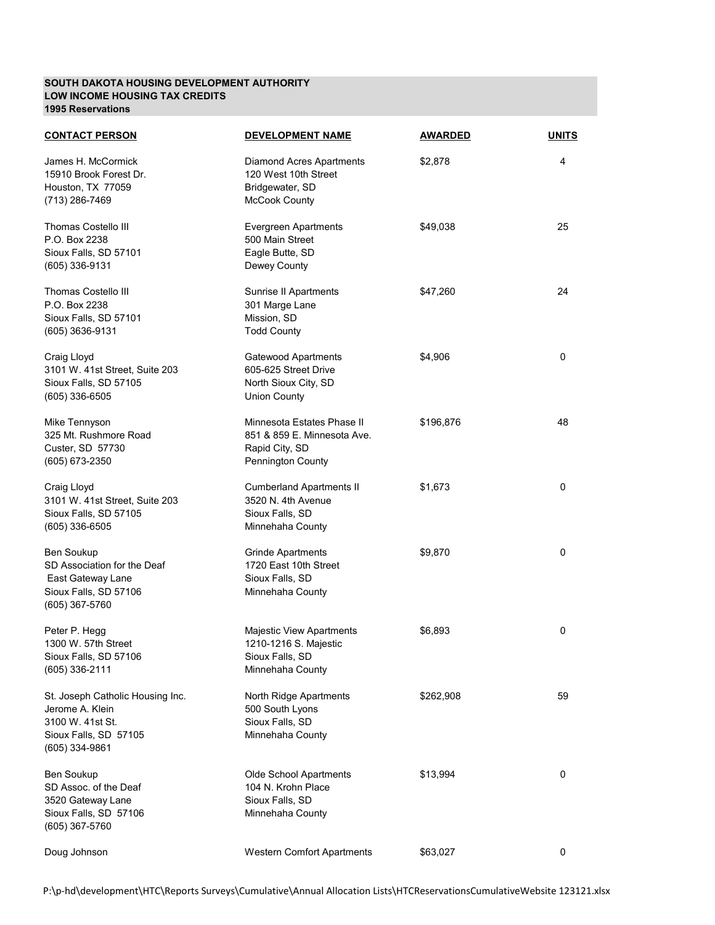#### **SOUTH DAKOTA HOUSING DEVELOPMENT AUTHORITY LOW INCOME HOUSING TAX CREDITS 1995 Reservations**

| <b>CONTACT PERSON</b>                        | <b>DEVELOPMENT NAME</b>                                 | <b>AWARDED</b> | <b>UNITS</b> |
|----------------------------------------------|---------------------------------------------------------|----------------|--------------|
| James H. McCormick<br>15910 Brook Forest Dr. | <b>Diamond Acres Apartments</b><br>120 West 10th Street | \$2,878        | 4            |
| Houston, TX 77059                            | Bridgewater, SD                                         |                |              |
| (713) 286-7469                               | <b>McCook County</b>                                    |                |              |
| <b>Thomas Costello III</b>                   | <b>Evergreen Apartments</b>                             | \$49,038       | 25           |
| P.O. Box 2238                                | 500 Main Street                                         |                |              |
| Sioux Falls, SD 57101                        | Eagle Butte, SD                                         |                |              |
| (605) 336-9131                               | Dewey County                                            |                |              |
| <b>Thomas Costello III</b>                   | Sunrise II Apartments                                   | \$47,260       | 24           |
| P.O. Box 2238                                | 301 Marge Lane                                          |                |              |
| Sioux Falls, SD 57101                        | Mission, SD                                             |                |              |
| (605) 3636-9131                              | <b>Todd County</b>                                      |                |              |
| Craig Lloyd                                  | <b>Gatewood Apartments</b>                              | \$4,906        | 0            |
| 3101 W. 41st Street, Suite 203               | 605-625 Street Drive                                    |                |              |
| Sioux Falls, SD 57105                        | North Sioux City, SD                                    |                |              |
| $(605)$ 336-6505                             | <b>Union County</b>                                     |                |              |
| Mike Tennyson                                | Minnesota Estates Phase II                              | \$196,876      | 48           |
| 325 Mt. Rushmore Road                        | 851 & 859 E. Minnesota Ave.                             |                |              |
| Custer, SD 57730                             | Rapid City, SD                                          |                |              |
| (605) 673-2350                               | Pennington County                                       |                |              |
| Craig Lloyd                                  | <b>Cumberland Apartments II</b>                         | \$1,673        | 0            |
| 3101 W. 41st Street, Suite 203               | 3520 N. 4th Avenue                                      |                |              |
| Sioux Falls, SD 57105                        | Sioux Falls, SD                                         |                |              |
| $(605)$ 336-6505                             | Minnehaha County                                        |                |              |
| <b>Ben Soukup</b>                            | <b>Grinde Apartments</b>                                | \$9,870        | 0            |
| SD Association for the Deaf                  | 1720 East 10th Street                                   |                |              |
| East Gateway Lane                            | Sioux Falls, SD                                         |                |              |
| Sioux Falls, SD 57106                        | Minnehaha County                                        |                |              |
| $(605)$ 367-5760                             |                                                         |                |              |
| Peter P. Hegg                                | Majestic View Apartments                                | \$6,893        | 0            |
| 1300 W. 57th Street                          | 1210-1216 S. Majestic                                   |                |              |
| Sioux Falls, SD 57106                        | Sioux Falls, SD                                         |                |              |
| $(605)$ 336-2111                             | Minnehaha County                                        |                |              |
| St. Joseph Catholic Housing Inc.             | North Ridge Apartments                                  | \$262,908      | 59           |
| Jerome A. Klein                              | 500 South Lyons                                         |                |              |
| 3100 W. 41st St.                             | Sioux Falls, SD                                         |                |              |
| Sioux Falls, SD 57105                        | Minnehaha County                                        |                |              |
| $(605)$ 334-9861                             |                                                         |                |              |
| <b>Ben Soukup</b>                            | Olde School Apartments                                  | \$13,994       | 0            |
| SD Assoc. of the Deaf                        | 104 N. Krohn Place                                      |                |              |
| 3520 Gateway Lane                            | Sioux Falls, SD                                         |                |              |
| Sioux Falls, SD 57106                        | Minnehaha County                                        |                |              |
| $(605)$ 367-5760                             |                                                         |                |              |
| Doug Johnson                                 | <b>Western Comfort Apartments</b>                       | \$63,027       | 0            |

P:\p-hd\development\HTC\Reports Surveys\Cumulative\Annual Allocation Lists\HTCReservationsCumulativeWebsite 123121.xlsx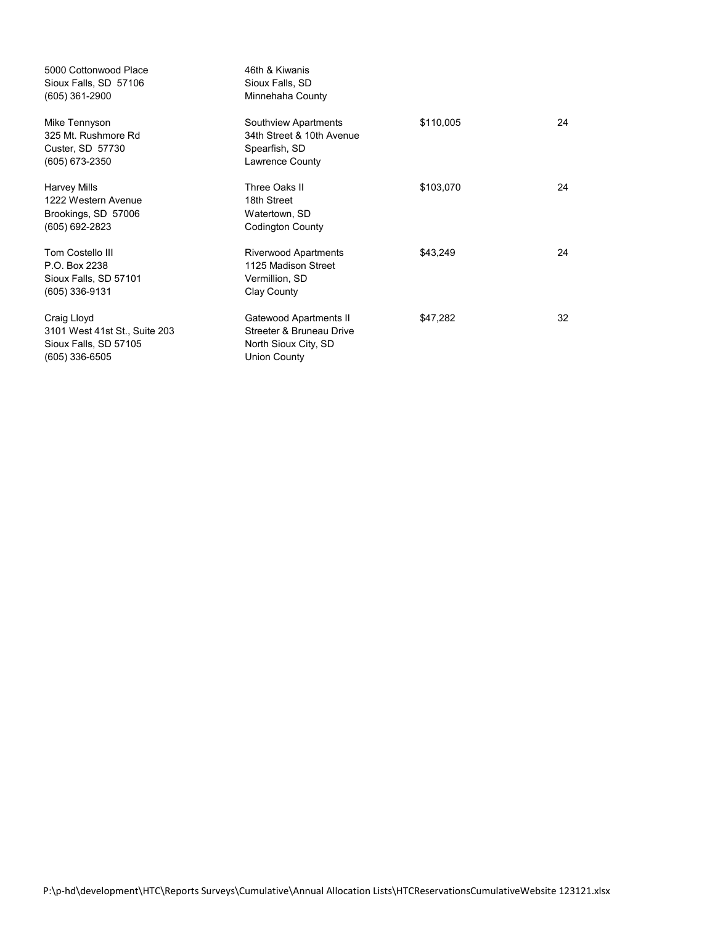| 5000 Cottonwood Place         | 46th & Kiwanis              |           |    |
|-------------------------------|-----------------------------|-----------|----|
| Sioux Falls, SD 57106         | Sioux Falls, SD             |           |    |
| (605) 361-2900                | Minnehaha County            |           |    |
| Mike Tennyson                 | Southview Apartments        | \$110,005 | 24 |
| 325 Mt. Rushmore Rd           | 34th Street & 10th Avenue   |           |    |
| Custer, SD 57730              | Spearfish, SD               |           |    |
| (605) 673-2350                | Lawrence County             |           |    |
| Harvey Mills                  | Three Oaks II               | \$103,070 | 24 |
| 1222 Western Avenue           | 18th Street                 |           |    |
| Brookings, SD 57006           | Watertown, SD               |           |    |
| (605) 692-2823                | <b>Codington County</b>     |           |    |
| Tom Costello III              | <b>Riverwood Apartments</b> | \$43,249  | 24 |
| P.O. Box 2238                 | 1125 Madison Street         |           |    |
| Sioux Falls, SD 57101         | Vermillion, SD              |           |    |
| (605) 336-9131                | Clay County                 |           |    |
| Craig Lloyd                   | Gatewood Apartments II      | \$47,282  | 32 |
| 3101 West 41st St., Suite 203 | Streeter & Bruneau Drive    |           |    |
| Sioux Falls, SD 57105         | North Sioux City, SD        |           |    |
| (605) 336-6505                | <b>Union County</b>         |           |    |
|                               |                             |           |    |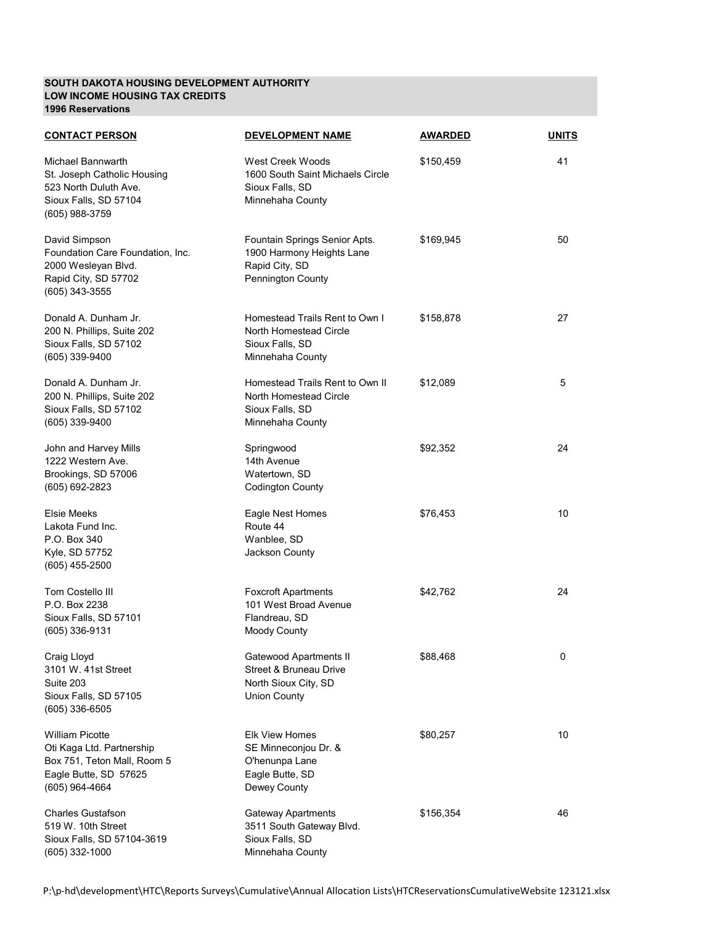## **SOUTH DAKOTA HOUSING DEVELOPMENT AUTHORITY LOW INCOME HOUSING TAX CREDITS 1996 Reservations**

| <b>CONTACT PERSON</b>                                                                                                         | <b>DEVELOPMENT NAME</b>                                                                            | <b>AWARDED</b> | <u>UNITS</u> |
|-------------------------------------------------------------------------------------------------------------------------------|----------------------------------------------------------------------------------------------------|----------------|--------------|
| Michael Bannwarth<br>St. Joseph Catholic Housing<br>523 North Duluth Ave.<br>Sioux Falls, SD 57104<br>(605) 988-3759          | <b>West Creek Woods</b><br>1600 South Saint Michaels Circle<br>Sioux Falls, SD<br>Minnehaha County | \$150,459      | 41           |
| David Simpson<br>Foundation Care Foundation, Inc.<br>2000 Wesleyan Blvd.<br>Rapid City, SD 57702<br>(605) 343-3555            | Fountain Springs Senior Apts.<br>1900 Harmony Heights Lane<br>Rapid City, SD<br>Pennington County  | \$169,945      | 50           |
| Donald A. Dunham Jr.<br>200 N. Phillips, Suite 202<br>Sioux Falls, SD 57102<br>(605) 339-9400                                 | Homestead Trails Rent to Own I<br>North Homestead Circle<br>Sioux Falls, SD<br>Minnehaha County    | \$158,878      | 27           |
| Donald A. Dunham Jr.<br>200 N. Phillips, Suite 202<br>Sioux Falls, SD 57102<br>(605) 339-9400                                 | Homestead Trails Rent to Own II<br>North Homestead Circle<br>Sioux Falls, SD<br>Minnehaha County   | \$12,089       | 5            |
| John and Harvey Mills<br>1222 Western Ave.<br>Brookings, SD 57006<br>(605) 692-2823                                           | Springwood<br>14th Avenue<br>Watertown, SD<br><b>Codington County</b>                              | \$92,352       | 24           |
| Elsie Meeks<br>Lakota Fund Inc.<br>P.O. Box 340<br>Kyle, SD 57752<br>$(605)$ 455-2500                                         | Eagle Nest Homes<br>Route 44<br>Wanblee, SD<br>Jackson County                                      | \$76,453       | 10           |
| Tom Costello III<br>P.O. Box 2238<br>Sioux Falls, SD 57101<br>(605) 336-9131                                                  | <b>Foxcroft Apartments</b><br>101 West Broad Avenue<br>Flandreau, SD<br>Moody County               | \$42,762       | 24           |
| Craig Lloyd<br>3101 W. 41st Street<br>Suite 203<br>Sioux Falls, SD 57105<br>(605) 336-6505                                    | Gatewood Apartments II<br>Street & Bruneau Drive<br>North Sioux City, SD<br><b>Union County</b>    | \$88,468       | 0            |
| <b>William Picotte</b><br>Oti Kaga Ltd. Partnership<br>Box 751, Teton Mall, Room 5<br>Eagle Butte, SD 57625<br>(605) 964-4664 | <b>Elk View Homes</b><br>SE Minneconjou Dr. &<br>O'henunpa Lane<br>Eagle Butte, SD<br>Dewey County | \$80,257       | 10           |
| Charles Gustafson<br>519 W. 10th Street<br>Sioux Falls, SD 57104-3619<br>$(605)$ 332-1000                                     | <b>Gateway Apartments</b><br>3511 South Gateway Blvd.<br>Sioux Falls, SD<br>Minnehaha County       | \$156,354      | 46           |

P:\p-hd\development\HTC\Reports Surveys\Cumulative\Annual Allocation Lists\HTCReservationsCumulativeWebsite 123121.xlsx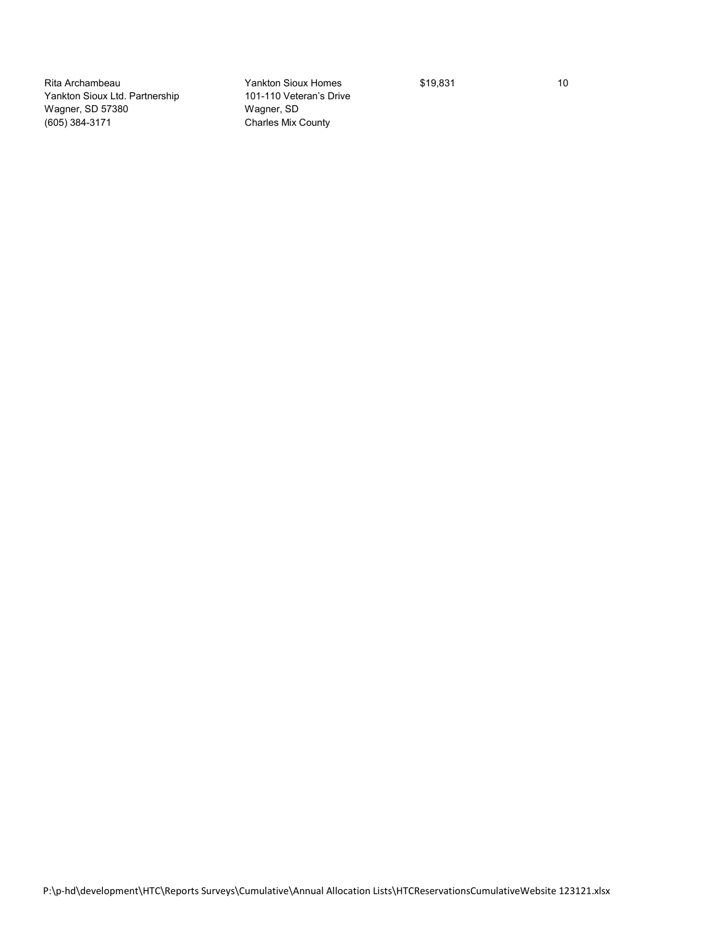Rita Archambeau Yankton Sioux Homes \$19,831 10 Yankton Sioux Ltd. Partnership 101-110 Veterant Solomon Vagner, SD<br>Wagner, SD 57380 Wagner, SD 57380<br>(605) 384-3171

Charles Mix County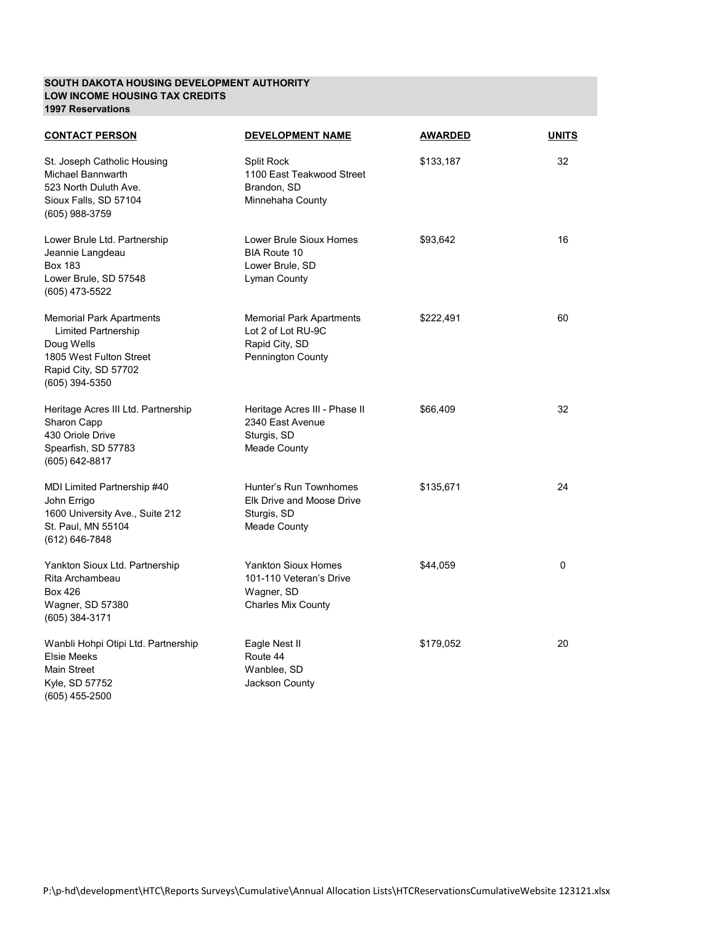#### **SOUTH DAKOTA HOUSING DEVELOPMENT AUTHORITY LOW INCOME HOUSING TAX CREDITS 1997 Reservations**

| <b>CONTACT PERSON</b>                                                                                                                            | <b>DEVELOPMENT NAME</b>                                                                          | <u>AWARDED</u> | <u>UNITS</u> |
|--------------------------------------------------------------------------------------------------------------------------------------------------|--------------------------------------------------------------------------------------------------|----------------|--------------|
| St. Joseph Catholic Housing<br>Michael Bannwarth<br>523 North Duluth Ave.<br>Sioux Falls, SD 57104<br>(605) 988-3759                             | <b>Split Rock</b><br>1100 East Teakwood Street<br>Brandon, SD<br>Minnehaha County                | \$133,187      | 32           |
| Lower Brule Ltd. Partnership<br>Jeannie Langdeau<br><b>Box 183</b><br>Lower Brule, SD 57548<br>(605) 473-5522                                    | Lower Brule Sioux Homes<br><b>BIA Route 10</b><br>Lower Brule, SD<br><b>Lyman County</b>         | \$93,642       | 16           |
| <b>Memorial Park Apartments</b><br><b>Limited Partnership</b><br>Doug Wells<br>1805 West Fulton Street<br>Rapid City, SD 57702<br>(605) 394-5350 | <b>Memorial Park Apartments</b><br>Lot 2 of Lot RU-9C<br>Rapid City, SD<br>Pennington County     | \$222,491      | 60           |
| Heritage Acres III Ltd. Partnership<br><b>Sharon Capp</b><br>430 Oriole Drive<br>Spearfish, SD 57783<br>(605) 642-8817                           | Heritage Acres III - Phase II<br>2340 East Avenue<br>Sturgis, SD<br><b>Meade County</b>          | \$66,409       | 32           |
| MDI Limited Partnership #40<br>John Errigo<br>1600 University Ave., Suite 212<br>St. Paul, MN 55104<br>(612) 646-7848                            | Hunter's Run Townhomes<br><b>Elk Drive and Moose Drive</b><br>Sturgis, SD<br><b>Meade County</b> | \$135,671      | 24           |
| Yankton Sioux Ltd. Partnership<br>Rita Archambeau<br><b>Box 426</b><br>Wagner, SD 57380<br>(605) 384-3171                                        | <b>Yankton Sioux Homes</b><br>101-110 Veteran's Drive<br>Wagner, SD<br><b>Charles Mix County</b> | \$44,059       | 0            |
| Wanbli Hohpi Otipi Ltd. Partnership<br><b>Elsie Meeks</b><br><b>Main Street</b><br>Kyle, SD 57752<br>(605) 455-2500                              | Eagle Nest II<br>Route 44<br>Wanblee, SD<br>Jackson County                                       | \$179,052      | 20           |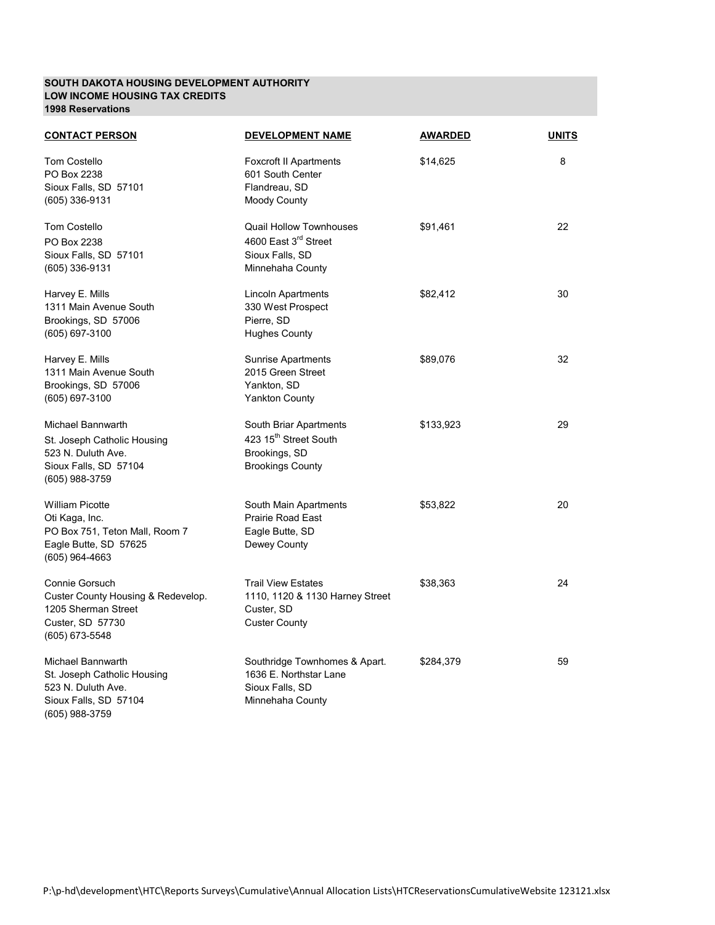#### **SOUTH DAKOTA HOUSING DEVELOPMENT AUTHORITY LOW INCOME HOUSING TAX CREDITS 1998 Reservations**

(605) 988-3759

| <b>CONTACT PERSON</b>                                                                                                 | <b>DEVELOPMENT NAME</b>                                                                                 | <u>AWARDED</u> | <u>UNITS</u> |
|-----------------------------------------------------------------------------------------------------------------------|---------------------------------------------------------------------------------------------------------|----------------|--------------|
| <b>Tom Costello</b><br>PO Box 2238<br>Sioux Falls, SD 57101<br>(605) 336-9131                                         | <b>Foxcroft II Apartments</b><br>601 South Center<br>Flandreau, SD<br>Moody County                      | \$14,625       | 8            |
| <b>Tom Costello</b><br>PO Box 2238<br>Sioux Falls, SD 57101<br>(605) 336-9131                                         | <b>Quail Hollow Townhouses</b><br>4600 East 3rd Street<br>Sioux Falls, SD<br>Minnehaha County           | \$91,461       | 22           |
| Harvey E. Mills<br>1311 Main Avenue South<br>Brookings, SD 57006<br>(605) 697-3100                                    | Lincoln Apartments<br>330 West Prospect<br>Pierre, SD<br><b>Hughes County</b>                           | \$82,412       | 30           |
| Harvey E. Mills<br>1311 Main Avenue South<br>Brookings, SD 57006<br>(605) 697-3100                                    | <b>Sunrise Apartments</b><br>2015 Green Street<br>Yankton, SD<br><b>Yankton County</b>                  | \$89,076       | 32           |
| Michael Bannwarth<br>St. Joseph Catholic Housing<br>523 N. Duluth Ave.<br>Sioux Falls, SD 57104<br>(605) 988-3759     | South Briar Apartments<br>423 15 <sup>th</sup> Street South<br>Brookings, SD<br><b>Brookings County</b> | \$133,923      | 29           |
| <b>William Picotte</b><br>Oti Kaga, Inc.<br>PO Box 751, Teton Mall, Room 7<br>Eagle Butte, SD 57625<br>(605) 964-4663 | South Main Apartments<br><b>Prairie Road East</b><br>Eagle Butte, SD<br>Dewey County                    | \$53,822       | 20           |
| Connie Gorsuch<br>Custer County Housing & Redevelop.<br>1205 Sherman Street<br>Custer, SD 57730<br>(605) 673-5548     | <b>Trail View Estates</b><br>1110, 1120 & 1130 Harney Street<br>Custer, SD<br><b>Custer County</b>      | \$38,363       | 24           |
| Michael Bannwarth<br>St. Joseph Catholic Housing<br>523 N. Duluth Ave.<br>Sioux Falls, SD 57104                       | Southridge Townhomes & Apart.<br>1636 E. Northstar Lane<br>Sioux Falls, SD<br>Minnehaha County          | \$284,379      | 59           |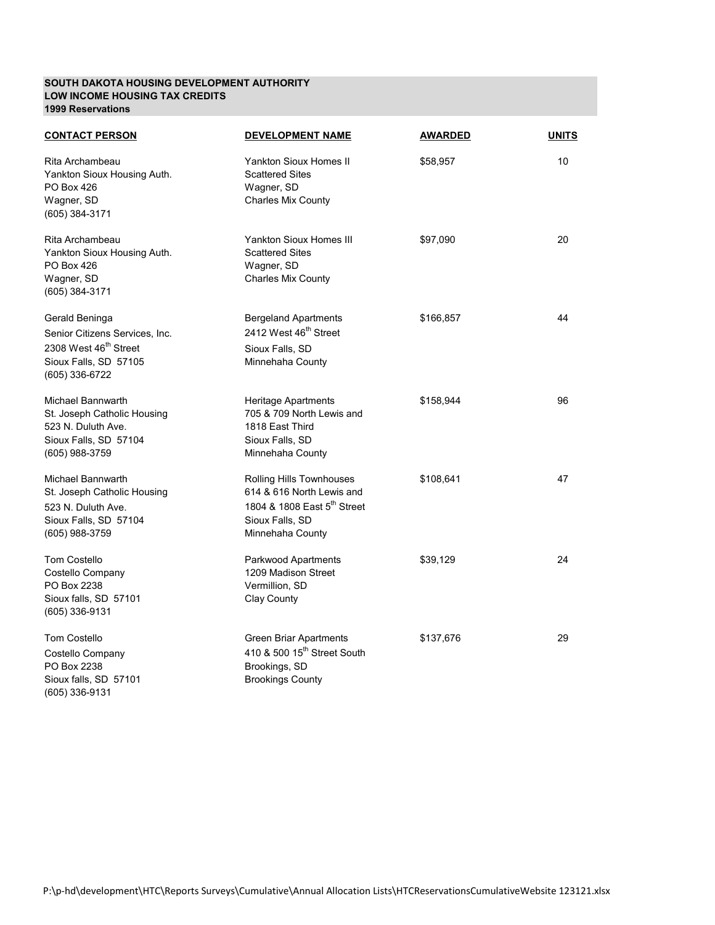#### **SOUTH DAKOTA HOUSING DEVELOPMENT AUTHORITY LOW INCOME HOUSING TAX CREDITS 1999 Reservations**

| <b>CONTACT PERSON</b>                                                                                                            | <b>DEVELOPMENT NAME</b>                                                                                                                 | <b>AWARDED</b> | <b>UNITS</b> |
|----------------------------------------------------------------------------------------------------------------------------------|-----------------------------------------------------------------------------------------------------------------------------------------|----------------|--------------|
| Rita Archambeau<br>Yankton Sioux Housing Auth.<br>PO Box 426<br>Wagner, SD<br>(605) 384-3171                                     | <b>Yankton Sioux Homes II</b><br><b>Scattered Sites</b><br>Wagner, SD<br><b>Charles Mix County</b>                                      | \$58,957       | 10           |
| Rita Archambeau<br>Yankton Sioux Housing Auth.<br>PO Box 426<br>Wagner, SD<br>(605) 384-3171                                     | <b>Yankton Sioux Homes III</b><br><b>Scattered Sites</b><br>Wagner, SD<br><b>Charles Mix County</b>                                     | \$97,090       | 20           |
| Gerald Beninga<br>Senior Citizens Services, Inc.<br>2308 West 46 <sup>th</sup> Street<br>Sioux Falls, SD 57105<br>(605) 336-6722 | <b>Bergeland Apartments</b><br>2412 West 46 <sup>th</sup> Street<br>Sioux Falls, SD<br>Minnehaha County                                 | \$166,857      | 44           |
| Michael Bannwarth<br>St. Joseph Catholic Housing<br>523 N. Duluth Ave.<br>Sioux Falls, SD 57104<br>(605) 988-3759                | Heritage Apartments<br>705 & 709 North Lewis and<br>1818 East Third<br>Sioux Falls, SD<br>Minnehaha County                              | \$158,944      | 96           |
| Michael Bannwarth<br>St. Joseph Catholic Housing<br>523 N. Duluth Ave.<br>Sioux Falls, SD 57104<br>(605) 988-3759                | Rolling Hills Townhouses<br>614 & 616 North Lewis and<br>1804 & 1808 East 5 <sup>th</sup> Street<br>Sioux Falls, SD<br>Minnehaha County | \$108,641      | 47           |
| Tom Costello<br>Costello Company<br>PO Box 2238<br>Sioux falls, SD 57101<br>(605) 336-9131                                       | Parkwood Apartments<br>1209 Madison Street<br>Vermillion, SD<br>Clay County                                                             | \$39,129       | 24           |
| <b>Tom Costello</b><br>Costello Company<br>PO Box 2238<br>Sioux falls, SD 57101<br>(605) 336-9131                                | <b>Green Briar Apartments</b><br>410 & 500 15 <sup>th</sup> Street South<br>Brookings, SD<br><b>Brookings County</b>                    | \$137,676      | 29           |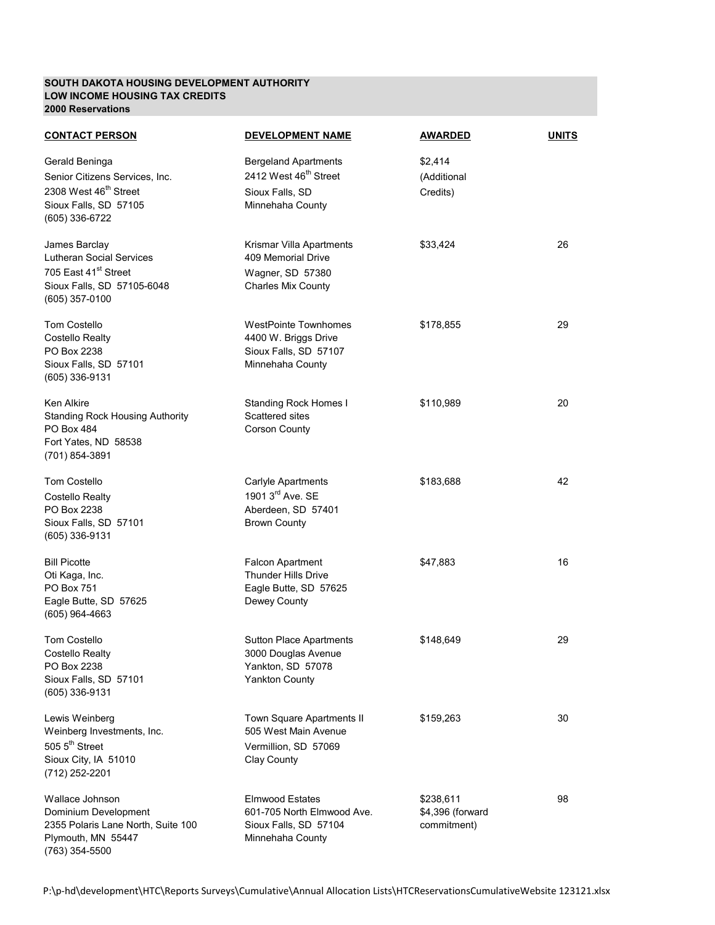## **SOUTH DAKOTA HOUSING DEVELOPMENT AUTHORITY LOW INCOME HOUSING TAX CREDITS 2000 Reservations**

(763) 354-5500

| <b>CONTACT PERSON</b>                  | <b>DEVELOPMENT NAME</b>           | <b>AWARDED</b>   | <b>UNITS</b> |
|----------------------------------------|-----------------------------------|------------------|--------------|
| Gerald Beninga                         | <b>Bergeland Apartments</b>       | \$2,414          |              |
| Senior Citizens Services, Inc.         | 2412 West 46 <sup>th</sup> Street | (Additional      |              |
| 2308 West 46 <sup>th</sup> Street      | Sioux Falls, SD                   | Credits)         |              |
| Sioux Falls, SD 57105                  | Minnehaha County                  |                  |              |
| (605) 336-6722                         |                                   |                  |              |
| James Barclay                          | Krismar Villa Apartments          | \$33,424         | 26           |
| <b>Lutheran Social Services</b>        | 409 Memorial Drive                |                  |              |
| 705 East 41 <sup>st</sup> Street       | Wagner, SD 57380                  |                  |              |
| Sioux Falls, SD 57105-6048             | <b>Charles Mix County</b>         |                  |              |
| $(605)$ 357-0100                       |                                   |                  |              |
| <b>Tom Costello</b>                    | <b>WestPointe Townhomes</b>       | \$178,855        | 29           |
| <b>Costello Realty</b>                 | 4400 W. Briggs Drive              |                  |              |
| PO Box 2238                            | Sioux Falls, SD 57107             |                  |              |
| Sioux Falls, SD 57101                  | Minnehaha County                  |                  |              |
| (605) 336-9131                         |                                   |                  |              |
| Ken Alkire                             | <b>Standing Rock Homes I</b>      | \$110,989        | 20           |
| <b>Standing Rock Housing Authority</b> | Scattered sites                   |                  |              |
| PO Box 484                             | <b>Corson County</b>              |                  |              |
| Fort Yates, ND 58538                   |                                   |                  |              |
| (701) 854-3891                         |                                   |                  |              |
| <b>Tom Costello</b>                    | Carlyle Apartments                | \$183,688        | 42           |
| Costello Realty                        | 1901 3rd Ave. SE                  |                  |              |
| PO Box 2238                            | Aberdeen, SD 57401                |                  |              |
| Sioux Falls, SD 57101                  | <b>Brown County</b>               |                  |              |
| (605) 336-9131                         |                                   |                  |              |
| <b>Bill Picotte</b>                    | <b>Falcon Apartment</b>           | \$47,883         | 16           |
| Oti Kaga, Inc.                         | <b>Thunder Hills Drive</b>        |                  |              |
| PO Box 751                             | Eagle Butte, SD 57625             |                  |              |
| Eagle Butte, SD 57625                  | Dewey County                      |                  |              |
| $(605)$ 964-4663                       |                                   |                  |              |
| Tom Costello                           | <b>Sutton Place Apartments</b>    | \$148,649        | 29           |
| <b>Costello Realty</b>                 | 3000 Douglas Avenue               |                  |              |
| PO Box 2238                            | Yankton, SD 57078                 |                  |              |
| Sioux Falls, SD 57101                  | <b>Yankton County</b>             |                  |              |
| (605) 336-9131                         |                                   |                  |              |
| Lewis Weinberg                         | Town Square Apartments II         | \$159,263        | 30           |
| Weinberg Investments, Inc.             | 505 West Main Avenue              |                  |              |
| 505 $5th$ Street                       | Vermillion, SD 57069              |                  |              |
| Sioux City, IA 51010                   | Clay County                       |                  |              |
| (712) 252-2201                         |                                   |                  |              |
| Wallace Johnson                        | <b>Elmwood Estates</b>            | \$238,611        | 98           |
| Dominium Development                   | 601-705 North Elmwood Ave.        | \$4,396 (forward |              |
| 2355 Polaris Lane North, Suite 100     | Sioux Falls, SD 57104             | commitment)      |              |
| Plymouth, MN 55447                     | Minnehaha County                  |                  |              |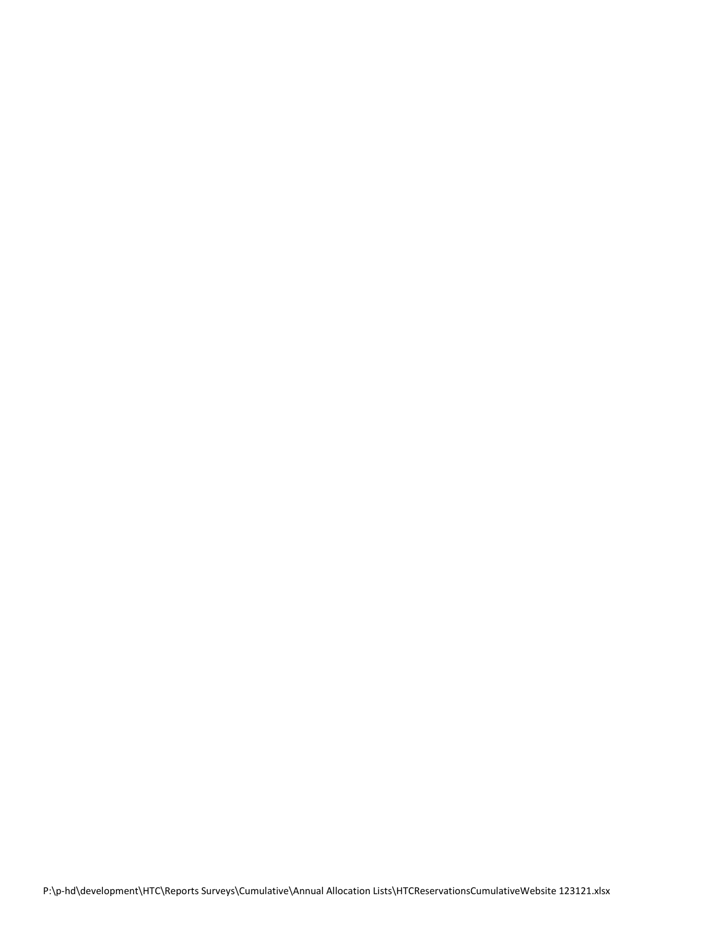P:\p-hd\development\HTC\Reports Surveys\Cumulative\Annual Allocation Lists\HTCReservationsCumulativeWebsite 123121.xlsx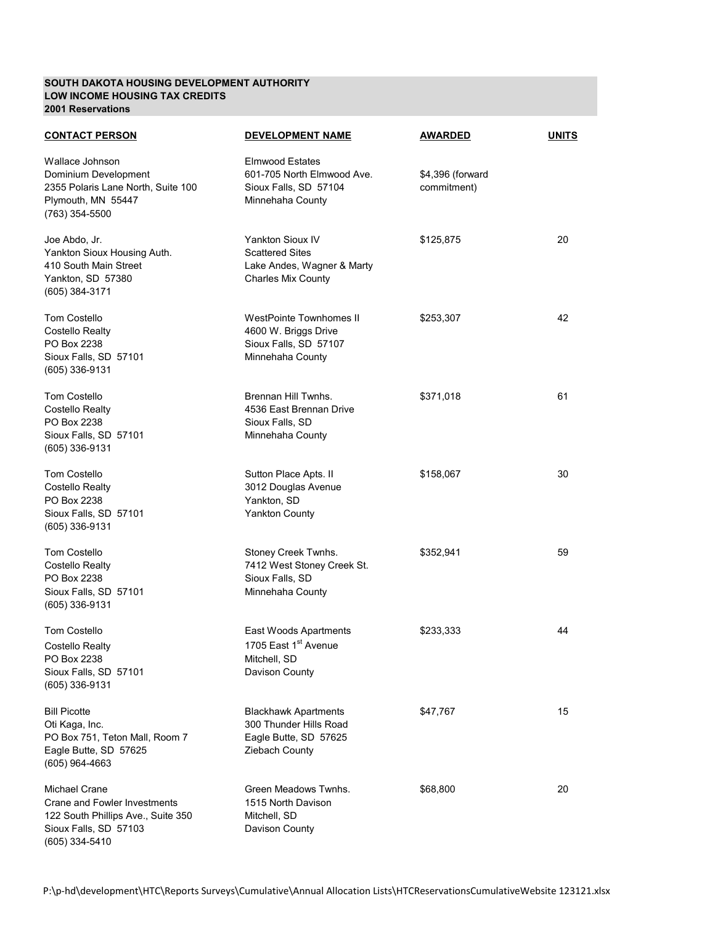## **SOUTH DAKOTA HOUSING DEVELOPMENT AUTHORITY LOW INCOME HOUSING TAX CREDITS 2001 Reservations**

(605) 334-5410

| <b>CONTACT PERSON</b>                                                                                                      | <b>DEVELOPMENT NAME</b>                                                                                      | <u>AWARDED</u>                  | <b>UNITS</b> |
|----------------------------------------------------------------------------------------------------------------------------|--------------------------------------------------------------------------------------------------------------|---------------------------------|--------------|
| Wallace Johnson<br>Dominium Development<br>2355 Polaris Lane North, Suite 100<br>Plymouth, MN 55447<br>(763) 354-5500      | <b>Elmwood Estates</b><br>601-705 North Elmwood Ave.<br>Sioux Falls, SD 57104<br>Minnehaha County            | \$4,396 (forward<br>commitment) |              |
| Joe Abdo, Jr.<br>Yankton Sioux Housing Auth.<br>410 South Main Street<br>Yankton, SD 57380<br>$(605)$ 384-3171             | <b>Yankton Sioux IV</b><br><b>Scattered Sites</b><br>Lake Andes, Wagner & Marty<br><b>Charles Mix County</b> | \$125,875                       | 20           |
| <b>Tom Costello</b><br><b>Costello Realty</b><br>PO Box 2238<br>Sioux Falls, SD 57101<br>(605) 336-9131                    | WestPointe Townhomes II<br>4600 W. Briggs Drive<br>Sioux Falls, SD 57107<br>Minnehaha County                 | \$253,307                       | 42           |
| <b>Tom Costello</b><br>Costello Realty<br>PO Box 2238<br>Sioux Falls, SD 57101<br>(605) 336-9131                           | Brennan Hill Twnhs.<br>4536 East Brennan Drive<br>Sioux Falls, SD<br>Minnehaha County                        | \$371,018                       | 61           |
| <b>Tom Costello</b><br><b>Costello Realty</b><br>PO Box 2238<br>Sioux Falls, SD 57101<br>(605) 336-9131                    | Sutton Place Apts. II<br>3012 Douglas Avenue<br>Yankton, SD<br><b>Yankton County</b>                         | \$158,067                       | 30           |
| <b>Tom Costello</b><br>Costello Realty<br>PO Box 2238<br>Sioux Falls, SD 57101<br>(605) 336-9131                           | Stoney Creek Twnhs.<br>7412 West Stoney Creek St.<br>Sioux Falls, SD<br>Minnehaha County                     | \$352,941                       | 59           |
| <b>Tom Costello</b><br>Costello Realty<br>PO Box 2238<br>Sioux Falls, SD 57101<br>(605) 336-9131                           | East Woods Apartments<br>1705 East 1 <sup>st</sup> Avenue<br>Mitchell, SD<br>Davison County                  | \$233,333                       | 44           |
| <b>Bill Picotte</b><br>Oti Kaga, Inc.<br>PO Box 751, Teton Mall, Room 7<br>Eagle Butte, SD 57625<br>$(605)$ 964-4663       | <b>Blackhawk Apartments</b><br>300 Thunder Hills Road<br>Eagle Butte, SD 57625<br>Ziebach County             | \$47,767                        | 15           |
| <b>Michael Crane</b><br><b>Crane and Fowler Investments</b><br>122 South Phillips Ave., Suite 350<br>Sioux Falls, SD 57103 | Green Meadows Twnhs.<br>1515 North Davison<br>Mitchell, SD<br>Davison County                                 | \$68,800                        | 20           |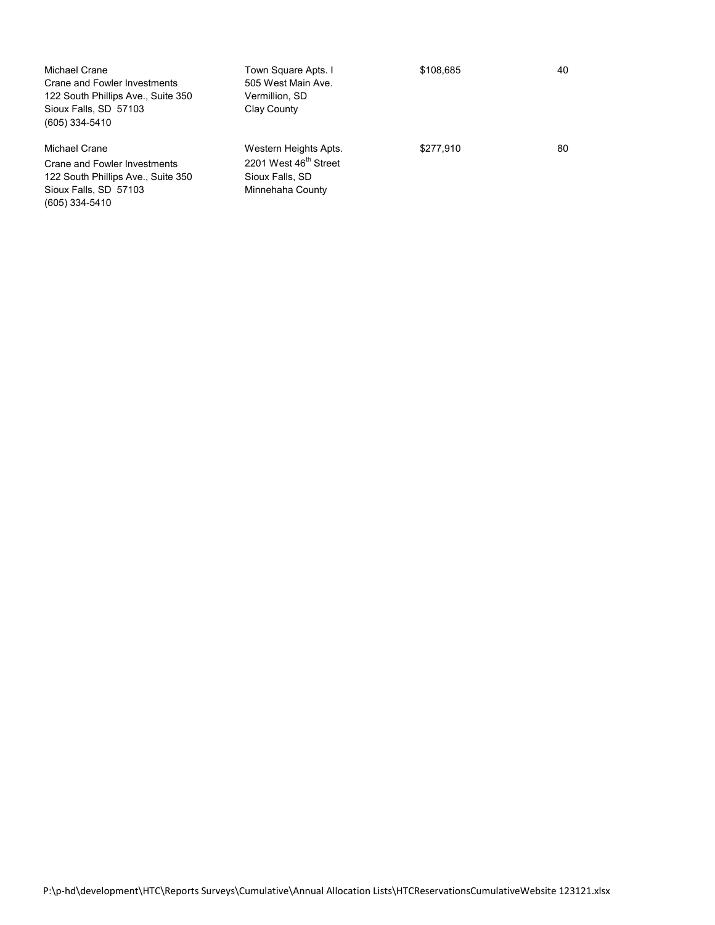| Michael Crane                      | Town Square Apts. I               | \$108,685 | 40 |
|------------------------------------|-----------------------------------|-----------|----|
| Crane and Fowler Investments       | 505 West Main Ave.                |           |    |
| 122 South Phillips Ave., Suite 350 | Vermillion, SD                    |           |    |
| Sioux Falls, SD 57103              | Clay County                       |           |    |
| (605) 334-5410                     |                                   |           |    |
| Michael Crane                      | Western Heights Apts.             | \$277,910 | 80 |
| Crane and Fowler Investments       | 2201 West 46 <sup>th</sup> Street |           |    |
|                                    |                                   |           |    |
| 122 South Phillips Ave., Suite 350 | Sioux Falls, SD                   |           |    |
| Sioux Falls, SD 57103              | Minnehaha County                  |           |    |
| (605) 334-5410                     |                                   |           |    |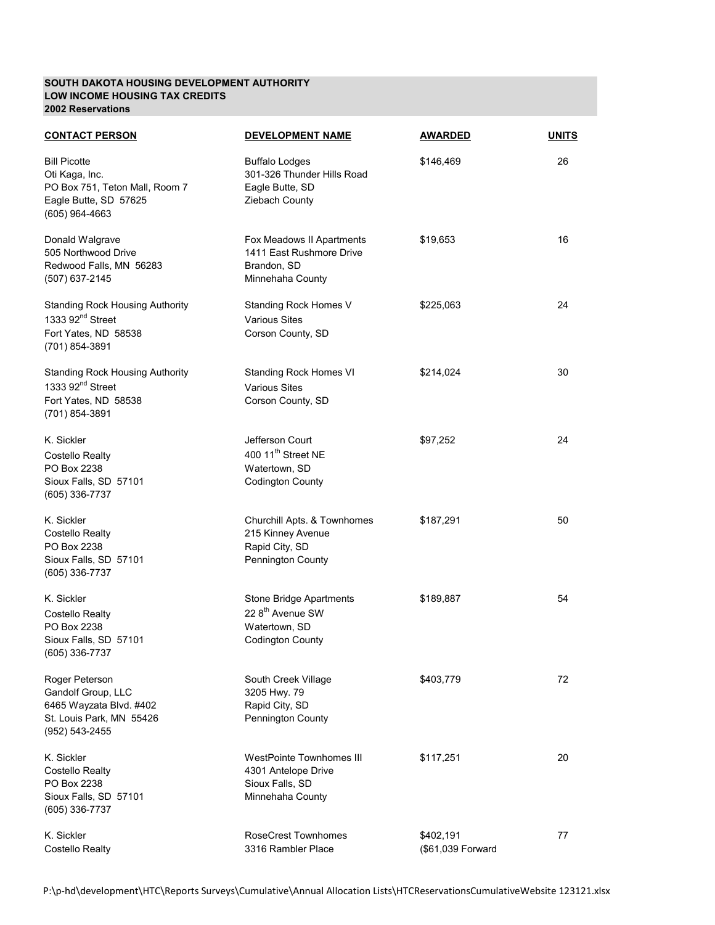## **SOUTH DAKOTA HOUSING DEVELOPMENT AUTHORITY LOW INCOME HOUSING TAX CREDITS 2002 Reservations**

| <b>CONTACT PERSON</b>                                                                                                | <b>DEVELOPMENT NAME</b>                                                                             | AWARDED                        | <b>UNITS</b> |
|----------------------------------------------------------------------------------------------------------------------|-----------------------------------------------------------------------------------------------------|--------------------------------|--------------|
| <b>Bill Picotte</b><br>Oti Kaga, Inc.<br>PO Box 751, Teton Mall, Room 7<br>Eagle Butte, SD 57625<br>$(605)$ 964-4663 | <b>Buffalo Lodges</b><br>301-326 Thunder Hills Road<br>Eagle Butte, SD<br>Ziebach County            | \$146,469                      | 26           |
| Donald Walgrave<br>505 Northwood Drive<br>Redwood Falls, MN 56283<br>(507) 637-2145                                  | Fox Meadows II Apartments<br>1411 East Rushmore Drive<br>Brandon, SD<br>Minnehaha County            | \$19,653                       | 16           |
| <b>Standing Rock Housing Authority</b><br>1333 92 <sup>nd</sup> Street<br>Fort Yates, ND 58538<br>(701) 854-3891     | Standing Rock Homes V<br><b>Various Sites</b><br>Corson County, SD                                  | \$225,063                      | 24           |
| <b>Standing Rock Housing Authority</b><br>1333 92 <sup>nd</sup> Street<br>Fort Yates, ND 58538<br>(701) 854-3891     | <b>Standing Rock Homes VI</b><br><b>Various Sites</b><br>Corson County, SD                          | \$214,024                      | 30           |
| K. Sickler<br>Costello Realty<br>PO Box 2238<br>Sioux Falls, SD 57101<br>(605) 336-7737                              | Jefferson Court<br>400 11 <sup>th</sup> Street NE<br>Watertown, SD<br><b>Codington County</b>       | \$97,252                       | 24           |
| K. Sickler<br><b>Costello Realty</b><br>PO Box 2238<br>Sioux Falls, SD 57101<br>(605) 336-7737                       | Churchill Apts. & Townhomes<br>215 Kinney Avenue<br>Rapid City, SD<br>Pennington County             | \$187,291                      | 50           |
| K. Sickler<br><b>Costello Realty</b><br>PO Box 2238<br>Sioux Falls, SD 57101<br>(605) 336-7737                       | Stone Bridge Apartments<br>22 8 <sup>th</sup> Avenue SW<br>Watertown, SD<br><b>Codington County</b> | \$189,887                      | 54           |
| Roger Peterson<br>Gandolf Group, LLC<br>6465 Wayzata Blvd. #402<br>St. Louis Park, MN 55426<br>(952) 543-2455        | South Creek Village<br>3205 Hwy. 79<br>Rapid City, SD<br>Pennington County                          | \$403,779                      | 72           |
| K. Sickler<br>Costello Realty<br>PO Box 2238<br>Sioux Falls, SD 57101<br>(605) 336-7737                              | <b>WestPointe Townhomes III</b><br>4301 Antelope Drive<br>Sioux Falls, SD<br>Minnehaha County       | \$117,251                      | 20           |
| K. Sickler<br><b>Costello Realty</b>                                                                                 | <b>RoseCrest Townhomes</b><br>3316 Rambler Place                                                    | \$402,191<br>(\$61,039 Forward | 77           |

P:\p-hd\development\HTC\Reports Surveys\Cumulative\Annual Allocation Lists\HTCReservationsCumulativeWebsite 123121.xlsx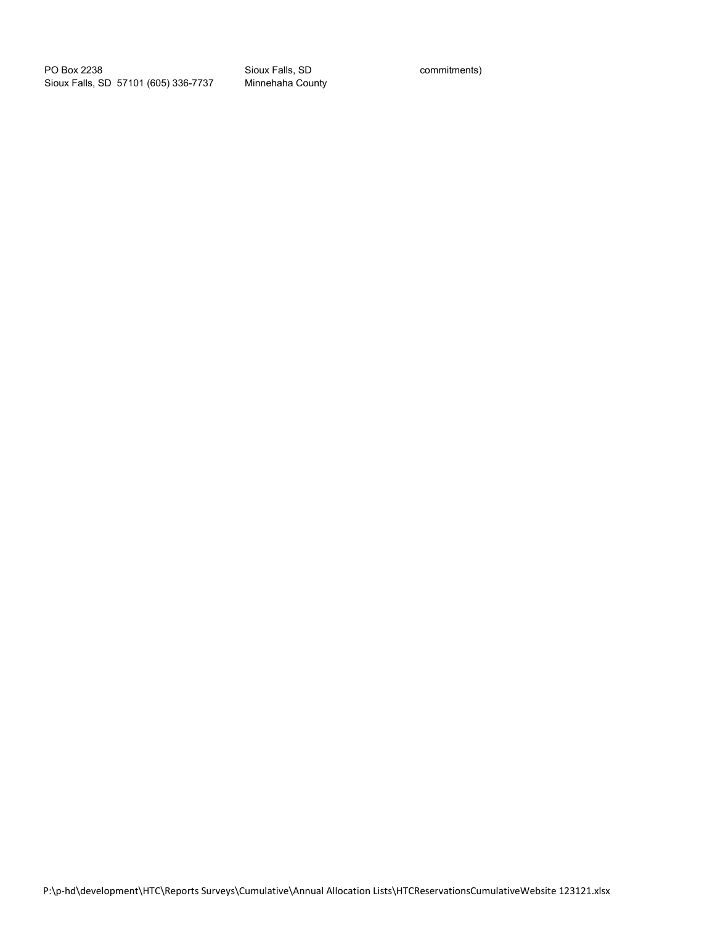PO Box 2238 Sioux Falls, SD<br>Sioux Falls, SD 57101 (605) 336-7737 Minnehaha County Sioux Falls, SD 57101 (605) 336-7737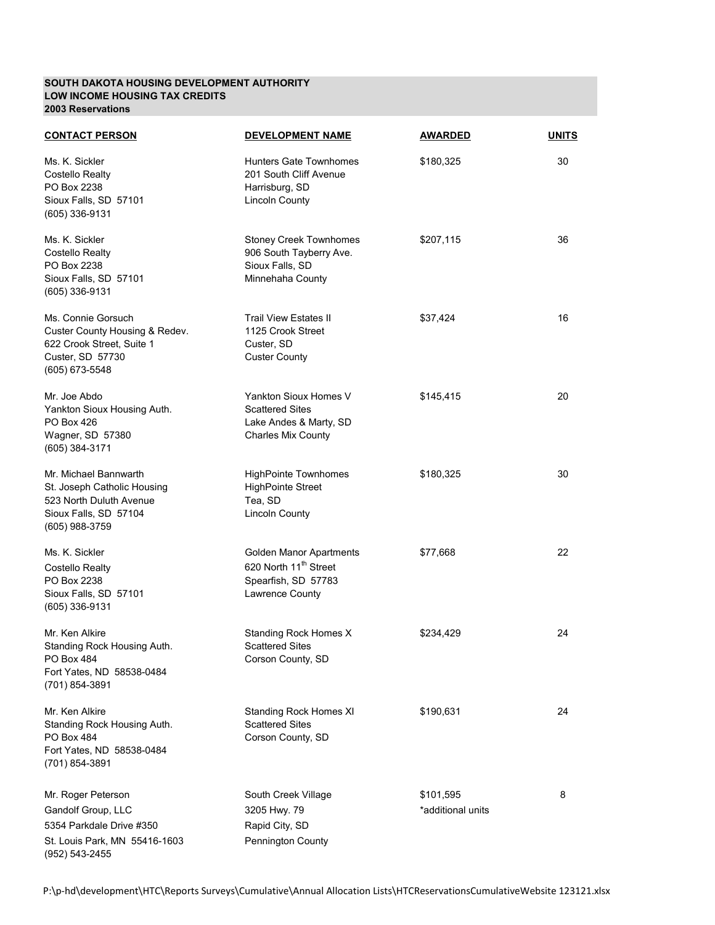## **SOUTH DAKOTA HOUSING DEVELOPMENT AUTHORITY LOW INCOME HOUSING TAX CREDITS 2003 Reservations**

| <u>CONTACT PERSON</u>                                                                                                      | <b>DEVELOPMENT NAME</b>                                                                                       | <b>AWARDED</b>                 | <u>UNITS</u> |
|----------------------------------------------------------------------------------------------------------------------------|---------------------------------------------------------------------------------------------------------------|--------------------------------|--------------|
| Ms. K. Sickler<br>Costello Realty<br>PO Box 2238<br>Sioux Falls, SD 57101<br>(605) 336-9131                                | <b>Hunters Gate Townhomes</b><br>201 South Cliff Avenue<br>Harrisburg, SD<br><b>Lincoln County</b>            | \$180,325                      | 30           |
| Ms. K. Sickler<br><b>Costello Realty</b><br>PO Box 2238<br>Sioux Falls, SD 57101<br>(605) 336-9131                         | <b>Stoney Creek Townhomes</b><br>906 South Tayberry Ave.<br>Sioux Falls, SD<br>Minnehaha County               | \$207,115                      | 36           |
| Ms. Connie Gorsuch<br>Custer County Housing & Redev.<br>622 Crook Street, Suite 1<br>Custer, SD 57730<br>(605) 673-5548    | Trail View Estates II<br>1125 Crook Street<br>Custer, SD<br><b>Custer County</b>                              | \$37,424                       | 16           |
| Mr. Joe Abdo<br>Yankton Sioux Housing Auth.<br>PO Box 426<br>Wagner, SD 57380<br>(605) 384-3171                            | <b>Yankton Sioux Homes V</b><br><b>Scattered Sites</b><br>Lake Andes & Marty, SD<br><b>Charles Mix County</b> | \$145,415                      | 20           |
| Mr. Michael Bannwarth<br>St. Joseph Catholic Housing<br>523 North Duluth Avenue<br>Sioux Falls, SD 57104<br>(605) 988-3759 | <b>HighPointe Townhomes</b><br><b>HighPointe Street</b><br>Tea, SD<br><b>Lincoln County</b>                   | \$180,325                      | 30           |
| Ms. K. Sickler<br>Costello Realty<br>PO Box 2238<br>Sioux Falls, SD 57101<br>(605) 336-9131                                | <b>Golden Manor Apartments</b><br>620 North 11 <sup>th</sup> Street<br>Spearfish, SD 57783<br>Lawrence County | \$77,668                       | 22           |
| Mr. Ken Alkire<br>Standing Rock Housing Auth.<br>PO Box 484<br>Fort Yates, ND 58538-0484<br>(701) 854-3891                 | Standing Rock Homes X<br><b>Scattered Sites</b><br>Corson County, SD                                          | \$234,429                      | 24           |
| Mr. Ken Alkire<br>Standing Rock Housing Auth.<br>PO Box 484<br>Fort Yates, ND 58538-0484<br>(701) 854-3891                 | <b>Standing Rock Homes XI</b><br><b>Scattered Sites</b><br>Corson County, SD                                  | \$190,631                      | 24           |
| Mr. Roger Peterson<br>Gandolf Group, LLC<br>5354 Parkdale Drive #350<br>St. Louis Park, MN 55416-1603<br>(952) 543-2455    | South Creek Village<br>3205 Hwy. 79<br>Rapid City, SD<br>Pennington County                                    | \$101,595<br>*additional units | 8            |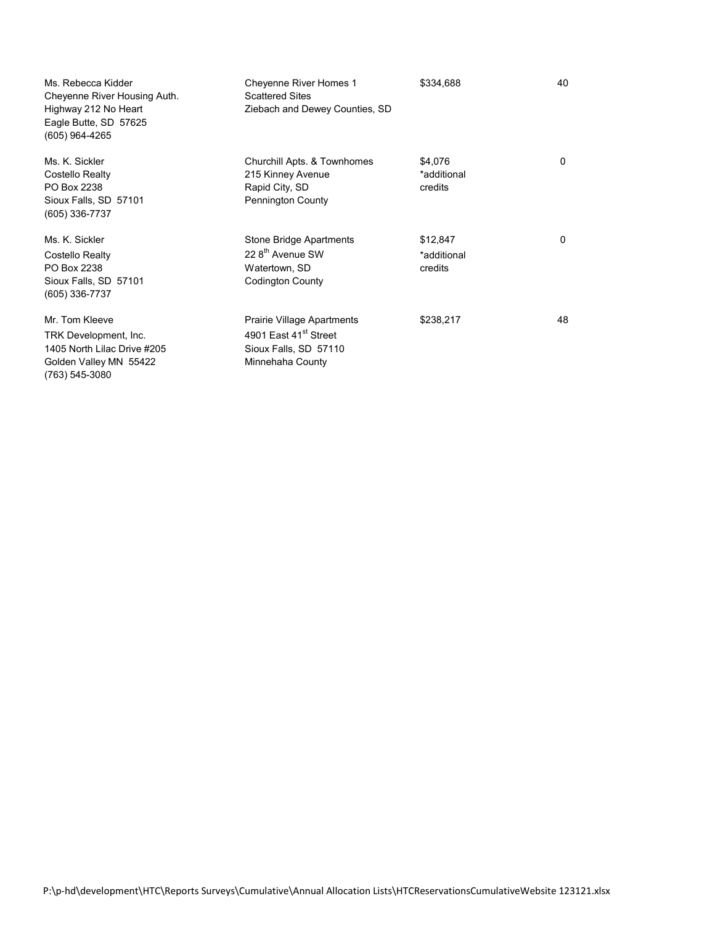| Ms. Rebecca Kidder<br>Cheyenne River Housing Auth.<br>Highway 212 No Heart<br>Eagle Butte, SD 57625<br>(605) 964-4265 | <b>Cheyenne River Homes 1</b><br><b>Scattered Sites</b><br>Ziebach and Dewey Counties, SD                           | \$334,688                          | 40       |
|-----------------------------------------------------------------------------------------------------------------------|---------------------------------------------------------------------------------------------------------------------|------------------------------------|----------|
| Ms. K. Sickler<br>Costello Realty<br>PO Box 2238<br>Sioux Falls, SD 57101<br>(605) 336-7737                           | Churchill Apts. & Townhomes<br>215 Kinney Avenue<br>Rapid City, SD<br><b>Pennington County</b>                      | \$4,076<br>*additional<br>credits  | $\Omega$ |
| Ms. K. Sickler<br>Costello Realty<br>PO Box 2238<br>Sioux Falls, SD 57101<br>(605) 336-7737                           | Stone Bridge Apartments<br>22 8 <sup>th</sup> Avenue SW<br>Watertown, SD<br><b>Codington County</b>                 | \$12,847<br>*additional<br>credits | $\Omega$ |
| Mr. Tom Kleeve<br>TRK Development, Inc.<br>1405 North Lilac Drive #205<br>Golden Valley MN 55422                      | <b>Prairie Village Apartments</b><br>4901 East 41 <sup>st</sup> Street<br>Sioux Falls, SD 57110<br>Minnehaha County | \$238,217                          | 48       |

(763) 545-3080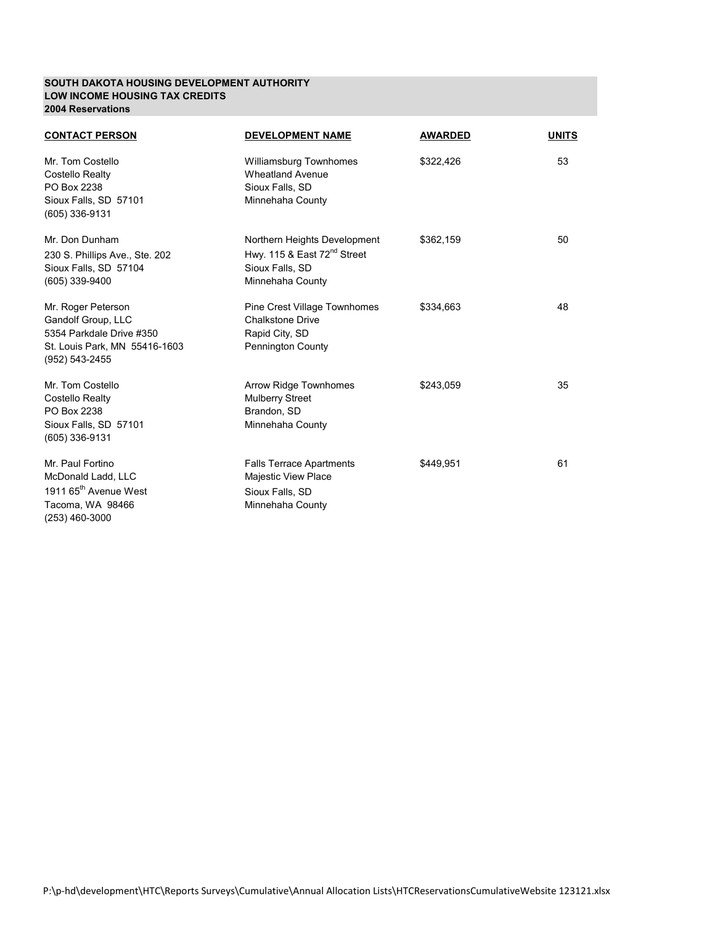#### **SOUTH DAKOTA HOUSING DEVELOPMENT AUTHORITY LOW INCOME HOUSING TAX CREDITS 2004 Reservations**

| <b>CONTACT PERSON</b>                                                                                                   | <b>DEVELOPMENT NAME</b>                                                                                        | <b>AWARDED</b> | <b>UNITS</b> |
|-------------------------------------------------------------------------------------------------------------------------|----------------------------------------------------------------------------------------------------------------|----------------|--------------|
| Mr. Tom Costello<br>Costello Realty<br>PO Box 2238<br>Sioux Falls, SD 57101<br>(605) 336-9131                           | Williamsburg Townhomes<br><b>Wheatland Avenue</b><br>Sioux Falls, SD<br>Minnehaha County                       | \$322,426      | 53           |
| Mr. Don Dunham<br>230 S. Phillips Ave., Ste. 202<br>Sioux Falls, SD 57104<br>(605) 339-9400                             | Northern Heights Development<br>Hwy. 115 & East 72 <sup>nd</sup> Street<br>Sioux Falls, SD<br>Minnehaha County | \$362,159      | 50           |
| Mr. Roger Peterson<br>Gandolf Group, LLC<br>5354 Parkdale Drive #350<br>St. Louis Park, MN 55416-1603<br>(952) 543-2455 | <b>Pine Crest Village Townhomes</b><br><b>Chalkstone Drive</b><br>Rapid City, SD<br>Pennington County          | \$334,663      | 48           |
| Mr. Tom Costello<br>Costello Realty<br>PO Box 2238<br>Sioux Falls, SD 57101<br>(605) 336-9131                           | <b>Arrow Ridge Townhomes</b><br><b>Mulberry Street</b><br>Brandon, SD<br>Minnehaha County                      | \$243,059      | 35           |
| Mr. Paul Fortino<br>McDonald Ladd, LLC<br>1911 65 <sup>th</sup> Avenue West<br>Tacoma, WA 98466<br>(253) 460-3000       | <b>Falls Terrace Apartments</b><br><b>Majestic View Place</b><br>Sioux Falls, SD<br>Minnehaha County           | \$449,951      | 61           |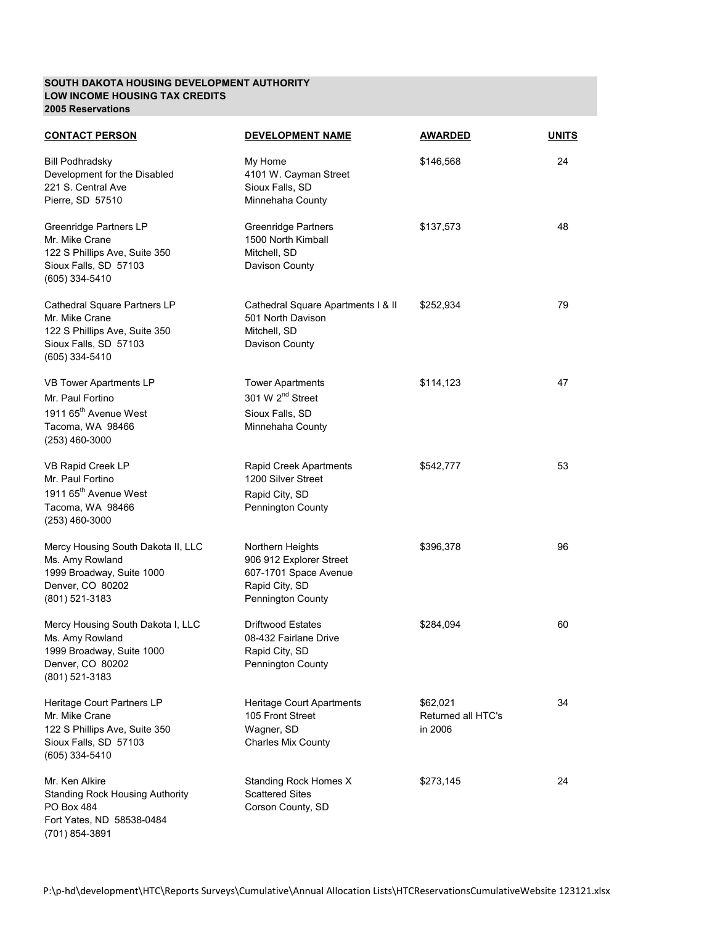## **SOUTH DAKOTA HOUSING DEVELOPMENT AUTHORITY LOW INCOME HOUSING TAX CREDITS 2005 Reservations**

(701) 854-3891

| <b>CONTACT PERSON</b>                                                                                                      | <b>DEVELOPMENT NAME</b>                                                                                     | <b>AWARDED</b>                            | <u>UNITS</u> |
|----------------------------------------------------------------------------------------------------------------------------|-------------------------------------------------------------------------------------------------------------|-------------------------------------------|--------------|
| <b>Bill Podhradsky</b><br>Development for the Disabled<br>221 S. Central Ave<br>Pierre, SD 57510                           | My Home<br>4101 W. Cayman Street<br>Sioux Falls, SD<br>Minnehaha County                                     | \$146,568                                 | 24           |
| Greenridge Partners LP<br>Mr. Mike Crane<br>122 S Phillips Ave, Suite 350<br>Sioux Falls, SD 57103<br>(605) 334-5410       | <b>Greenridge Partners</b><br>1500 North Kimball<br>Mitchell, SD<br>Davison County                          | \$137,573                                 | 48           |
| Cathedral Square Partners LP<br>Mr. Mike Crane<br>122 S Phillips Ave, Suite 350<br>Sioux Falls, SD 57103<br>(605) 334-5410 | Cathedral Square Apartments   & II<br>501 North Davison<br>Mitchell, SD<br>Davison County                   | \$252,934                                 | 79           |
| VB Tower Apartments LP<br>Mr. Paul Fortino<br>1911 65 <sup>th</sup> Avenue West<br>Tacoma, WA 98466<br>$(253)$ 460-3000    | <b>Tower Apartments</b><br>301 W 2 <sup>nd</sup> Street<br>Sioux Falls, SD<br>Minnehaha County              | \$114,123                                 | 47           |
| VB Rapid Creek LP<br>Mr. Paul Fortino<br>1911 65 <sup>th</sup> Avenue West<br>Tacoma, WA 98466<br>(253) 460-3000           | Rapid Creek Apartments<br>1200 Silver Street<br>Rapid City, SD<br>Pennington County                         | \$542,777                                 | 53           |
| Mercy Housing South Dakota II, LLC<br>Ms. Amy Rowland<br>1999 Broadway, Suite 1000<br>Denver, CO 80202<br>(801) 521-3183   | Northern Heights<br>906 912 Explorer Street<br>607-1701 Space Avenue<br>Rapid City, SD<br>Pennington County | \$396,378                                 | 96           |
| Mercy Housing South Dakota I, LLC<br>Ms. Amy Rowland<br>1999 Broadway, Suite 1000<br>Denver, CO 80202<br>(801) 521-3183    | <b>Driftwood Estates</b><br>08-432 Fairlane Drive<br>Rapid City, SD<br><b>Pennington County</b>             | \$284,094                                 | 60           |
| Heritage Court Partners LP<br>Mr. Mike Crane<br>122 S Phillips Ave, Suite 350<br>Sioux Falls, SD 57103<br>(605) 334-5410   | Heritage Court Apartments<br>105 Front Street<br>Wagner, SD<br><b>Charles Mix County</b>                    | \$62,021<br>Returned all HTC's<br>in 2006 | 34           |
| Mr. Ken Alkire<br><b>Standing Rock Housing Authority</b><br>PO Box 484<br>Fort Yates, ND 58538-0484                        | Standing Rock Homes X<br><b>Scattered Sites</b><br>Corson County, SD                                        | \$273,145                                 | 24           |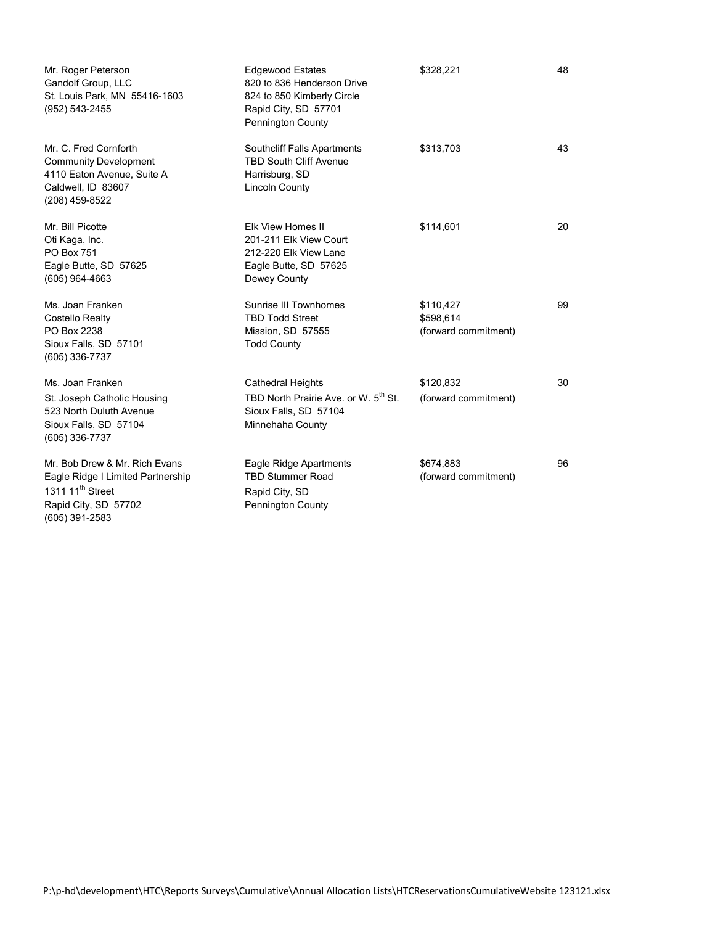| Mr. Roger Peterson<br>Gandolf Group, LLC<br>St. Louis Park, MN 55416-1603<br>(952) 543-2455                                                  | <b>Edgewood Estates</b><br>820 to 836 Henderson Drive<br>824 to 850 Kimberly Circle<br>Rapid City, SD 57701<br><b>Pennington County</b> | \$328,221                                      | 48 |
|----------------------------------------------------------------------------------------------------------------------------------------------|-----------------------------------------------------------------------------------------------------------------------------------------|------------------------------------------------|----|
| Mr. C. Fred Cornforth<br><b>Community Development</b><br>4110 Eaton Avenue, Suite A<br>Caldwell, ID 83607<br>(208) 459-8522                  | <b>Southcliff Falls Apartments</b><br><b>TBD South Cliff Avenue</b><br>Harrisburg, SD<br><b>Lincoln County</b>                          | \$313,703                                      | 43 |
| Mr. Bill Picotte<br>Oti Kaga, Inc.<br><b>PO Box 751</b><br>Eagle Butte, SD 57625<br>$(605)$ 964-4663                                         | <b>Elk View Homes II</b><br>201-211 Elk View Court<br>212-220 Elk View Lane<br>Eagle Butte, SD 57625<br>Dewey County                    | \$114,601                                      | 20 |
| Ms. Joan Franken<br>Costello Realty<br>PO Box 2238<br>Sioux Falls, SD 57101<br>(605) 336-7737                                                | Sunrise III Townhomes<br><b>TBD Todd Street</b><br>Mission, SD 57555<br><b>Todd County</b>                                              | \$110,427<br>\$598,614<br>(forward commitment) | 99 |
| Ms. Joan Franken<br>St. Joseph Catholic Housing<br>523 North Duluth Avenue<br>Sioux Falls, SD 57104<br>(605) 336-7737                        | Cathedral Heights<br>TBD North Prairie Ave. or W. 5 <sup>th</sup> St.<br>Sioux Falls, SD 57104<br>Minnehaha County                      | \$120,832<br>(forward commitment)              | 30 |
| Mr. Bob Drew & Mr. Rich Evans<br>Eagle Ridge I Limited Partnership<br>1311 11 <sup>th</sup> Street<br>Rapid City, SD 57702<br>(605) 391-2583 | Eagle Ridge Apartments<br><b>TBD Stummer Road</b><br>Rapid City, SD<br><b>Pennington County</b>                                         | \$674,883<br>(forward commitment)              | 96 |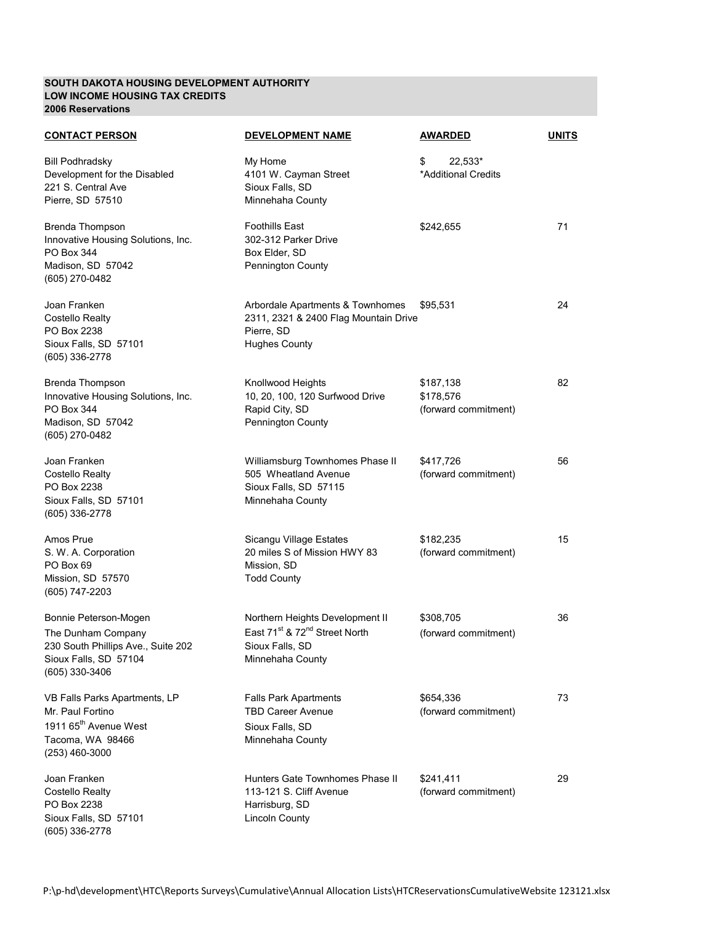## **SOUTH DAKOTA HOUSING DEVELOPMENT AUTHORITY LOW INCOME HOUSING TAX CREDITS 2006 Reservations**

| <b>CONTACT PERSON</b>                                                                                                          | <b>DEVELOPMENT NAME</b>                                                                                                         | <b>AWARDED</b>                                 | <b>UNITS</b> |
|--------------------------------------------------------------------------------------------------------------------------------|---------------------------------------------------------------------------------------------------------------------------------|------------------------------------------------|--------------|
| <b>Bill Podhradsky</b><br>Development for the Disabled<br>221 S. Central Ave<br>Pierre, SD 57510                               | My Home<br>4101 W. Cayman Street<br>Sioux Falls, SD<br>Minnehaha County                                                         | 22,533*<br>\$<br>*Additional Credits           |              |
| Brenda Thompson<br>Innovative Housing Solutions, Inc.<br>PO Box 344<br>Madison, SD 57042<br>(605) 270-0482                     | <b>Foothills East</b><br>302-312 Parker Drive<br>Box Elder, SD<br>Pennington County                                             | \$242,655                                      | 71           |
| Joan Franken<br>Costello Realty<br>PO Box 2238<br>Sioux Falls, SD 57101<br>(605) 336-2778                                      | Arbordale Apartments & Townhomes<br>2311, 2321 & 2400 Flag Mountain Drive<br>Pierre, SD<br><b>Hughes County</b>                 | \$95,531                                       | 24           |
| Brenda Thompson<br>Innovative Housing Solutions, Inc.<br>PO Box 344<br>Madison, SD 57042<br>(605) 270-0482                     | Knollwood Heights<br>10, 20, 100, 120 Surfwood Drive<br>Rapid City, SD<br>Pennington County                                     | \$187,138<br>\$178,576<br>(forward commitment) | 82           |
| Joan Franken<br><b>Costello Realty</b><br>PO Box 2238<br>Sioux Falls, SD 57101<br>(605) 336-2778                               | Williamsburg Townhomes Phase II<br>505 Wheatland Avenue<br>Sioux Falls, SD 57115<br>Minnehaha County                            | \$417,726<br>(forward commitment)              | 56           |
| Amos Prue<br>S. W. A. Corporation<br>PO Box 69<br>Mission, SD 57570<br>(605) 747-2203                                          | Sicangu Village Estates<br>20 miles S of Mission HWY 83<br>Mission, SD<br><b>Todd County</b>                                    | \$182,235<br>(forward commitment)              | 15           |
| Bonnie Peterson-Mogen<br>The Dunham Company<br>230 South Phillips Ave., Suite 202<br>Sioux Falls, SD 57104<br>(605) 330-3406   | Northern Heights Development II<br>East 71 <sup>st</sup> & 72 <sup>nd</sup> Street North<br>Sioux Falls, SD<br>Minnehaha County | \$308,705<br>(forward commitment)              | 36           |
| VB Falls Parks Apartments, LP<br>Mr. Paul Fortino<br>1911 65 <sup>th</sup> Avenue West<br>Tacoma, WA 98466<br>$(253)$ 460-3000 | <b>Falls Park Apartments</b><br><b>TBD Career Avenue</b><br>Sioux Falls, SD<br>Minnehaha County                                 | \$654,336<br>(forward commitment)              | 73           |
| Joan Franken<br><b>Costello Realty</b><br>PO Box 2238<br>Sioux Falls, SD 57101<br>(605) 336-2778                               | Hunters Gate Townhomes Phase II<br>113-121 S. Cliff Avenue<br>Harrisburg, SD<br><b>Lincoln County</b>                           | \$241,411<br>(forward commitment)              | 29           |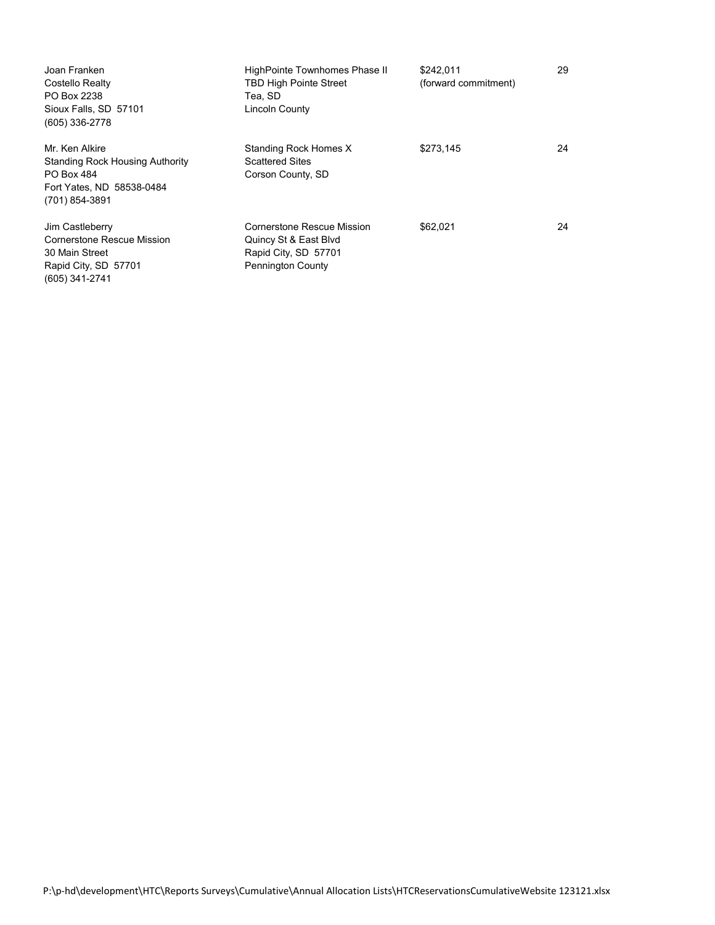| Joan Franken<br>Costello Realty<br>PO Box 2238<br>Sioux Falls, SD 57101<br>(605) 336-2778                                    | HighPointe Townhomes Phase II<br><b>TBD High Pointe Street</b><br>Tea, SD<br>Lincoln County             | \$242,011<br>(forward commitment) | 29 |
|------------------------------------------------------------------------------------------------------------------------------|---------------------------------------------------------------------------------------------------------|-----------------------------------|----|
| Mr. Ken Alkire<br><b>Standing Rock Housing Authority</b><br><b>PO Box 484</b><br>Fort Yates, ND 58538-0484<br>(701) 854-3891 | Standing Rock Homes X<br><b>Scattered Sites</b><br>Corson County, SD                                    | \$273,145                         | 24 |
| Jim Castleberry<br>Cornerstone Rescue Mission<br>30 Main Street<br>Rapid City, SD 57701<br>(605) 341-2741                    | Cornerstone Rescue Mission<br>Quincy St & East Blvd<br>Rapid City, SD 57701<br><b>Pennington County</b> | \$62,021                          | 24 |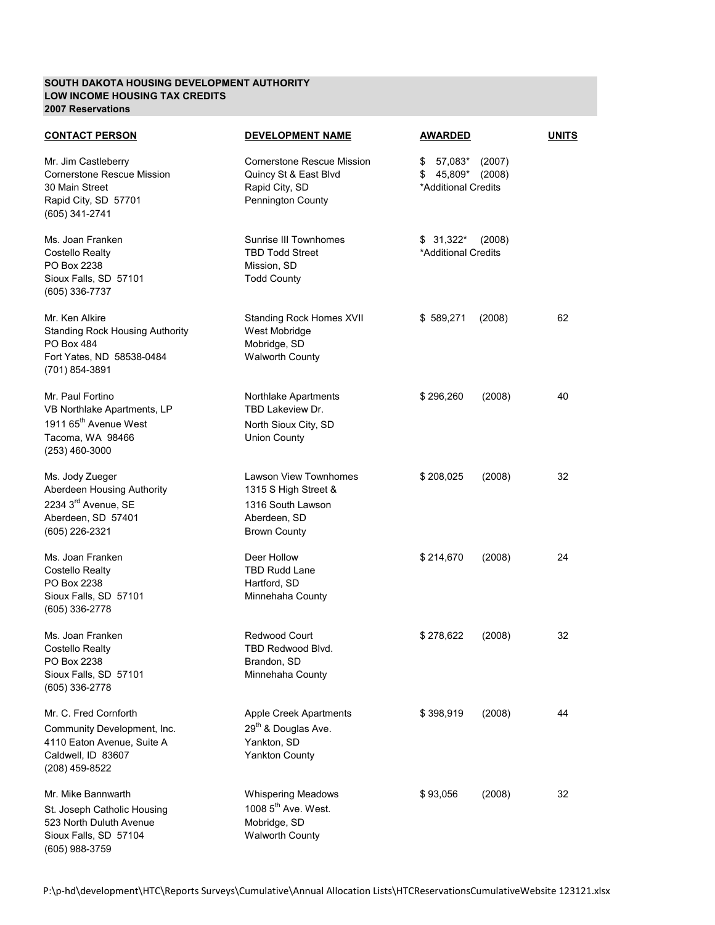## **SOUTH DAKOTA HOUSING DEVELOPMENT AUTHORITY LOW INCOME HOUSING TAX CREDITS 2007 Reservations**

| <u>CONTACT PERSON</u>                                                                                                      | <b>DEVELOPMENT NAME</b>                                                                                          | <b>AWARDED</b>                                                         | <b>UNITS</b> |
|----------------------------------------------------------------------------------------------------------------------------|------------------------------------------------------------------------------------------------------------------|------------------------------------------------------------------------|--------------|
| Mr. Jim Castleberry<br><b>Cornerstone Rescue Mission</b><br>30 Main Street<br>Rapid City, SD 57701<br>(605) 341-2741       | <b>Cornerstone Rescue Mission</b><br>Quincy St & East Blvd<br>Rapid City, SD<br>Pennington County                | 57,083*<br>(2007)<br>\$<br>$$45,809*$<br>(2008)<br>*Additional Credits |              |
| Ms. Joan Franken<br><b>Costello Realty</b><br>PO Box 2238<br>Sioux Falls, SD 57101<br>(605) 336-7737                       | Sunrise III Townhomes<br><b>TBD Todd Street</b><br>Mission, SD<br><b>Todd County</b>                             | $$31,322^*$<br>(2008)<br>*Additional Credits                           |              |
| Mr. Ken Alkire<br><b>Standing Rock Housing Authority</b><br>PO Box 484<br>Fort Yates, ND 58538-0484<br>(701) 854-3891      | <b>Standing Rock Homes XVII</b><br>West Mobridge<br>Mobridge, SD<br><b>Walworth County</b>                       | \$589,271<br>(2008)                                                    | 62           |
| Mr. Paul Fortino<br>VB Northlake Apartments, LP<br>1911 65 <sup>th</sup> Avenue West<br>Tacoma, WA 98466<br>(253) 460-3000 | Northlake Apartments<br>TBD Lakeview Dr.<br>North Sioux City, SD<br><b>Union County</b>                          | \$296,260<br>(2008)                                                    | 40           |
| Ms. Jody Zueger<br>Aberdeen Housing Authority<br>2234 3 <sup>rd</sup> Avenue, SE<br>Aberdeen, SD 57401<br>(605) 226-2321   | <b>Lawson View Townhomes</b><br>1315 S High Street &<br>1316 South Lawson<br>Aberdeen, SD<br><b>Brown County</b> | \$208,025<br>(2008)                                                    | 32           |
| Ms. Joan Franken<br><b>Costello Realty</b><br>PO Box 2238<br>Sioux Falls, SD 57101<br>(605) 336-2778                       | Deer Hollow<br><b>TBD Rudd Lane</b><br>Hartford, SD<br>Minnehaha County                                          | \$214,670<br>(2008)                                                    | 24           |
| Ms. Joan Franken<br>Costello Realty<br>PO Box 2238<br>Sioux Falls, SD 57101<br>(605) 336-2778                              | Redwood Court<br>TBD Redwood Blvd<br>Brandon, SD<br>Minnehaha County                                             | \$278,622<br>(2008)                                                    | 32           |
| Mr. C. Fred Cornforth<br>Community Development, Inc.<br>4110 Eaton Avenue, Suite A<br>Caldwell, ID 83607<br>(208) 459-8522 | Apple Creek Apartments<br>29 <sup>th</sup> & Douglas Ave.<br>Yankton, SD<br><b>Yankton County</b>                | \$398,919<br>(2008)                                                    | 44           |
| Mr. Mike Bannwarth<br>St. Joseph Catholic Housing<br>523 North Duluth Avenue<br>Sioux Falls, SD 57104<br>(605) 988-3759    | <b>Whispering Meadows</b><br>1008 $5^{\text{th}}$ Ave. West.<br>Mobridge, SD<br><b>Walworth County</b>           | \$93,056<br>(2008)                                                     | 32           |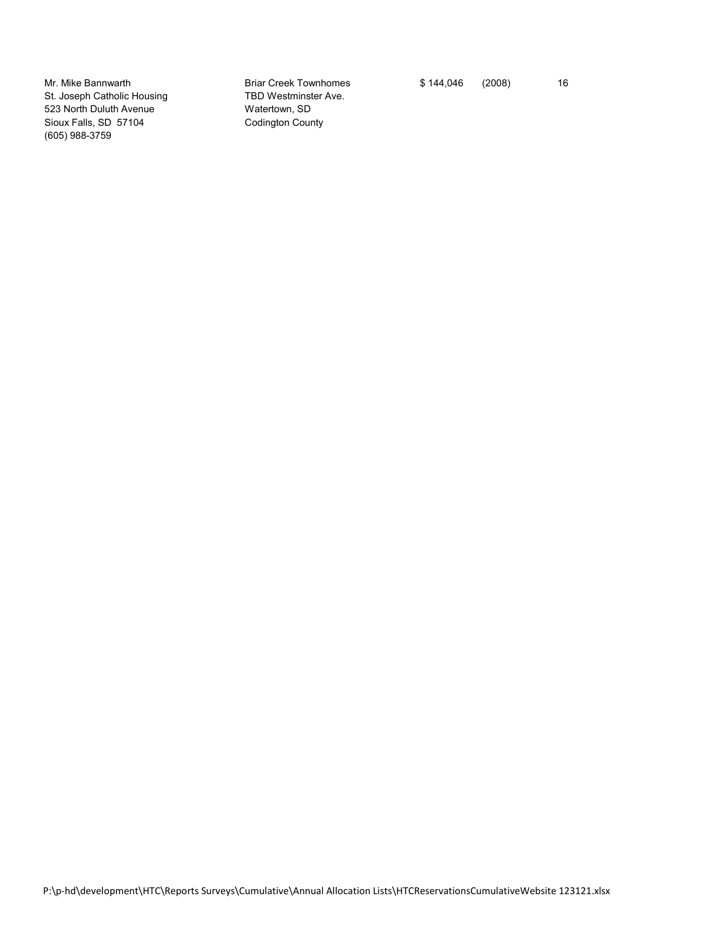Mr. Mike Bannwarth Briar Creek Townhomes \$ 144,046 (2008) 16 St. Joseph Catholic Housing TBD Westminst<br>523 North Duluth Avenue Watertown, SD 523 North Duluth Avenue Sioux Falls, SD 57104 Codington County (605) 988-3759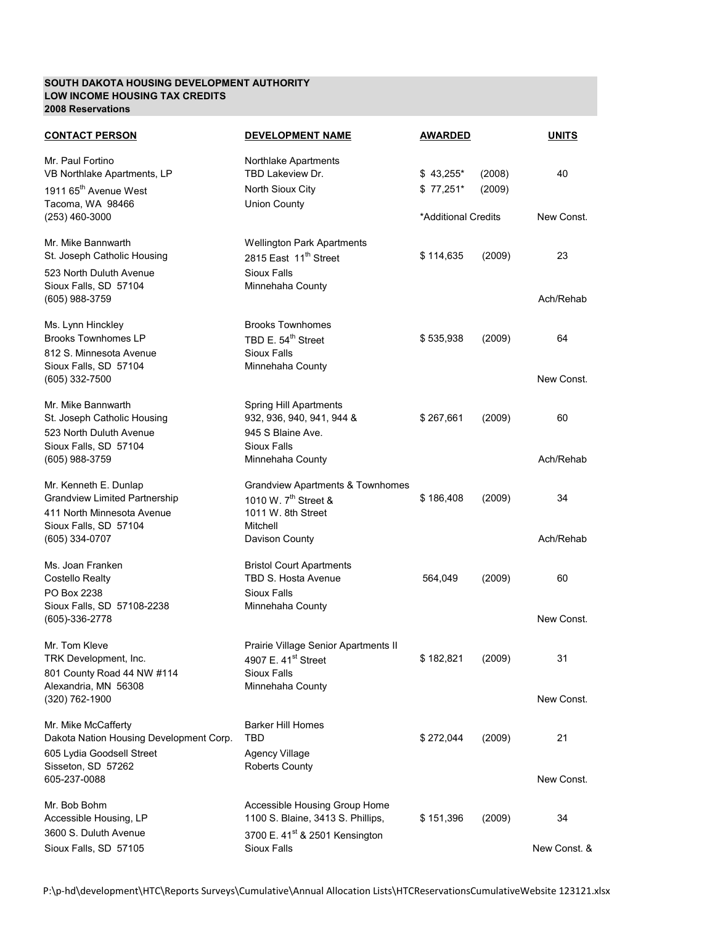#### **SOUTH DAKOTA HOUSING DEVELOPMENT AUTHORITY LOW INCOME HOUSING TAX CREDITS 2008 Reservations**

| <u>CONTACT PERSON</u>                                                                               | <b>DEVELOPMENT NAME</b>                                                                               | <b>AWARDED</b>            |                  | <b>UNITS</b> |
|-----------------------------------------------------------------------------------------------------|-------------------------------------------------------------------------------------------------------|---------------------------|------------------|--------------|
| Mr. Paul Fortino<br>VB Northlake Apartments, LP<br>1911 65 <sup>th</sup> Avenue West                | Northlake Apartments<br>TBD Lakeview Dr.<br>North Sioux City                                          | $$43,255^*$<br>$$77,251*$ | (2008)<br>(2009) | 40           |
| Tacoma, WA 98466<br>(253) 460-3000                                                                  | <b>Union County</b>                                                                                   | *Additional Credits       |                  | New Const.   |
| Mr. Mike Bannwarth<br>St. Joseph Catholic Housing                                                   | <b>Wellington Park Apartments</b><br>2815 East 11 <sup>th</sup> Street                                | \$114,635                 | (2009)           | 23           |
| 523 North Duluth Avenue<br>Sioux Falls, SD 57104<br>(605) 988-3759                                  | <b>Sioux Falls</b><br>Minnehaha County                                                                |                           |                  | Ach/Rehab    |
| Ms. Lynn Hinckley<br><b>Brooks Townhomes LP</b><br>812 S. Minnesota Avenue<br>Sioux Falls, SD 57104 | <b>Brooks Townhomes</b><br>TBD E. 54 <sup>th</sup> Street<br><b>Sioux Falls</b><br>Minnehaha County   | \$535,938                 | (2009)           | 64           |
| (605) 332-7500                                                                                      |                                                                                                       |                           |                  | New Const.   |
| Mr. Mike Bannwarth<br>St. Joseph Catholic Housing<br>523 North Duluth Avenue                        | <b>Spring Hill Apartments</b><br>932, 936, 940, 941, 944 &<br>945 S Blaine Ave.                       | \$267,661                 | (2009)           | 60           |
| Sioux Falls, SD 57104<br>(605) 988-3759                                                             | Sioux Falls<br>Minnehaha County                                                                       |                           |                  | Ach/Rehab    |
| Mr. Kenneth E. Dunlap<br><b>Grandview Limited Partnership</b><br>411 North Minnesota Avenue         | <b>Grandview Apartments &amp; Townhomes</b><br>1010 W. 7 <sup>th</sup> Street &<br>1011 W. 8th Street | \$186,408                 | (2009)           | 34           |
| Sioux Falls, SD 57104<br>(605) 334-0707                                                             | Mitchell<br>Davison County                                                                            |                           |                  | Ach/Rehab    |
| Ms. Joan Franken<br><b>Costello Realty</b><br>PO Box 2238                                           | <b>Bristol Court Apartments</b><br>TBD S. Hosta Avenue<br><b>Sioux Falls</b>                          | 564,049                   | (2009)           | 60           |
| Sioux Falls, SD 57108-2238<br>(605)-336-2778                                                        | Minnehaha County                                                                                      |                           |                  | New Const.   |
| Mr. Tom Kleve<br>TRK Development, Inc.<br>801 County Road 44 NW #114                                | Prairie Village Senior Apartments II<br>4907 E. 41 <sup>st</sup> Street<br><b>Sioux Falls</b>         | \$182,821                 | (2009)           | 31           |
| Alexandria, MN 56308<br>(320) 762-1900                                                              | Minnehaha County                                                                                      |                           |                  | New Const.   |
| Mr. Mike McCafferty<br>Dakota Nation Housing Development Corp.<br>605 Lydia Goodsell Street         | <b>Barker Hill Homes</b><br>TBD<br><b>Agency Village</b>                                              | \$272,044                 | (2009)           | 21           |
| Sisseton, SD 57262<br>605-237-0088                                                                  | <b>Roberts County</b>                                                                                 |                           |                  | New Const.   |
| Mr. Bob Bohm<br>Accessible Housing, LP                                                              | Accessible Housing Group Home<br>1100 S. Blaine, 3413 S. Phillips,                                    | \$151,396                 | (2009)           | 34           |
| 3600 S. Duluth Avenue<br>Sioux Falls, SD 57105                                                      | 3700 E. 41 <sup>st</sup> & 2501 Kensington<br>Sioux Falls                                             |                           |                  | New Const. 8 |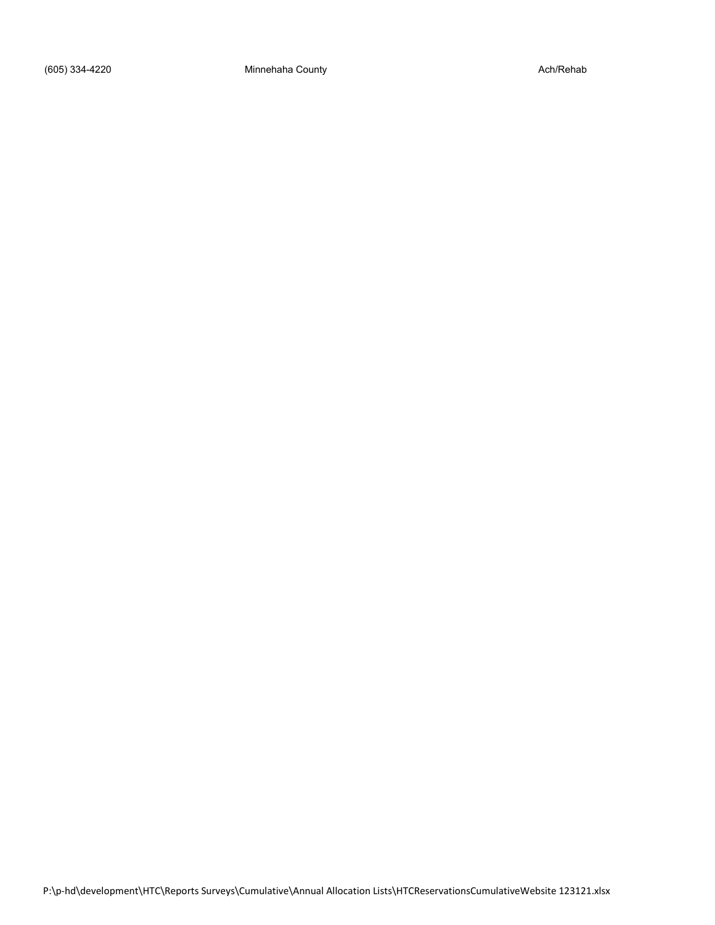(605) 334-4220 Minnehaha County Ach/Rehab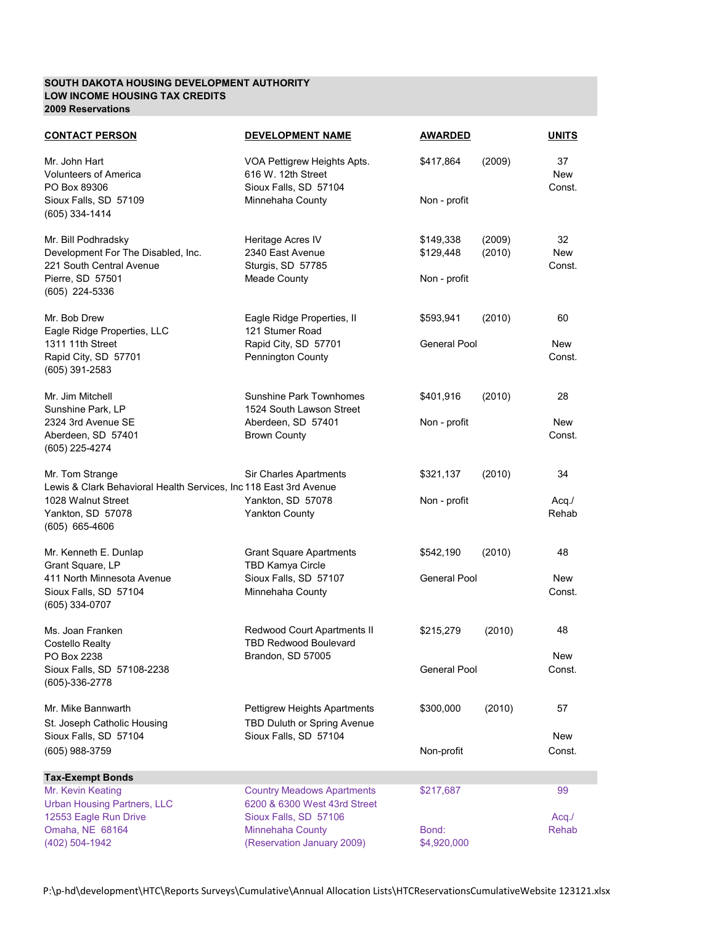## **SOUTH DAKOTA HOUSING DEVELOPMENT AUTHORITY LOW INCOME HOUSING TAX CREDITS 2009 Reservations**

| <b>CONTACT PERSON</b>                                             | <b>DEVELOPMENT NAME</b>                                           | <b>AWARDED</b>      |        | <b>UNITS</b>         |
|-------------------------------------------------------------------|-------------------------------------------------------------------|---------------------|--------|----------------------|
| Mr. John Hart<br><b>Volunteers of America</b>                     | VOA Pettigrew Heights Apts.<br>616 W. 12th Street                 | \$417,864           | (2009) | 37<br><b>New</b>     |
| PO Box 89306                                                      | Sioux Falls, SD 57104                                             |                     |        | Const.               |
| Sioux Falls, SD 57109<br>(605) 334-1414                           | Minnehaha County                                                  | Non - profit        |        |                      |
| Mr. Bill Podhradsky                                               | Heritage Acres IV                                                 | \$149,338           | (2009) | 32                   |
| Development For The Disabled, Inc.                                | 2340 East Avenue                                                  | \$129,448           | (2010) | <b>New</b>           |
| 221 South Central Avenue                                          | Sturgis, SD 57785                                                 |                     |        | Const.               |
| Pierre, SD 57501<br>(605) 224-5336                                | Meade County                                                      | Non - profit        |        |                      |
| Mr. Bob Drew                                                      | Eagle Ridge Properties, II                                        | \$593,941           | (2010) | 60                   |
| Eagle Ridge Properties, LLC                                       | 121 Stumer Road                                                   |                     |        |                      |
| 1311 11th Street                                                  | Rapid City, SD 57701                                              | <b>General Pool</b> |        | <b>New</b>           |
| Rapid City, SD 57701<br>(605) 391-2583                            | Pennington County                                                 |                     |        | Const.               |
| Mr. Jim Mitchell                                                  | <b>Sunshine Park Townhomes</b>                                    | \$401,916           | (2010) | 28                   |
| Sunshine Park, LP                                                 | 1524 South Lawson Street                                          |                     |        |                      |
| 2324 3rd Avenue SE                                                | Aberdeen, SD 57401                                                | Non - profit        |        | New                  |
| Aberdeen, SD 57401<br>(605) 225-4274                              | <b>Brown County</b>                                               |                     |        | Const.               |
| Mr. Tom Strange                                                   | <b>Sir Charles Apartments</b>                                     | \$321,137           | (2010) | 34                   |
| Lewis & Clark Behavioral Health Services, Inc 118 East 3rd Avenue |                                                                   |                     |        |                      |
| 1028 Walnut Street<br>Yankton, SD 57078                           | Yankton, SD 57078<br><b>Yankton County</b>                        | Non - profit        |        | $Acq$ .<br>Rehab     |
| (605) 665-4606                                                    |                                                                   |                     |        |                      |
| Mr. Kenneth E. Dunlap                                             | <b>Grant Square Apartments</b>                                    | \$542,190           | (2010) | 48                   |
| Grant Square, LP                                                  | TBD Kamya Circle                                                  |                     |        |                      |
| 411 North Minnesota Avenue<br>Sioux Falls, SD 57104               | Sioux Falls, SD 57107<br>Minnehaha County                         | <b>General Pool</b> |        | <b>New</b><br>Const. |
| (605) 334-0707                                                    |                                                                   |                     |        |                      |
| Ms. Joan Franken                                                  | Redwood Court Apartments II                                       | \$215,279           | (2010) | 48                   |
| Costello Realty<br>PO Box 2238                                    | <b>TBD Redwood Boulevard</b><br>Brandon, SD 57005                 |                     |        | <b>New</b>           |
| Sioux Falls, SD 57108-2238                                        |                                                                   | General Pool        |        | Const.               |
| (605)-336-2778                                                    |                                                                   |                     |        |                      |
| Mr. Mike Bannwarth                                                | Pettigrew Heights Apartments                                      | \$300,000           | (2010) | 57                   |
| St. Joseph Catholic Housing                                       | <b>TBD Duluth or Spring Avenue</b>                                |                     |        |                      |
| Sioux Falls, SD 57104                                             | Sioux Falls, SD 57104                                             |                     |        | <b>New</b>           |
| (605) 988-3759                                                    |                                                                   | Non-profit          |        | Const.               |
| <b>Tax-Exempt Bonds</b>                                           |                                                                   |                     |        |                      |
| Mr. Kevin Keating<br><b>Urban Housing Partners, LLC</b>           | <b>Country Meadows Apartments</b><br>6200 & 6300 West 43rd Street | \$217,687           |        | 99                   |
| 12553 Eagle Run Drive                                             | Sioux Falls, SD 57106                                             |                     |        | $Acq$ .              |
| Omaha, NE 68164                                                   | Minnehaha County                                                  | Bond:               |        | <b>Rehab</b>         |
| (402) 504-1942                                                    | (Reservation January 2009)                                        | \$4,920,000         |        |                      |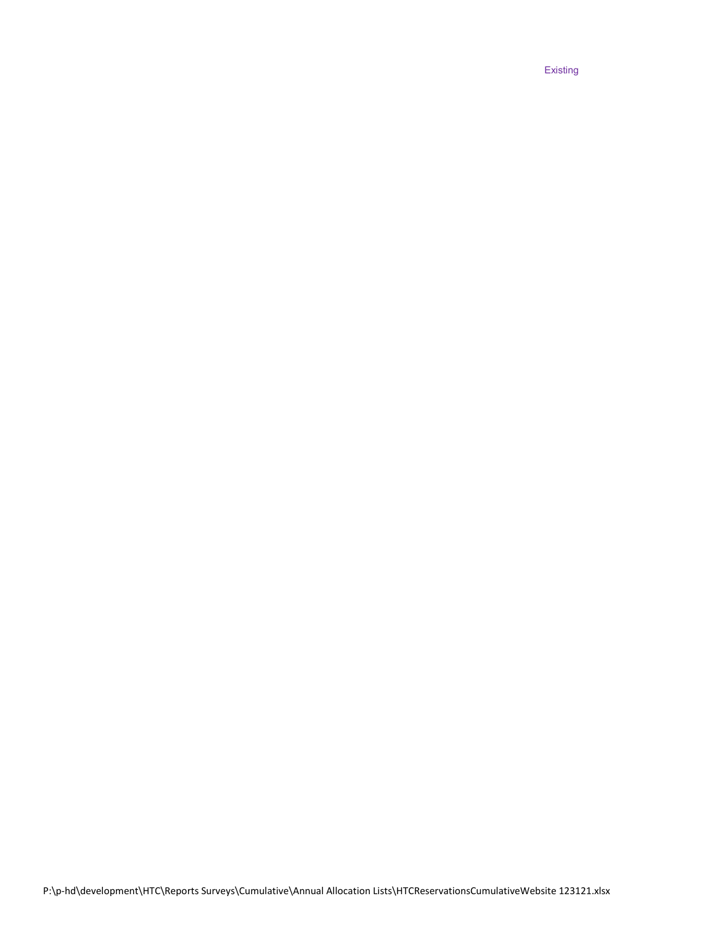**Existing**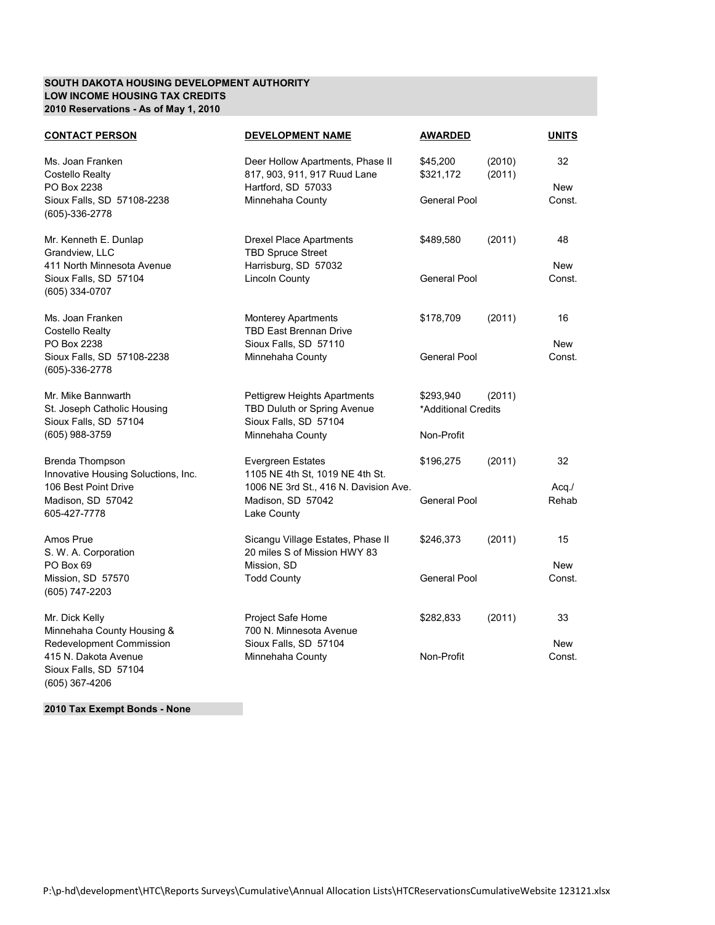#### **SOUTH DAKOTA HOUSING DEVELOPMENT AUTHORITY LOW INCOME HOUSING TAX CREDITS 2010 Reservations - As of May 1, 2010**

| <b>CONTACT PERSON</b>                                                                   | <b>DEVELOPMENT NAME</b>                                                                                    | <b>AWARDED</b>                        |                  | <b>UNITS</b>               |
|-----------------------------------------------------------------------------------------|------------------------------------------------------------------------------------------------------------|---------------------------------------|------------------|----------------------------|
| Ms. Joan Franken<br><b>Costello Realty</b><br>PO Box 2238<br>Sioux Falls, SD 57108-2238 | Deer Hollow Apartments, Phase II<br>817, 903, 911, 917 Ruud Lane<br>Hartford, SD 57033<br>Minnehaha County | \$45,200<br>\$321,172<br>General Pool | (2010)<br>(2011) | 32<br><b>New</b><br>Const. |
| (605)-336-2778                                                                          |                                                                                                            |                                       |                  |                            |
| Mr. Kenneth E. Dunlap<br>Grandview, LLC<br>411 North Minnesota Avenue                   | <b>Drexel Place Apartments</b><br><b>TBD Spruce Street</b><br>Harrisburg, SD 57032                         | \$489,580                             | (2011)           | 48<br>New                  |
| Sioux Falls, SD 57104<br>(605) 334-0707                                                 | <b>Lincoln County</b>                                                                                      | <b>General Pool</b>                   |                  | Const.                     |
| Ms. Joan Franken<br><b>Costello Realty</b>                                              | <b>Monterey Apartments</b><br><b>TBD East Brennan Drive</b>                                                | \$178,709                             | (2011)           | 16                         |
| PO Box 2238<br>Sioux Falls, SD 57108-2238<br>(605)-336-2778                             | Sioux Falls, SD 57110<br>Minnehaha County                                                                  | <b>General Pool</b>                   |                  | <b>New</b><br>Const.       |
| Mr. Mike Bannwarth<br>St. Joseph Catholic Housing<br>Sioux Falls, SD 57104              | Pettigrew Heights Apartments<br>TBD Duluth or Spring Avenue<br>Sioux Falls, SD 57104                       | \$293,940<br>*Additional Credits      | (2011)           |                            |
| (605) 988-3759                                                                          | Minnehaha County                                                                                           | Non-Profit                            |                  |                            |
| Brenda Thompson<br>Innovative Housing Soluctions, Inc.                                  | <b>Evergreen Estates</b><br>1105 NE 4th St, 1019 NE 4th St.                                                | \$196,275                             | (2011)           | 32                         |
| 106 Best Point Drive<br>Madison, SD 57042<br>605-427-7778                               | 1006 NE 3rd St., 416 N. Davision Ave.<br>Madison, SD 57042<br>Lake County                                  | <b>General Pool</b>                   |                  | Acq.<br>Rehab              |
| Amos Prue<br>S. W. A. Corporation                                                       | Sicangu Village Estates, Phase II<br>20 miles S of Mission HWY 83                                          | \$246,373                             | (2011)           | 15                         |
| PO Box 69<br>Mission, SD 57570<br>(605) 747-2203                                        | Mission, SD<br><b>Todd County</b>                                                                          | General Pool                          |                  | New<br>Const.              |
| Mr. Dick Kelly<br>Minnehaha County Housing &                                            | Project Safe Home<br>700 N. Minnesota Avenue                                                               | \$282,833                             | (2011)           | 33                         |
| Redevelopment Commission<br>415 N. Dakota Avenue<br>Sioux Falls, SD 57104               | Sioux Falls, SD 57104<br>Minnehaha County                                                                  | Non-Profit                            |                  | <b>New</b><br>Const.       |

**2010 Tax Exempt Bonds - None**

(605) 367-4206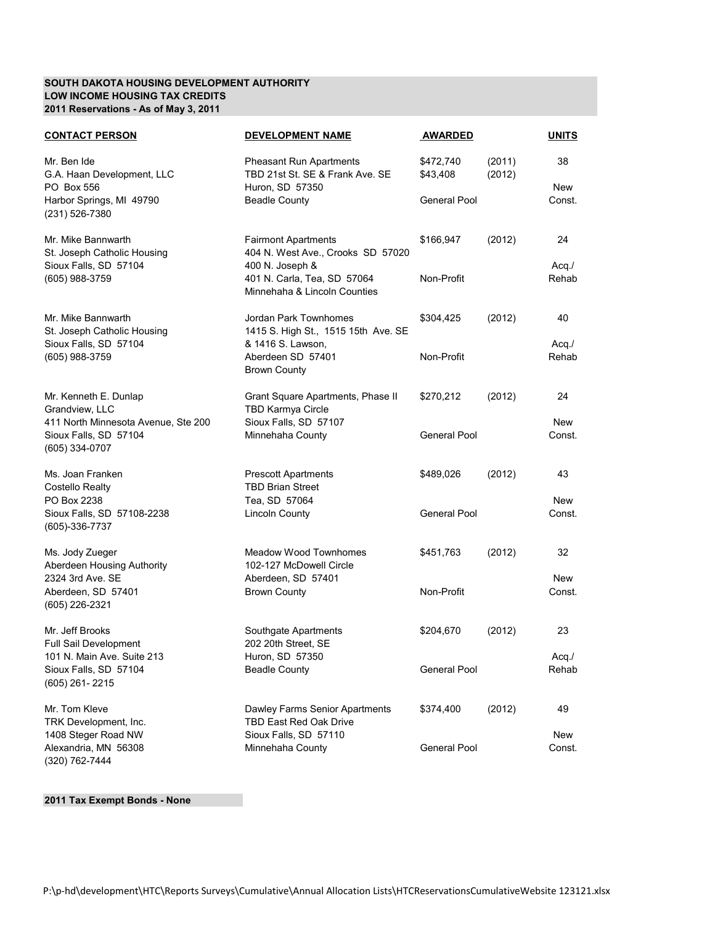#### **SOUTH DAKOTA HOUSING DEVELOPMENT AUTHORITY LOW INCOME HOUSING TAX CREDITS 2011 Reservations - As of May 3, 2011**

| <b>CONTACT PERSON</b>                                                          | <b>DEVELOPMENT NAME</b>                                                                | <b>AWARDED</b>        |                  | <b>UNITS</b>      |
|--------------------------------------------------------------------------------|----------------------------------------------------------------------------------------|-----------------------|------------------|-------------------|
| Mr. Ben Ide<br>G.A. Haan Development, LLC<br>PO Box 556                        | <b>Pheasant Run Apartments</b><br>TBD 21st St. SE & Frank Ave. SE<br>Huron, SD 57350   | \$472,740<br>\$43,408 | (2011)<br>(2012) | 38<br>New         |
| Harbor Springs, MI 49790<br>(231) 526-7380                                     | <b>Beadle County</b>                                                                   | General Pool          |                  | Const.            |
| Mr. Mike Bannwarth<br>St. Joseph Catholic Housing<br>Sioux Falls, SD 57104     | <b>Fairmont Apartments</b><br>404 N. West Ave., Crooks SD 57020<br>400 N. Joseph &     | \$166,947             | (2012)           | 24<br>$Acq$ .     |
| (605) 988-3759                                                                 | 401 N. Carla, Tea, SD 57064<br>Minnehaha & Lincoln Counties                            | Non-Profit            |                  | Rehab             |
| Mr. Mike Bannwarth<br>St. Joseph Catholic Housing<br>Sioux Falls, SD 57104     | Jordan Park Townhomes<br>1415 S. High St., 1515 15th Ave. SE<br>& 1416 S. Lawson,      | \$304,425             | (2012)           | 40<br>$Acq$ .     |
| (605) 988-3759                                                                 | Aberdeen SD 57401<br><b>Brown County</b>                                               | Non-Profit            |                  | Rehab             |
| Mr. Kenneth E. Dunlap<br>Grandview, LLC<br>411 North Minnesota Avenue, Ste 200 | Grant Square Apartments, Phase II<br><b>TBD Karmya Circle</b><br>Sioux Falls, SD 57107 | \$270,212             | (2012)           | 24<br>New         |
| Sioux Falls, SD 57104<br>(605) 334-0707                                        | Minnehaha County                                                                       | General Pool          |                  | Const.            |
| Ms. Joan Franken<br><b>Costello Realty</b><br>PO Box 2238                      | <b>Prescott Apartments</b><br><b>TBD Brian Street</b><br>Tea, SD 57064                 | \$489,026             | (2012)           | 43<br><b>New</b>  |
| Sioux Falls, SD 57108-2238<br>(605)-336-7737                                   | <b>Lincoln County</b>                                                                  | General Pool          |                  | Const.            |
| Ms. Jody Zueger<br>Aberdeen Housing Authority<br>2324 3rd Ave. SE              | <b>Meadow Wood Townhomes</b><br>102-127 McDowell Circle                                | \$451,763             | (2012)           | 32                |
| Aberdeen, SD 57401<br>(605) 226-2321                                           | Aberdeen, SD 57401<br><b>Brown County</b>                                              | Non-Profit            |                  | New<br>Const.     |
| Mr. Jeff Brooks<br><b>Full Sail Development</b>                                | Southgate Apartments<br>202 20th Street, SE                                            | \$204,670             | (2012)           | 23                |
| 101 N. Main Ave. Suite 213<br>Sioux Falls, SD 57104<br>$(605)$ 261-2215        | Huron, SD 57350<br><b>Beadle County</b>                                                | General Pool          |                  | $Acq$ ./<br>Rehab |
| Mr. Tom Kleve<br>TRK Development, Inc.                                         | Dawley Farms Senior Apartments<br>TBD East Red Oak Drive                               | \$374,400             | (2012)           | 49                |
| 1408 Steger Road NW<br>Alexandria, MN 56308                                    | Sioux Falls, SD 57110<br>Minnehaha County                                              | <b>General Pool</b>   |                  | New<br>Const.     |

# **2011 Tax Exempt Bonds - None**

(320) 762-7444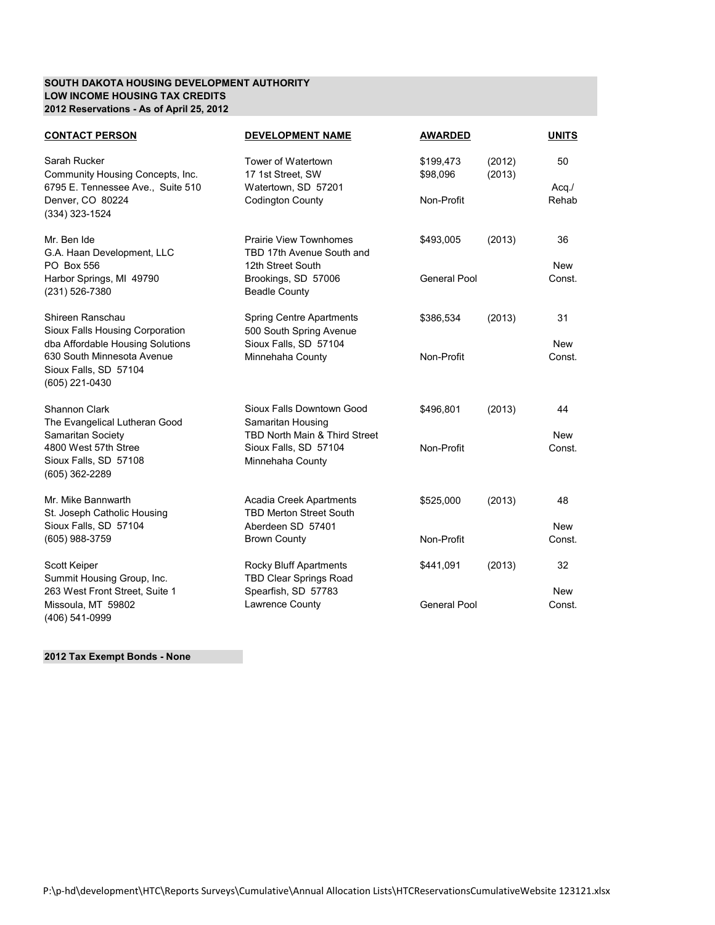#### **SOUTH DAKOTA HOUSING DEVELOPMENT AUTHORITY LOW INCOME HOUSING TAX CREDITS 2012 Reservations - As of April 25, 2012**

| <b>CONTACT PERSON</b>                                                                                                       | <b>DEVELOPMENT NAME</b>                                                                          | <b>AWARDED</b>                      |                  | <b>UNITS</b>           |
|-----------------------------------------------------------------------------------------------------------------------------|--------------------------------------------------------------------------------------------------|-------------------------------------|------------------|------------------------|
| Sarah Rucker<br>Community Housing Concepts, Inc.<br>6795 E. Tennessee Ave., Suite 510<br>Denver, CO 80224<br>(334) 323-1524 | <b>Tower of Watertown</b><br>17 1st Street, SW<br>Watertown, SD 57201<br><b>Codington County</b> | \$199,473<br>\$98,096<br>Non-Profit | (2012)<br>(2013) | 50<br>$Acq$ .<br>Rehab |
| Mr. Ben Ide<br>G.A. Haan Development, LLC                                                                                   | <b>Prairie View Townhomes</b><br>TBD 17th Avenue South and                                       | \$493,005                           | (2013)           | 36                     |
| PO Box 556<br>Harbor Springs, MI 49790<br>(231) 526-7380                                                                    | 12th Street South<br>Brookings, SD 57006<br><b>Beadle County</b>                                 | General Pool                        |                  | New<br>Const.          |
| Shireen Ranschau<br>Sioux Falls Housing Corporation                                                                         | <b>Spring Centre Apartments</b><br>500 South Spring Avenue                                       | \$386,534                           | (2013)           | 31                     |
| dba Affordable Housing Solutions<br>630 South Minnesota Avenue<br>Sioux Falls, SD 57104<br>(605) 221-0430                   | Sioux Falls, SD 57104<br>Minnehaha County                                                        | Non-Profit                          |                  | New<br>Const.          |
| <b>Shannon Clark</b><br>The Evangelical Lutheran Good                                                                       | Sioux Falls Downtown Good<br>Samaritan Housing                                                   | \$496,801                           | (2013)           | 44                     |
| Samaritan Society<br>4800 West 57th Stree<br>Sioux Falls, SD 57108<br>(605) 362-2289                                        | <b>TBD North Main &amp; Third Street</b><br>Sioux Falls, SD 57104<br>Minnehaha County            | Non-Profit                          |                  | <b>New</b><br>Const.   |
| Mr. Mike Bannwarth<br>St. Joseph Catholic Housing                                                                           | Acadia Creek Apartments<br><b>TBD Merton Street South</b><br>Aberdeen SD 57401                   | \$525,000                           | (2013)           | 48<br><b>New</b>       |
| Sioux Falls, SD 57104<br>(605) 988-3759                                                                                     | <b>Brown County</b>                                                                              | Non-Profit                          |                  | Const.                 |
| Scott Keiper<br>Summit Housing Group, Inc.                                                                                  | <b>Rocky Bluff Apartments</b><br><b>TBD Clear Springs Road</b>                                   | \$441,091                           | (2013)           | 32                     |
| 263 West Front Street, Suite 1<br>Missoula, MT 59802<br>(406) 541-0999                                                      | Spearfish, SD 57783<br>Lawrence County                                                           | <b>General Pool</b>                 |                  | <b>New</b><br>Const.   |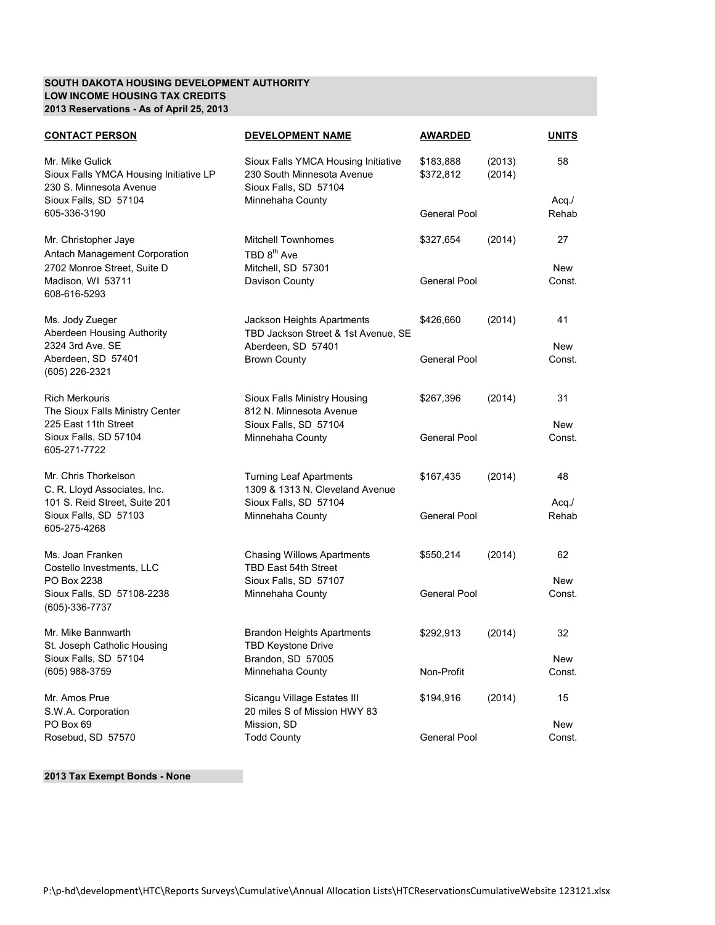## **SOUTH DAKOTA HOUSING DEVELOPMENT AUTHORITY LOW INCOME HOUSING TAX CREDITS 2013 Reservations - As of April 25, 2013**

| <b>CONTACT PERSON</b>                                                                | <b>DEVELOPMENT NAME</b>                                                                    | <b>AWARDED</b>         |                  | <b>UNITS</b>         |
|--------------------------------------------------------------------------------------|--------------------------------------------------------------------------------------------|------------------------|------------------|----------------------|
| Mr. Mike Gulick<br>Sioux Falls YMCA Housing Initiative LP<br>230 S. Minnesota Avenue | Sioux Falls YMCA Housing Initiative<br>230 South Minnesota Avenue<br>Sioux Falls, SD 57104 | \$183,888<br>\$372,812 | (2013)<br>(2014) | 58                   |
| Sioux Falls, SD 57104<br>605-336-3190                                                | Minnehaha County                                                                           | General Pool           |                  | $Acq$ .<br>Rehab     |
| Mr. Christopher Jaye<br>Antach Management Corporation                                | <b>Mitchell Townhomes</b><br>TBD 8 <sup>th</sup> Ave                                       | \$327,654              | (2014)           | 27                   |
| 2702 Monroe Street, Suite D<br>Madison, WI 53711<br>608-616-5293                     | Mitchell, SD 57301<br>Davison County                                                       | General Pool           |                  | New<br>Const.        |
| Ms. Jody Zueger<br>Aberdeen Housing Authority<br>2324 3rd Ave. SE                    | Jackson Heights Apartments<br>TBD Jackson Street & 1st Avenue, SE<br>Aberdeen, SD 57401    | \$426,660              | (2014)           | 41<br><b>New</b>     |
| Aberdeen, SD 57401<br>(605) 226-2321                                                 | <b>Brown County</b>                                                                        | General Pool           |                  | Const.               |
| <b>Rich Merkouris</b><br>The Sioux Falls Ministry Center                             | Sioux Falls Ministry Housing<br>812 N. Minnesota Avenue                                    | \$267,396              | (2014)           | 31                   |
| 225 East 11th Street<br>Sioux Falls, SD 57104<br>605-271-7722                        | Sioux Falls, SD 57104<br>Minnehaha County                                                  | General Pool           |                  | <b>New</b><br>Const. |
| Mr. Chris Thorkelson<br>C. R. Lloyd Associates, Inc.                                 | <b>Turning Leaf Apartments</b><br>1309 & 1313 N. Cleveland Avenue                          | \$167,435              | (2014)           | 48                   |
| 101 S. Reid Street, Suite 201<br>Sioux Falls, SD 57103<br>605-275-4268               | Sioux Falls, SD 57104<br>Minnehaha County                                                  | General Pool           |                  | $Acq$ .<br>Rehab     |
| Ms. Joan Franken<br>Costello Investments, LLC                                        | <b>Chasing Willows Apartments</b><br>TBD East 54th Street                                  | \$550,214              | (2014)           | 62                   |
| PO Box 2238<br>Sioux Falls, SD 57108-2238<br>(605)-336-7737                          | Sioux Falls, SD 57107<br>Minnehaha County                                                  | General Pool           |                  | <b>New</b><br>Const. |
| Mr. Mike Bannwarth<br>St. Joseph Catholic Housing                                    | <b>Brandon Heights Apartments</b><br><b>TBD Keystone Drive</b>                             | \$292,913              | (2014)           | 32                   |
| Sioux Falls, SD 57104<br>(605) 988-3759                                              | Brandon, SD 57005<br>Minnehaha County                                                      | Non-Profit             |                  | New<br>Const.        |
| Mr. Amos Prue<br>S.W.A. Corporation                                                  | Sicangu Village Estates III<br>20 miles S of Mission HWY 83                                | \$194,916              | (2014)           | 15                   |
| PO Box 69<br>Rosebud, SD 57570                                                       | Mission, SD<br><b>Todd County</b>                                                          | General Pool           |                  | <b>New</b><br>Const. |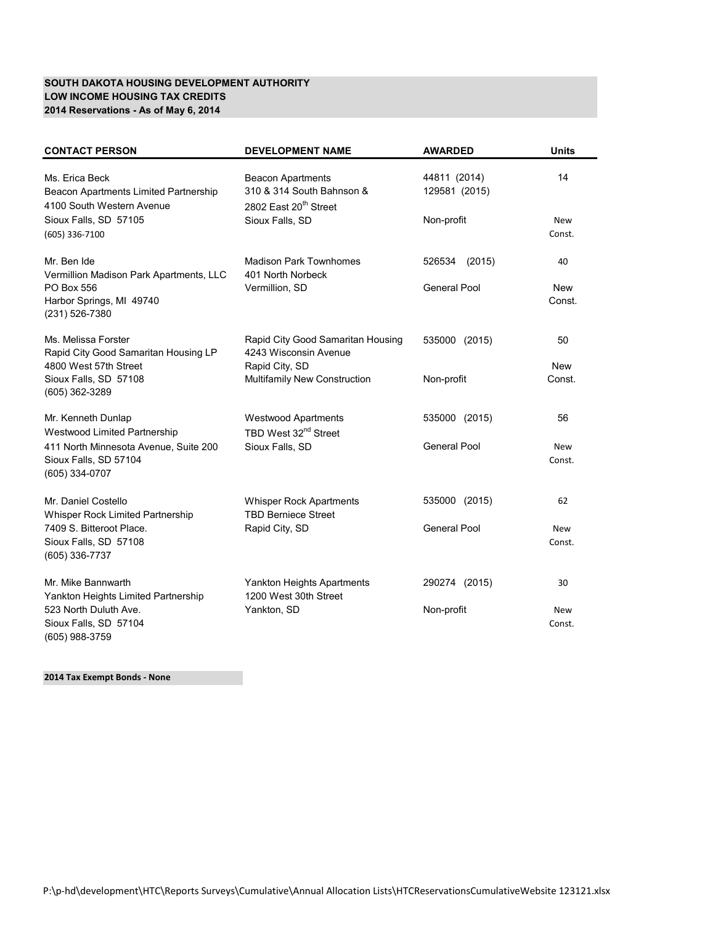## **SOUTH DAKOTA HOUSING DEVELOPMENT AUTHORITY LOW INCOME HOUSING TAX CREDITS 2014 Reservations - As of May 6, 2014**

| <b>CONTACT PERSON</b>                                                                | <b>DEVELOPMENT NAME</b>                                                                    | <b>AWARDED</b>                | <b>Units</b>         |
|--------------------------------------------------------------------------------------|--------------------------------------------------------------------------------------------|-------------------------------|----------------------|
| Ms. Erica Beck<br>Beacon Apartments Limited Partnership<br>4100 South Western Avenue | <b>Beacon Apartments</b><br>310 & 314 South Bahnson &<br>2802 East 20 <sup>th</sup> Street | 44811 (2014)<br>129581 (2015) | 14                   |
| Sioux Falls, SD 57105<br>(605) 336-7100                                              | Sioux Falls, SD                                                                            | Non-profit                    | <b>New</b><br>Const. |
| Mr. Ben Ide<br>Vermillion Madison Park Apartments, LLC                               | <b>Madison Park Townhomes</b><br>401 North Norbeck                                         | (2015)<br>526534              | 40                   |
| PO Box 556<br>Harbor Springs, MI 49740<br>(231) 526-7380                             | Vermillion, SD                                                                             | <b>General Pool</b>           | <b>New</b><br>Const. |
| Ms. Melissa Forster<br>Rapid City Good Samaritan Housing LP                          | Rapid City Good Samaritan Housing<br>4243 Wisconsin Avenue                                 | 535000 (2015)                 | 50                   |
| 4800 West 57th Street<br>Sioux Falls, SD 57108<br>(605) 362-3289                     | Rapid City, SD<br>Multifamily New Construction                                             | Non-profit                    | <b>New</b><br>Const. |
| Mr. Kenneth Dunlap<br>Westwood Limited Partnership                                   | Westwood Apartments<br>TBD West 32 <sup>nd</sup> Street                                    | 535000 (2015)                 | 56                   |
| 411 North Minnesota Avenue, Suite 200<br>Sioux Falls, SD 57104<br>(605) 334-0707     | Sioux Falls, SD                                                                            | <b>General Pool</b>           | <b>New</b><br>Const. |
| Mr. Daniel Costello<br>Whisper Rock Limited Partnership                              | <b>Whisper Rock Apartments</b><br><b>TBD Berniece Street</b>                               | 535000 (2015)                 | 62                   |
| 7409 S. Bitteroot Place.<br>Sioux Falls, SD 57108<br>(605) 336-7737                  | Rapid City, SD                                                                             | <b>General Pool</b>           | <b>New</b><br>Const. |
| Mr. Mike Bannwarth<br>Yankton Heights Limited Partnership                            | Yankton Heights Apartments<br>1200 West 30th Street                                        | 290274 (2015)                 | 30                   |
| 523 North Duluth Ave.<br>Sioux Falls, SD 57104<br>(605) 988-3759                     | Yankton, SD                                                                                | Non-profit                    | <b>New</b><br>Const. |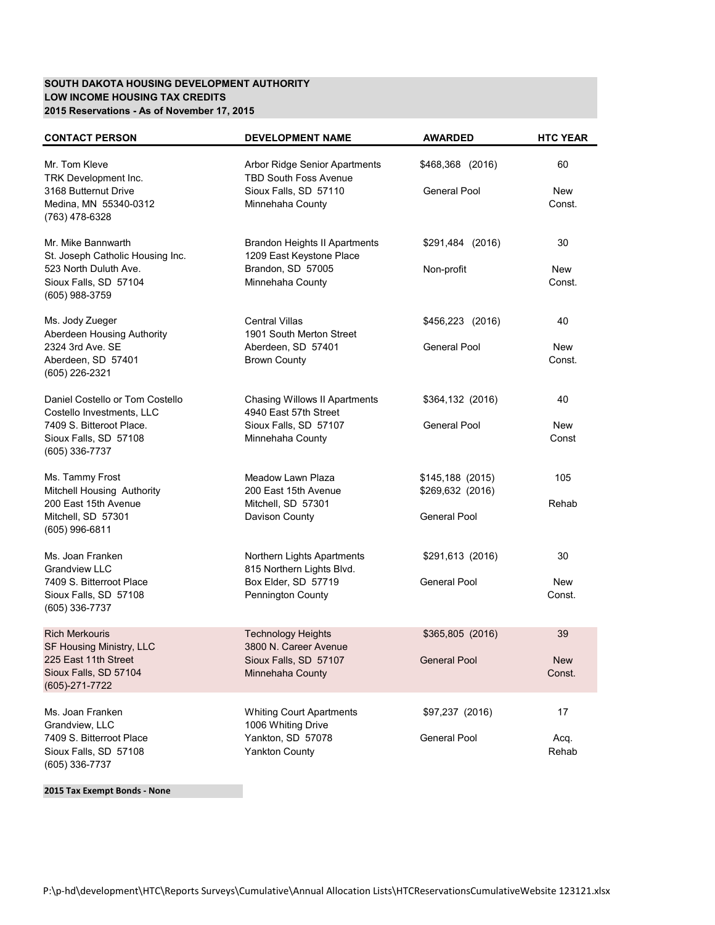## **SOUTH DAKOTA HOUSING DEVELOPMENT AUTHORITY LOW INCOME HOUSING TAX CREDITS 2015 Reservations - As of November 17, 2015**

| <b>CONTACT PERSON</b>                                                                                                               | <b>DEVELOPMENT NAME</b>                                                                                    | <b>AWARDED</b>                                       | HTC YEAR                   |
|-------------------------------------------------------------------------------------------------------------------------------------|------------------------------------------------------------------------------------------------------------|------------------------------------------------------|----------------------------|
| Mr. Tom Kleve<br>TRK Development Inc.<br>3168 Butternut Drive<br>Medina, MN 55340-0312<br>(763) 478-6328                            | Arbor Ridge Senior Apartments<br><b>TBD South Foss Avenue</b><br>Sioux Falls, SD 57110<br>Minnehaha County | \$468,368 (2016)<br><b>General Pool</b>              | 60<br><b>New</b><br>Const. |
| Mr. Mike Bannwarth<br>St. Joseph Catholic Housing Inc.<br>523 North Duluth Ave.<br>Sioux Falls, SD 57104<br>(605) 988-3759          | <b>Brandon Heights II Apartments</b><br>1209 East Keystone Place<br>Brandon, SD 57005<br>Minnehaha County  | \$291,484 (2016)<br>Non-profit                       | 30<br><b>New</b><br>Const. |
| Ms. Jody Zueger<br>Aberdeen Housing Authority<br>2324 3rd Ave, SE<br>Aberdeen, SD 57401<br>(605) 226-2321                           | <b>Central Villas</b><br>1901 South Merton Street<br>Aberdeen, SD 57401<br><b>Brown County</b>             | \$456,223 (2016)<br>General Pool                     | 40<br><b>New</b><br>Const. |
| Daniel Costello or Tom Costello<br>Costello Investments, LLC<br>7409 S. Bitteroot Place.<br>Sioux Falls, SD 57108<br>(605) 336-7737 | <b>Chasing Willows II Apartments</b><br>4940 East 57th Street<br>Sioux Falls, SD 57107<br>Minnehaha County | \$364,132 (2016)<br><b>General Pool</b>              | 40<br>New<br>Const         |
| Ms. Tammy Frost<br>Mitchell Housing Authority<br>200 East 15th Avenue<br>Mitchell, SD 57301<br>(605) 996-6811                       | Meadow Lawn Plaza<br>200 East 15th Avenue<br>Mitchell, SD 57301<br>Davison County                          | \$145,188 (2015)<br>\$269,632 (2016)<br>General Pool | 105<br>Rehab               |
| Ms. Joan Franken<br><b>Grandview LLC</b><br>7409 S. Bitterroot Place<br>Sioux Falls, SD 57108<br>(605) 336-7737                     | Northern Lights Apartments<br>815 Northern Lights Blvd.<br>Box Elder, SD 57719<br>Pennington County        | \$291,613 (2016)<br><b>General Pool</b>              | 30<br><b>New</b><br>Const. |
| <b>Rich Merkouris</b><br><b>SF Housing Ministry, LLC</b><br>225 East 11th Street<br>Sioux Falls, SD 57104<br>$(605)-271-7722$       | <b>Technology Heights</b><br>3800 N. Career Avenue<br>Sioux Falls, SD 57107<br>Minnehaha County            | \$365,805 (2016)<br><b>General Pool</b>              | 39<br><b>New</b><br>Const. |
| Ms. Joan Franken<br>Grandview, LLC<br>7409 S. Bitterroot Place<br>Sioux Falls, SD 57108<br>(605) 336-7737                           | <b>Whiting Court Apartments</b><br>1006 Whiting Drive<br>Yankton, SD 57078<br><b>Yankton County</b>        | \$97,237 (2016)<br><b>General Pool</b>               | 17<br>Acq.<br>Rehab        |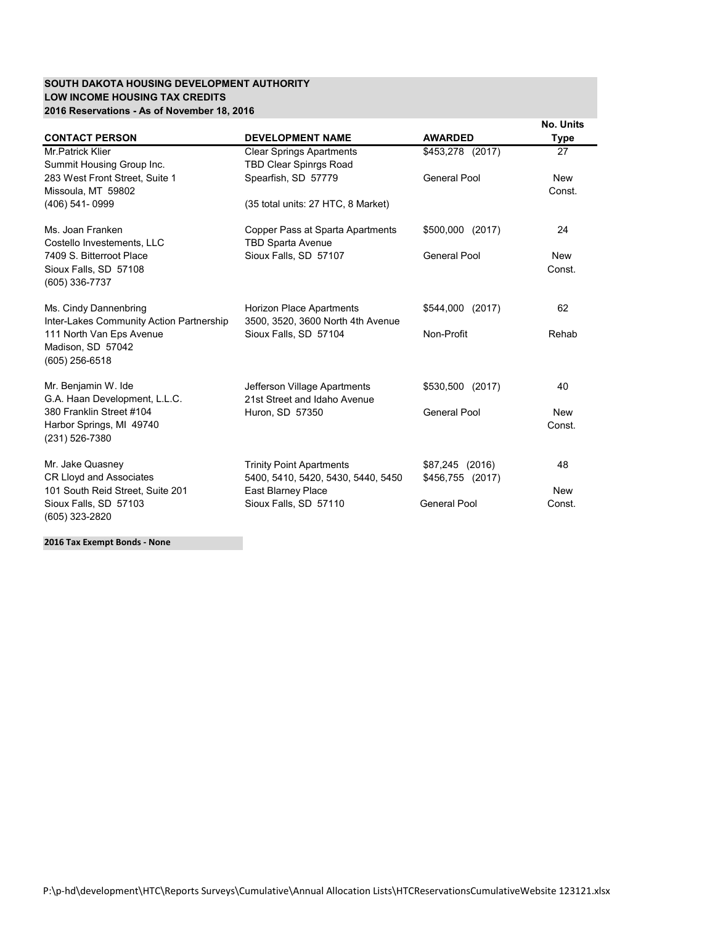#### **SOUTH DAKOTA HOUSING DEVELOPMENT AUTHORITY LOW INCOME HOUSING TAX CREDITS 2016 Reservations - As of November 18, 2016**

|                                                                        |                                                                  |                     | <b>No. Units</b>     |
|------------------------------------------------------------------------|------------------------------------------------------------------|---------------------|----------------------|
| <b>CONTACT PERSON</b>                                                  | <b>DEVELOPMENT NAME</b>                                          | <b>AWARDED</b>      | <b>Type</b>          |
| Mr.Patrick Klier<br>Summit Housing Group Inc.                          | <b>Clear Springs Apartments</b><br><b>TBD Clear Spinrgs Road</b> | \$453,278 (2017)    | 27                   |
| 283 West Front Street, Suite 1<br>Missoula, MT 59802<br>(406) 541-0999 | Spearfish, SD 57779<br>(35 total units: 27 HTC, 8 Market)        | <b>General Pool</b> | <b>New</b><br>Const. |
| Ms. Joan Franken                                                       | Copper Pass at Sparta Apartments                                 | \$500,000 (2017)    | 24                   |
| Costello Investements, LLC                                             | <b>TBD Sparta Avenue</b>                                         |                     |                      |
| 7409 S. Bitterroot Place<br>Sioux Falls, SD 57108<br>(605) 336-7737    | Sioux Falls, SD 57107                                            | <b>General Pool</b> | <b>New</b><br>Const. |
| Ms. Cindy Dannenbring<br>Inter-Lakes Community Action Partnership      | Horizon Place Apartments<br>3500, 3520, 3600 North 4th Avenue    | \$544,000 (2017)    | 62                   |
| 111 North Van Eps Avenue<br>Madison, SD 57042<br>(605) 256-6518        | Sioux Falls, SD 57104                                            | Non-Profit          | Rehab                |
| Mr. Benjamin W. Ide<br>G.A. Haan Development, L.L.C.                   | Jefferson Village Apartments<br>21st Street and Idaho Avenue     | \$530,500 (2017)    | 40                   |
| 380 Franklin Street #104<br>Harbor Springs, MI 49740<br>(231) 526-7380 | Huron, SD 57350                                                  | General Pool        | <b>New</b><br>Const. |
| Mr. Jake Quasney                                                       | <b>Trinity Point Apartments</b>                                  | \$87,245 (2016)     | 48                   |
| CR Lloyd and Associates<br>101 South Reid Street, Suite 201            | 5400, 5410, 5420, 5430, 5440, 5450<br>East Blarney Place         | \$456,755 (2017)    | <b>New</b>           |
| Sioux Falls, SD 57103<br>(605) 323-2820                                | Sioux Falls, SD 57110                                            | <b>General Pool</b> | Const.               |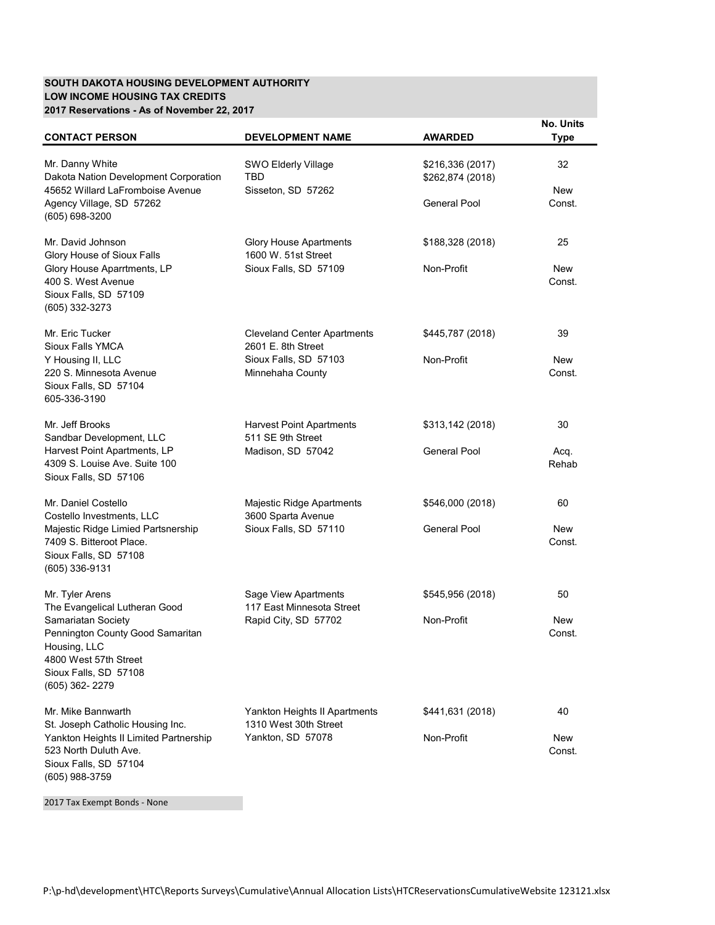#### **SOUTH DAKOTA HOUSING DEVELOPMENT AUTHORITY LOW INCOME HOUSING TAX CREDITS 2017 Reservations - As of November 22, 2017**

| $2017$ Reservations - As Of November 22, 2017                                                                                              |                                                          |                                                             |                                 |
|--------------------------------------------------------------------------------------------------------------------------------------------|----------------------------------------------------------|-------------------------------------------------------------|---------------------------------|
| <b>CONTACT PERSON</b>                                                                                                                      | <b>DEVELOPMENT NAME</b>                                  | <b>AWARDED</b>                                              | <b>No. Units</b><br><b>Type</b> |
| Mr. Danny White<br>Dakota Nation Development Corporation<br>45652 Willard LaFromboise Avenue<br>Agency Village, SD 57262                   | SWO Elderly Village<br>TBD<br>Sisseton, SD 57262         | \$216,336 (2017)<br>\$262,874 (2018)<br><b>General Pool</b> | 32<br><b>New</b><br>Const.      |
| (605) 698-3200                                                                                                                             |                                                          |                                                             |                                 |
| Mr. David Johnson<br>Glory House of Sioux Falls                                                                                            | <b>Glory House Apartments</b><br>1600 W. 51st Street     | \$188,328 (2018)                                            | 25                              |
| Glory House Aparrtments, LP<br>400 S. West Avenue<br>Sioux Falls, SD 57109<br>(605) 332-3273                                               | Sioux Falls, SD 57109                                    | Non-Profit                                                  | New<br>Const.                   |
| Mr. Eric Tucker<br>Sioux Falls YMCA                                                                                                        | <b>Cleveland Center Apartments</b><br>2601 E. 8th Street | \$445,787 (2018)                                            | 39                              |
| Y Housing II, LLC<br>220 S. Minnesota Avenue<br>Sioux Falls, SD 57104<br>605-336-3190                                                      | Sioux Falls, SD 57103<br>Minnehaha County                | Non-Profit                                                  | <b>New</b><br>Const.            |
| Mr. Jeff Brooks<br>Sandbar Development, LLC                                                                                                | <b>Harvest Point Apartments</b><br>511 SE 9th Street     | \$313,142 (2018)                                            | 30                              |
| Harvest Point Apartments, LP<br>4309 S. Louise Ave. Suite 100<br>Sioux Falls, SD 57106                                                     | Madison, SD 57042                                        | <b>General Pool</b>                                         | Acq.<br>Rehab                   |
| Mr. Daniel Costello<br>Costello Investments, LLC                                                                                           | Majestic Ridge Apartments<br>3600 Sparta Avenue          | \$546,000 (2018)                                            | 60                              |
| Majestic Ridge Limied Partsnership<br>7409 S. Bitteroot Place.<br>Sioux Falls, SD 57108<br>(605) 336-9131                                  | Sioux Falls, SD 57110                                    | <b>General Pool</b>                                         | <b>New</b><br>Const.            |
| Mr. Tyler Arens<br>The Evangelical Lutheran Good                                                                                           | Sage View Apartments<br>117 East Minnesota Street        | \$545,956 (2018)                                            | 50                              |
| Samariatan Society<br>Pennington County Good Samaritan<br>Housing, LLC<br>4800 West 57th Street<br>Sioux Falls, SD 57108<br>(605) 362-2279 | Rapid City, SD 57702                                     | Non-Profit                                                  | <b>New</b><br>Const.            |
| Mr. Mike Bannwarth<br>St. Joseph Catholic Housing Inc.                                                                                     | Yankton Heights II Apartments<br>1310 West 30th Street   | \$441,631 (2018)                                            | 40                              |
| Yankton Heights II Limited Partnership<br>523 North Duluth Ave.<br>Sioux Falls, SD 57104                                                   | Yankton, SD 57078                                        | Non-Profit                                                  | New<br>Const.                   |

2017 Tax Exempt Bonds - None

(605) 988-3759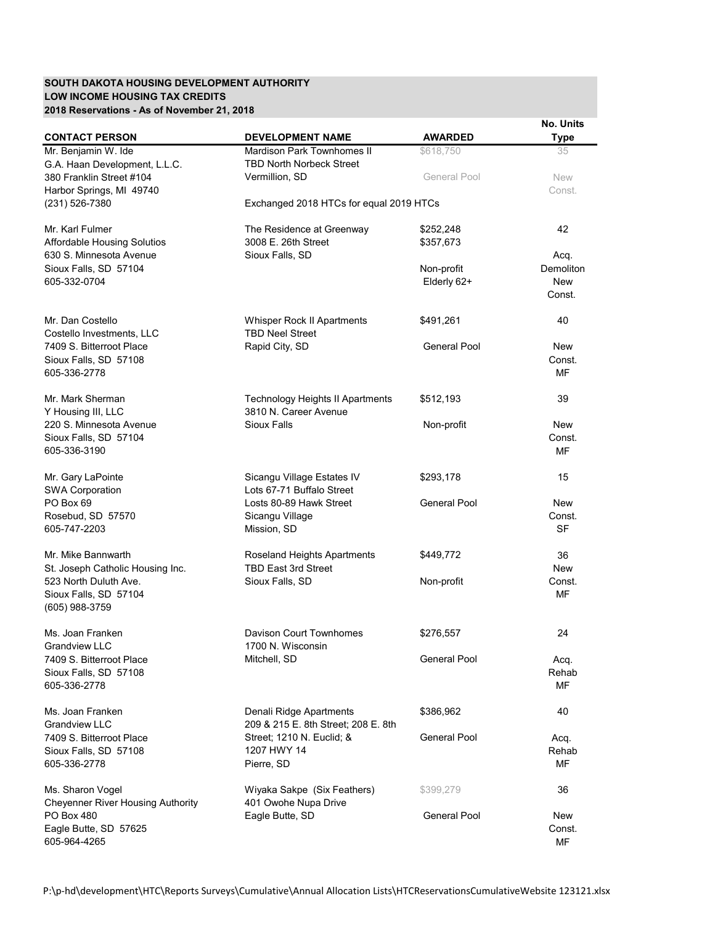#### **SOUTH DAKOTA HOUSING DEVELOPMENT AUTHORITY LOW INCOME HOUSING TAX CREDITS 2018 Reservations - As of November 21, 2018**

| $\sim$ 2010 Reservations - As Of November 21, 2010     |                                                                      |                     | <b>No. Units</b>     |
|--------------------------------------------------------|----------------------------------------------------------------------|---------------------|----------------------|
| <b>CONTACT PERSON</b>                                  | <b>DEVELOPMENT NAME</b>                                              | <b>AWARDED</b>      | <b>Type</b>          |
| Mr. Benjamin W. Ide<br>G.A. Haan Development, L.L.C.   | <b>Mardison Park Townhomes II</b><br><b>TBD North Norbeck Street</b> | \$618,750           | 35                   |
| 380 Franklin Street #104<br>Harbor Springs, MI 49740   | Vermillion, SD                                                       | General Pool        | <b>New</b><br>Const. |
| (231) 526-7380                                         | Exchanged 2018 HTCs for equal 2019 HTCs                              |                     |                      |
| Mr. Karl Fulmer                                        | The Residence at Greenway                                            | \$252,248           | 42                   |
| Affordable Housing Solutios<br>630 S. Minnesota Avenue | 3008 E. 26th Street<br>Sioux Falls, SD                               | \$357,673           | Acq.                 |
| Sioux Falls, SD 57104                                  |                                                                      | Non-profit          | <b>Demoliton</b>     |
| 605-332-0704                                           |                                                                      | Elderly 62+         | New                  |
|                                                        |                                                                      |                     | Const.               |
| Mr. Dan Costello<br>Costello Investments, LLC          | Whisper Rock II Apartments<br><b>TBD Neel Street</b>                 | \$491,261           | 40                   |
| 7409 S. Bitterroot Place                               | Rapid City, SD                                                       | <b>General Pool</b> | <b>New</b>           |
| Sioux Falls, SD 57108<br>605-336-2778                  |                                                                      |                     | Const.<br>MF         |
| Mr. Mark Sherman                                       | <b>Technology Heights II Apartments</b>                              | \$512,193           | 39                   |
| Y Housing III, LLC                                     | 3810 N. Career Avenue                                                |                     |                      |
| 220 S. Minnesota Avenue<br>Sioux Falls, SD 57104       | Sioux Falls                                                          | Non-profit          | <b>New</b><br>Const. |
| 605-336-3190                                           |                                                                      |                     | MF                   |
| Mr. Gary LaPointe                                      | Sicangu Village Estates IV                                           | \$293,178           | 15                   |
| <b>SWA Corporation</b>                                 | Lots 67-71 Buffalo Street                                            |                     |                      |
| PO Box 69<br>Rosebud, SD 57570                         | Losts 80-89 Hawk Street<br>Sicangu Village                           | General Pool        | <b>New</b><br>Const. |
| 605-747-2203                                           | Mission, SD                                                          |                     | <b>SF</b>            |
| Mr. Mike Bannwarth                                     | Roseland Heights Apartments                                          | \$449,772           | 36                   |
| St. Joseph Catholic Housing Inc.                       | <b>TBD East 3rd Street</b>                                           |                     | <b>New</b>           |
| 523 North Duluth Ave.<br>Sioux Falls, SD 57104         | Sioux Falls, SD                                                      | Non-profit          | Const.<br><b>MF</b>  |
| $(605)$ 988-3759                                       |                                                                      |                     |                      |
| Ms. Joan Franken<br><b>Grandview LLC</b>               | Davison Court Townhomes<br>1700 N. Wisconsin                         | \$276,557           | 24                   |
| 7409 S. Bitterroot Place                               | Mitchell, SD                                                         | <b>General Pool</b> | Acq.                 |
| Sioux Falls, SD 57108<br>605-336-2778                  |                                                                      |                     | Rehab<br>MF          |
| Ms. Joan Franken                                       | Denali Ridge Apartments                                              | \$386,962           | 40                   |
| <b>Grandview LLC</b>                                   | 209 & 215 E. 8th Street; 208 E. 8th                                  |                     |                      |
| 7409 S. Bitterroot Place<br>Sioux Falls, SD 57108      | Street; 1210 N. Euclid; &<br>1207 HWY 14                             | <b>General Pool</b> | Acq.<br>Rehab        |
| 605-336-2778                                           | Pierre, SD                                                           |                     | MF                   |
| Ms. Sharon Vogel                                       | Wiyaka Sakpe (Six Feathers)                                          | \$399,279           | 36                   |
| <b>Cheyenner River Housing Authority</b><br>PO Box 480 | 401 Owohe Nupa Drive<br>Eagle Butte, SD                              | <b>General Pool</b> | New                  |
| Eagle Butte, SD 57625                                  |                                                                      |                     | Const.               |
| 605-964-4265                                           |                                                                      |                     | MF                   |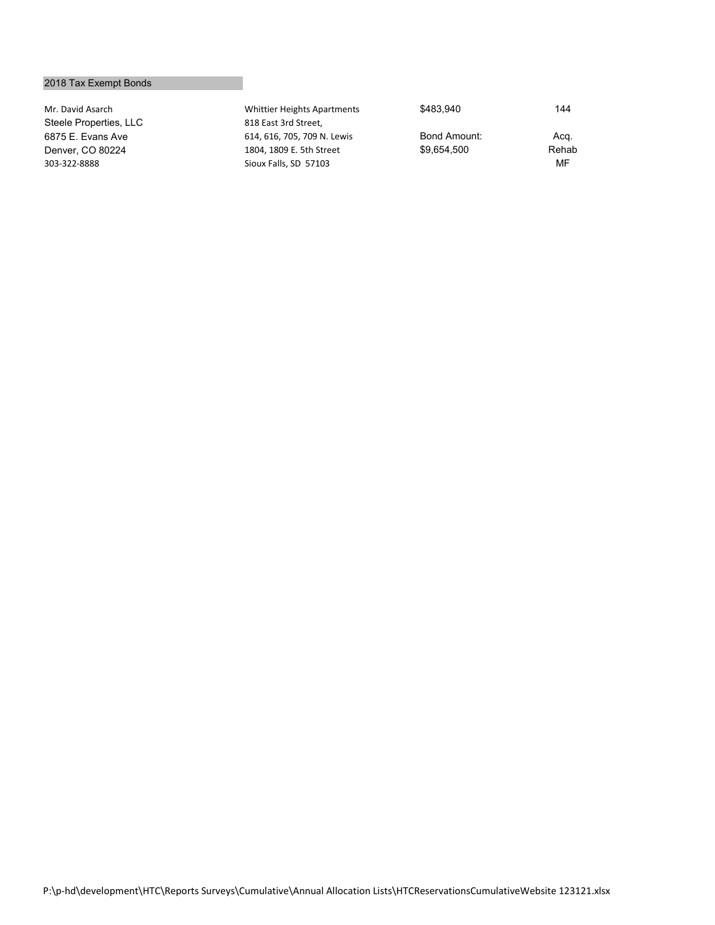# 2018 Tax Exempt Bonds

| Mr. David Asarch       | Whittier Heights Apartments | \$483.940    | 144   |
|------------------------|-----------------------------|--------------|-------|
| Steele Properties, LLC | 818 East 3rd Street,        |              |       |
| 6875 E. Evans Ave      | 614, 616, 705, 709 N. Lewis | Bond Amount: | Acq.  |
| Denver, CO 80224       | 1804, 1809 E. 5th Street    | \$9.654.500  | Rehab |
| 303-322-8888           | Sioux Falls, SD 57103       |              | MF    |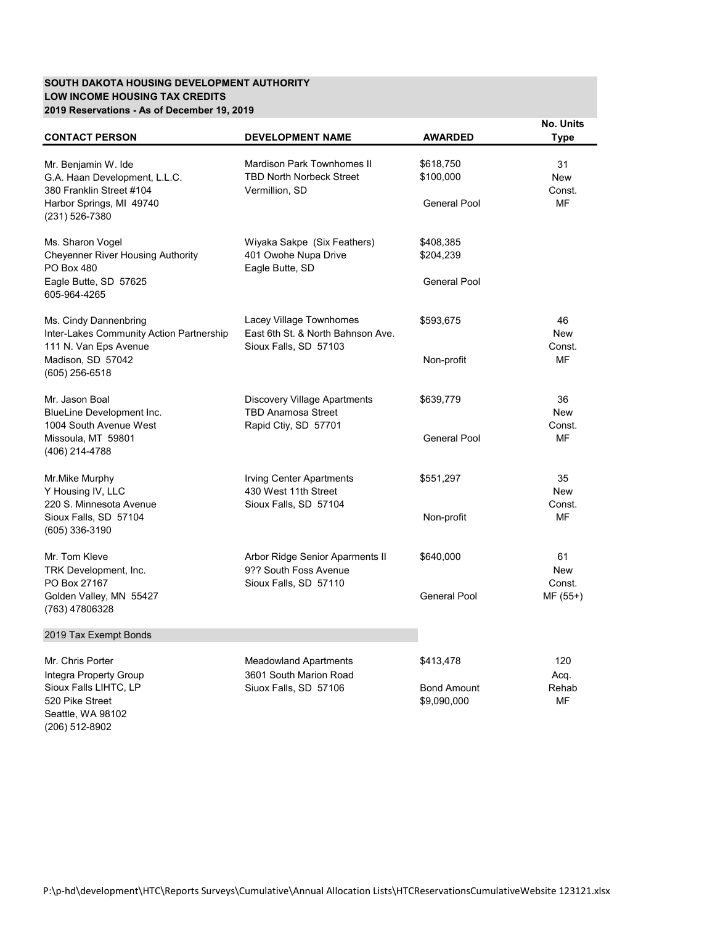#### **SOUTH DAKOTA HOUSING DEVELOPMENT AUTHORITY LOW INCOME HOUSING TAX CREDITS 2019 Reservations - As of December 19, 2019**

(206) 512-8902

| $2013$ Reservations - As Of December 19, 2013                                                                                  |                                                                                          |                                               |                                  |
|--------------------------------------------------------------------------------------------------------------------------------|------------------------------------------------------------------------------------------|-----------------------------------------------|----------------------------------|
| <b>CONTACT PERSON</b>                                                                                                          | <b>DEVELOPMENT NAME</b>                                                                  | <b>AWARDED</b>                                | <b>No. Units</b><br>Type         |
| Mr. Benjamin W. Ide<br>G.A. Haan Development, L.L.C.<br>380 Franklin Street #104<br>Harbor Springs, MI 49740<br>(231) 526-7380 | <b>Mardison Park Townhomes II</b><br><b>TBD North Norbeck Street</b><br>Vermillion, SD   | \$618,750<br>\$100,000<br><b>General Pool</b> | 31<br><b>New</b><br>Const.<br>MF |
| Ms. Sharon Vogel<br><b>Cheyenner River Housing Authority</b><br><b>PO Box 480</b><br>Eagle Butte, SD 57625                     | Wiyaka Sakpe (Six Feathers)<br>401 Owohe Nupa Drive<br>Eagle Butte, SD                   | \$408,385<br>\$204,239<br><b>General Pool</b> |                                  |
| 605-964-4265                                                                                                                   |                                                                                          |                                               |                                  |
| Ms. Cindy Dannenbring<br>Inter-Lakes Community Action Partnership<br>111 N. Van Eps Avenue                                     | Lacey Village Townhomes<br>East 6th St. & North Bahnson Ave.<br>Sioux Falls, SD 57103    | \$593,675                                     | 46<br><b>New</b><br>Const.       |
| Madison, SD 57042<br>$(605)$ 256-6518                                                                                          |                                                                                          | Non-profit                                    | <b>MF</b>                        |
| Mr. Jason Boal<br>BlueLine Development Inc.<br>1004 South Avenue West                                                          | <b>Discovery Village Apartments</b><br><b>TBD Anamosa Street</b><br>Rapid Ctiy, SD 57701 | \$639,779                                     | 36<br>New<br>Const.              |
| Missoula, MT 59801<br>(406) 214-4788                                                                                           |                                                                                          | <b>General Pool</b>                           | MF                               |
| Mr.Mike Murphy<br>Y Housing IV, LLC<br>220 S. Minnesota Avenue                                                                 | Irving Center Apartments<br>430 West 11th Street<br>Sioux Falls, SD 57104                | \$551,297                                     | 35<br><b>New</b><br>Const.       |
| Sioux Falls, SD 57104<br>(605) 336-3190                                                                                        |                                                                                          | Non-profit                                    | MF                               |
| Mr. Tom Kleve<br>TRK Development, Inc.<br>PO Box 27167                                                                         | Arbor Ridge Senior Aparments II<br>9?? South Foss Avenue<br>Sioux Falls, SD 57110        | \$640,000                                     | 61<br>New<br>Const.              |
| Golden Valley, MN 55427<br>(763) 47806328                                                                                      |                                                                                          | <b>General Pool</b>                           | MF (55+)                         |
| 2019 Tax Exempt Bonds                                                                                                          |                                                                                          |                                               |                                  |
| Mr. Chris Porter                                                                                                               | <b>Meadowland Apartments</b>                                                             | \$413,478                                     | 120                              |
| Integra Property Group<br>Sioux Falls LIHTC, LP<br>520 Pike Street<br>Seattle, WA 98102                                        | 3601 South Marion Road<br>Siuox Falls, SD 57106                                          | <b>Bond Amount</b><br>\$9,090,000             | Acq.<br>Rehab<br>MF              |